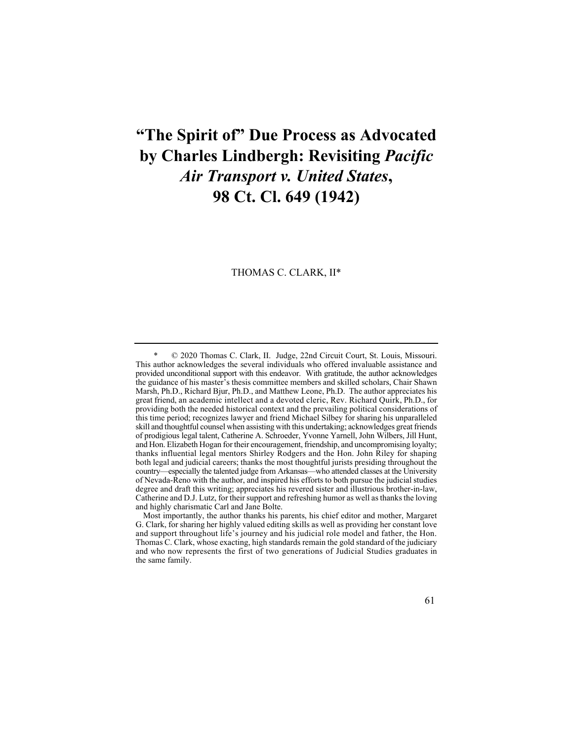# **"The Spirit of" Due Process as Advocated by Charles Lindbergh: Revisiting** *Pacific Air Transport v. United States***, 98 Ct. Cl. 649 (1942)**

THOMAS C. CLARK, II\*

© 2020 Thomas C. Clark, II. Judge, 22nd Circuit Court, St. Louis, Missouri. This author acknowledges the several individuals who offered invaluable assistance and provided unconditional support with this endeavor. With gratitude, the author acknowledges the guidance of his master's thesis committee members and skilled scholars, Chair Shawn Marsh, Ph.D., Richard Bjur, Ph.D., and Matthew Leone, Ph.D. The author appreciates his great friend, an academic intellect and a devoted cleric, Rev. Richard Quirk, Ph.D., for providing both the needed historical context and the prevailing political considerations of this time period; recognizes lawyer and friend Michael Silbey for sharing his unparalleled skill and thoughtful counsel when assisting with this undertaking; acknowledges great friends of prodigious legal talent, Catherine A. Schroeder, Yvonne Yarnell, John Wilbers, Jill Hunt, and Hon. Elizabeth Hogan for their encouragement, friendship, and uncompromising loyalty; thanks influential legal mentors Shirley Rodgers and the Hon. John Riley for shaping both legal and judicial careers; thanks the most thoughtful jurists presiding throughout the country—especially the talented judge from Arkansas—who attended classes at the University of Nevada-Reno with the author, and inspired his efforts to both pursue the judicial studies degree and draft this writing; appreciates his revered sister and illustrious brother-in-law, Catherine and D.J. Lutz, for their support and refreshing humor as well as thanks the loving and highly charismatic Carl and Jane Bolte.

 Most importantly, the author thanks his parents, his chief editor and mother, Margaret G. Clark, for sharing her highly valued editing skills as well as providing her constant love and support throughout life's journey and his judicial role model and father, the Hon. Thomas C. Clark, whose exacting, high standards remain the gold standard of the judiciary and who now represents the first of two generations of Judicial Studies graduates in the same family.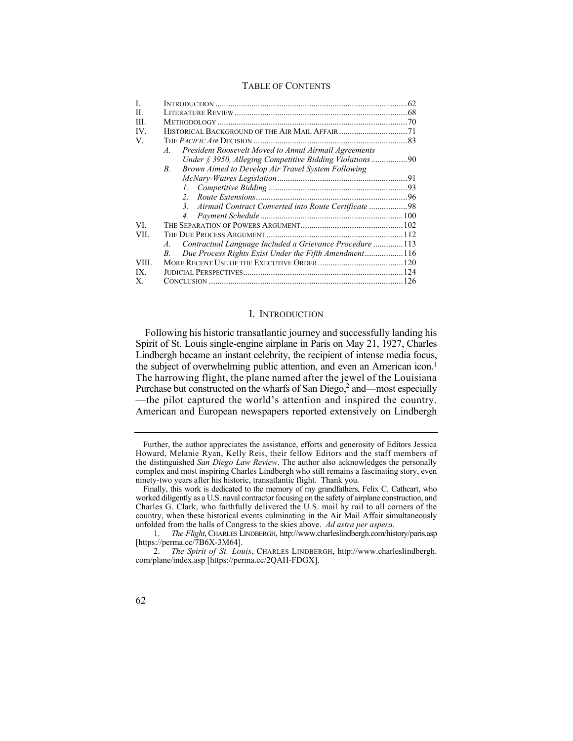## TABLE OF CONTENTS

| L     |                                                                          |  |
|-------|--------------------------------------------------------------------------|--|
| H.    |                                                                          |  |
| III.  |                                                                          |  |
| IV.   |                                                                          |  |
| V.    |                                                                          |  |
|       | President Roosevelt Moved to Annul Airmail Agreements<br>$\mathcal{A}$ . |  |
|       | Under § 3950, Alleging Competitive Bidding Violations90                  |  |
|       | Brown Aimed to Develop Air Travel System Following<br>$B_{\cdot}$        |  |
|       |                                                                          |  |
|       |                                                                          |  |
|       | $2^{\circ}$                                                              |  |
|       | Airmail Contract Converted into Route Certificate 98<br>$\mathcal{E}$    |  |
|       | 4.                                                                       |  |
| VI.   |                                                                          |  |
| VII.  |                                                                          |  |
|       | Contractual Language Included a Grievance Procedure 113<br>A.            |  |
|       | Due Process Rights Exist Under the Fifth Amendment116<br>B.              |  |
| VIII. |                                                                          |  |
| IX.   |                                                                          |  |
| Х.    |                                                                          |  |

## I. INTRODUCTION

 Spirit of St. Louis single-engine airplane in Paris on May 21, 1927, Charles Following his historic transatlantic journey and successfully landing his Lindbergh became an instant celebrity, the recipient of intense media focus, the subject of overwhelming public attention, and even an American icon.<sup>1</sup> The harrowing flight, the plane named after the jewel of the Louisiana Purchase but constructed on the wharfs of San Diego, $2$  and—most especially —the pilot captured the world's attention and inspired the country. American and European newspapers reported extensively on Lindbergh

Further, the author appreciates the assistance, efforts and generosity of Editors Jessica Howard, Melanie Ryan, Kelly Reis, their fellow Editors and the staff members of the distinguished *San Diego Law Review*. The author also acknowledges the personally complex and most inspiring Charles Lindbergh who still remains a fascinating story, even ninety-two years after his historic, transatlantic flight. Thank you.

 Finally, this work is dedicated to the memory of my grandfathers, Felix C. Cathcart, who worked diligently as a U.S. naval contractor focusing on the safety of airplane construction, and Charles G. Clark, who faithfully delivered the U.S. mail by rail to all corners of the country, when these historical events culminating in the Air Mail Affair simultaneously unfolded from the halls of Congress to the skies above. *Ad astra per aspera*.

<sup>1.</sup> *The Flight*, CHARLES LINDBERGH, <http://www.charleslindbergh.com/history/paris.asp> [\[https://perma.cc/7B6X-3M64](https://perma.cc/7B6X-3M64)].

<sup>2.</sup> *The Spirit of St. Louis*, CHARLES LINDBERGH, [http://www.charleslindbergh.](http://www.charleslindbergh) com/plane/index.asp [<https://perma.cc/2QAH-FDGX>].

<sup>62</sup>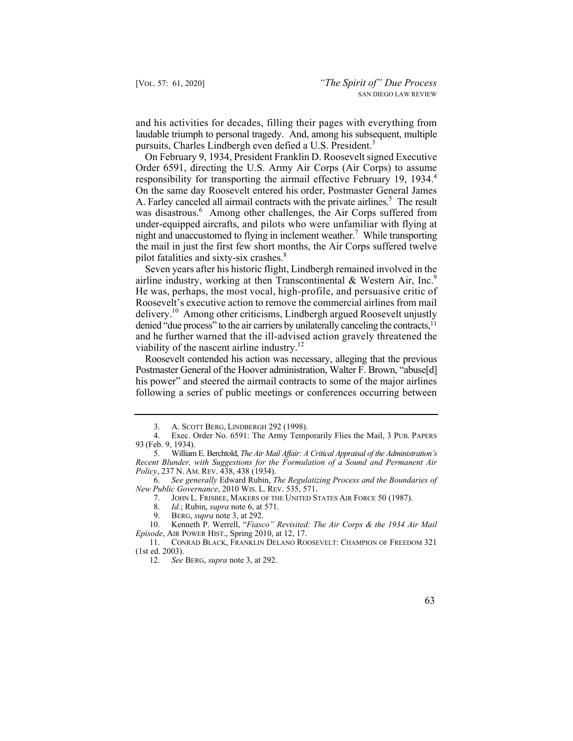and his activities for decades, filling their pages with everything from laudable triumph to personal tragedy. And, among his subsequent, multiple pursuits, Charles Lindbergh even defied a U.S. President.<sup>3</sup>

responsibility for transporting the airmail effective February 19, 1934.<sup>4</sup> A. Farley canceled all airmail contracts with the private airlines.<sup>5</sup> The result On February 9, 1934, President Franklin D. Roosevelt signed Executive Order 6591, directing the U.S. Army Air Corps (Air Corps) to assume On the same day Roosevelt entered his order, Postmaster General James was disastrous.<sup>6</sup> Among other challenges, the Air Corps suffered from under-equipped aircrafts, and pilots who were unfamiliar with flying at night and unaccustomed to flying in inclement weather.<sup>7</sup> While transporting the mail in just the first few short months, the Air Corps suffered twelve pilot fatalities and sixty-six crashes.<sup>8</sup>

airline industry, working at then Transcontinental & Western Air, Inc. $9$  and he further warned that the ill-advised action gravely threatened the Seven years after his historic flight, Lindbergh remained involved in the He was, perhaps, the most vocal, high-profile, and persuasive critic of Roosevelt's executive action to remove the commercial airlines from mail delivery.<sup>10</sup> Among other criticisms, Lindbergh argued Roosevelt unjustly denied "due process" to the air carriers by unilaterally canceling the contracts,<sup>11</sup> viability of the nascent airline industry.<sup>12</sup>

Roosevelt contended his action was necessary, alleging that the previous Postmaster General of the Hoover administration, Walter F. Brown, "abuse[d] his power" and steered the airmail contracts to some of the major airlines following a series of public meetings or conferences occurring between

10. Kenneth P. Werrell, "*Fiasco" Revisited: The Air Corps & the 1934 Air Mail Episode*, AIR POWER HIST., Spring 2010, at 12, 17.

<sup>3.</sup> A. SCOTT BERG, LINDBERGH 292 (1998).<br>4. Exec. Order No. 6591: The Army Temr

Exec. Order No. 6591: The Army Temporarily Flies the Mail, 3 PUB. PAPERS 93 (Feb. 9, 1934).

<sup>5.</sup> William E. Berchtold, *The Air Mail Affair: A Critical Appraisal of the Administration's Recent Blunder, with Suggestions for the Formulation of a Sound and Permanent Air Policy*, 237 N. AM. REV. 438, 438 (1934).

<sup>6.</sup> *See generally* Edward Rubin, *The Regulatizing Process and the Boundaries of New Public Governance*, 2010 WIS. L. REV. 535, 571.

 7. JOHN L. FRISBEE, MAKERS OF THE UNITED STATES AIR FORCE 50 (1987).

<sup>8.</sup> *Id.*; Rubin, *supra* note 6, at 571.

BERG, *supra* note 3, at 292.

<sup>11.</sup> CONRAD BLACK, FRANKLIN DELANO ROOSEVELT: CHAMPION OF FREEDOM 321 (1st ed. 2003).

<sup>12.</sup> *See* BERG, *supra* note 3, at 292.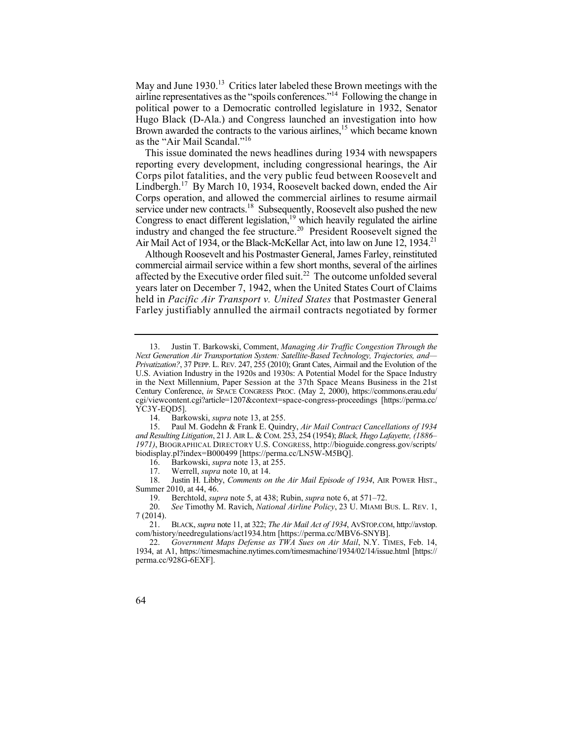May and June 1930.<sup>13</sup> Critics later labeled these Brown meetings with the airline representatives as the "spoils conferences."14 Following the change in political power to a Democratic controlled legislature in 1932, Senator Hugo Black (D-Ala.) and Congress launched an investigation into how Brown awarded the contracts to the various airlines,<sup>15</sup> which became known as the "Air Mail Scandal."<sup>16</sup>

This issue dominated the news headlines during 1934 with newspapers reporting every development, including congressional hearings, the Air Corps pilot fatalities, and the very public feud between Roosevelt and Lindbergh.<sup>17</sup> By March 10, 1934, Roosevelt backed down, ended the Air Corps operation, and allowed the commercial airlines to resume airmail service under new contracts.<sup>18</sup> Subsequently, Roosevelt also pushed the new Congress to enact different legislation, $19$  which heavily regulated the airline industry and changed the fee [structure.](https://structure.20)<sup>20</sup> President Roosevelt signed the Air Mail Act of 1934, or the Black-McKellar Act, into law on June 12, 1934.<sup>21</sup>

Although Roosevelt and his Postmaster General, James Farley, reinstituted commercial airmail service within a few short months, several of the airlines affected by the Executive order filed suit.<sup>22</sup> The outcome unfolded several years later on December 7, 1942, when the United States Court of Claims held in *Pacific Air Transport v. United States* that Postmaster General Farley justifiably annulled the airmail contracts negotiated by former

<sup>22.</sup> *Government Maps Defense as TWA Sues on Air Mail*, N.Y. TIMES, Feb. 14, 1934, at A1, <https://timesmachine.nytimes.com/timesmachine/1934/02/14/issue.html>[https:// perma.cc/928G-6EXF].



<sup>13.</sup> Justin T. Barkowski, Comment, *Managing Air Traffic Congestion Through the Next Generation Air Transportation System: Satellite-Based Technology, Trajectories, and— Privatization?*, 37 PEPP. L. REV. 247, 255 (2010); Grant Cates, Airmail and the Evolution of the U.S. Aviation Industry in the 1920s and 1930s: A Potential Model for the Space Industry in the Next Millennium, Paper Session at the 37th Space Means Business in the 21st Century Conference, *in* SPACE CONGRESS PROC. (May 2, 2000), [https://commons.erau.edu/](https://commons.erau.edu) cgi/viewcontent.cgi?article=1207&context=space-congress-proceedings [\[https://perma.cc/](https://perma.cc) YC3Y-EOD5].

<sup>14.</sup> Barkowski, *supra* note 13, at 255.

<sup>15.</sup> Paul M. Godehn & Frank E. Quindry, *Air Mail Contract Cancellations of 1934 and Resulting Litigation*, 21 J. AIR L. & COM. 253, 254 (1954); *Black, Hugo Lafayette, (1886– 1971)*, BIOGRAPHICAL DIRECTORY U.S. CONGRESS, [http://bioguide.congress.gov/scripts/](http://bioguide.congress.gov/scripts) biodisplay.pl?index=B000499 [\[https://perma.cc/LN5W-M5BQ](https://perma.cc/LN5W-M5BQ)].<br>16. Barkowski, *sunra* note 13, at 255.

<sup>16.</sup> Barkowski, *supra* note 13, at 255.

<sup>17.</sup> Werrell, *supra* note 10, at 14.

<sup>18.</sup> Justin H. Libby, *Comments on the Air Mail Episode of 1934*, AIR POWER HIST., Summer 2010, at 44, 46.

 19. Berchtold, *supra* note 5, at 438; Rubin, *supra* note 6, at 571–72.

<sup>20.</sup> *See* Timothy M. Ravich, *National Airline Policy*, 23 U. MIAMI BUS. L. REV. 1, 7 (2014).

<sup>21.</sup> BLACK, *supra* note 11, at 322; *The Air Mail Act of 1934*, [AVSTOP.COM,](https://AVSTOP.COM) <http://avstop>. com/history/needregulations/act1934.htm [\[https://perma.cc/MBV6-SNYB](https://perma.cc/MBV6-SNYB)].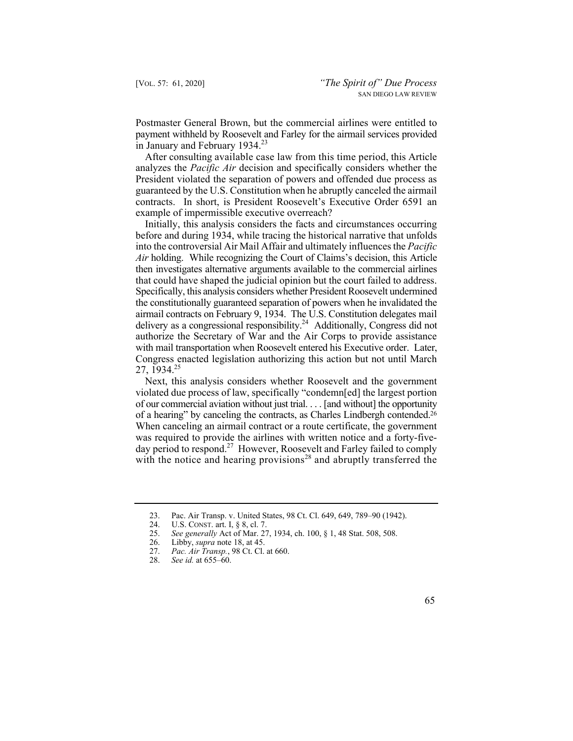Postmaster General Brown, but the commercial airlines were entitled to payment withheld by Roosevelt and Farley for the airmail services provided in January and February  $1934.<sup>23</sup>$ 

After consulting available case law from this time period, this Article analyzes the *Pacific Air* decision and specifically considers whether the President violated the separation of powers and offended due process as guaranteed by the U.S. Constitution when he abruptly canceled the airmail contracts. In short, is President Roosevelt's Executive Order 6591 an example of impermissible executive overreach?

 then investigates alternative arguments available to the commercial airlines that could have shaped the judicial opinion but the court failed to address. airmail contracts on February 9, 1934. The U.S. Constitution delegates mail Initially, this analysis considers the facts and circumstances occurring before and during 1934, while tracing the historical narrative that unfolds into the controversial Air Mail Affair and ultimately influences the *Pacific Air* holding. While recognizing the Court of Claims's decision, this Article Specifically, this analysis considers whether President Roosevelt undermined the constitutionally guaranteed separation of powers when he invalidated the delivery as a congressional responsibility.<sup>24</sup> Additionally, Congress did not authorize the Secretary of War and the Air Corps to provide assistance with mail transportation when Roosevelt entered his Executive order. Later, Congress enacted legislation authorizing this action but not until March 27, 1934.25

of a hearing" by canceling the contracts, as Charles Lindbergh contended.<sup>26</sup> Next, this analysis considers whether Roosevelt and the government violated due process of law, specifically "condemn[ed] the largest portion of our commercial aviation without just trial. . . . [and without] the opportunity When canceling an airmail contract or a route certificate, the government was required to provide the airlines with written notice and a forty-fiveday period to respond.<sup>27</sup> However, Roosevelt and Farley failed to comply with the notice and hearing provisions<sup>28</sup> and abruptly transferred the

<sup>23.</sup> Pac. Air Transp. v. United States, 98 Ct. Cl. 649, 649, 789–90 (1942).

<sup>24.</sup> U.S. CONST. art. I, § 8, cl. 7.

<sup>25.</sup> *See generally* Act of Mar. 27, 1934, ch. 100, § 1, 48 Stat. 508, 508.

<sup>26.</sup> Libby, *supra* note 18, at 45.

*Pac. Air Transp.*, 98 Ct. Cl. at 660.

<sup>28.</sup> *See id.* at 655–60.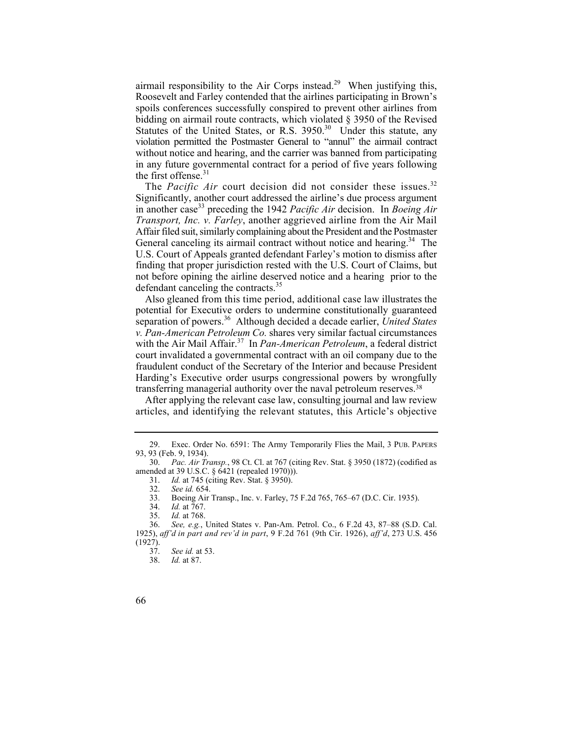airmail responsibility to the Air Corps [instead.](https://instead.29)<sup>29</sup> When justifying this, Roosevelt and Farley contended that the airlines participating in Brown's spoils conferences successfully conspired to prevent other airlines from bidding on airmail route contracts, which violated § 3950 of the Revised Statutes of the United States, or R.S. 3950.<sup>30</sup> Under this statute, any violation permitted the Postmaster General to "annul" the airmail contract without notice and hearing, and the carrier was banned from participating in any future governmental contract for a period of five years following the first [offense.](https://offense.31) $31$ 

The *Pacific Air* court decision did not consider these [issues.](https://issues.32)<sup>32</sup> General canceling its airmail contract without notice and hearing.<sup>34</sup> The Significantly, another court addressed the airline's due process argument in another case<sup>33</sup> preceding the 1942 *Pacific Air* decision. In *Boeing Air Transport, Inc. v. Farley*, another aggrieved airline from the Air Mail Affair filed suit, similarly complaining about the President and the Postmaster U.S. Court of Appeals granted defendant Farley's motion to dismiss after finding that proper jurisdiction rested with the U.S. Court of Claims, but not before opining the airline deserved notice and a hearing prior to the defendant canceling the contracts.<sup>35</sup>

 Also gleaned from this time period, additional case law illustrates the potential for Executive orders to undermine constitutionally guaranteed separation of powers.<sup>36</sup> Although decided a decade earlier, *United States v. Pan-American Petroleum Co.* shares very similar factual circumstances with the Air Mail [Affair.](https://Affair.37)<sup>37</sup> In *Pan-American Petroleum*, a federal district court invalidated a governmental contract with an oil company due to the fraudulent conduct of the Secretary of the Interior and because President Harding's Executive order usurps congressional powers by wrongfully transferring managerial authority over the naval petroleum reserves.<sup>38</sup>

After applying the relevant case law, consulting journal and law review articles, and identifying the relevant statutes, this Article's objective

<sup>29.</sup> Exec. Order No. 6591: The Army Temporarily Flies the Mail, 3 PUB. PAPERS 93, 93 (Feb. 9, 1934).

<sup>30.</sup> *Pac. Air Transp.*, 98 Ct. Cl. at 767 (citing Rev. Stat. § 3950 (1872) (codified as amended at 39 U.S.C. § 6421 (repealed 1970))).

<sup>31.</sup> *Id.* at 745 (citing Rev. Stat. § 3950).

<sup>32.</sup> *See id.* 654.

<sup>33.</sup> Boeing Air Transp., Inc. v. Farley, 75 F.2d 765, 765–67 (D.C. Cir. 1935).

<sup>34.</sup> *Id.* at 767.

<sup>35.</sup> *Id.* at 768.

<sup>36.</sup> *See, e.g.*, United States v. Pan-Am. Petrol. Co., 6 F.2d 43, 87–88 (S.D. Cal. 1925), *aff'd in part and rev'd in part*, 9 F.2d 761 (9th Cir. 1926), *aff'd*, 273 U.S. 456  $(1927).$ 

<sup>37.</sup> *See id.* at 53.

<sup>38.</sup> *Id.* at 87.

<sup>66</sup>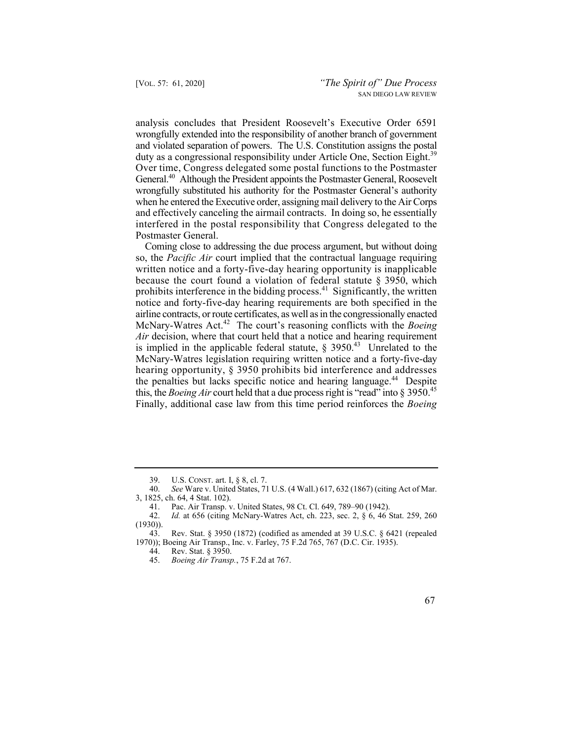duty as a congressional responsibility under Article One, Section Eight.<sup>39</sup> analysis concludes that President Roosevelt's Executive Order 6591 wrongfully extended into the responsibility of another branch of government and violated separation of powers. The U.S. Constitution assigns the postal Over time, Congress delegated some postal functions to the Postmaster General.<sup>40</sup> Although the President appoints the Postmaster General, Roosevelt wrongfully substituted his authority for the Postmaster General's authority when he entered the Executive order, assigning mail delivery to the Air Corps and effectively canceling the airmail contracts. In doing so, he essentially interfered in the postal responsibility that Congress delegated to the Postmaster General.

prohibits interference in the bidding [process.](https://process.41)<sup>41</sup> Significantly, the written this, the *Boeing Air* court held that a due process right is "read" into § 3950.45 Coming close to addressing the due process argument, but without doing so, the *Pacific Air* court implied that the contractual language requiring written notice and a forty-five-day hearing opportunity is inapplicable because the court found a violation of federal statute  $\S$  3950, which notice and forty-five-day hearing requirements are both specified in the airline contracts, or route certificates, as well as in the congressionally enacted McNary-Watres Act.42 The court's reasoning conflicts with the *Boeing Air* decision, where that court held that a notice and hearing requirement is implied in the applicable federal statute,  $\S$  3950.<sup>43</sup> Unrelated to the McNary-Watres legislation requiring written notice and a forty-five-day hearing opportunity, § 3950 prohibits bid interference and addresses the penalties but lacks specific notice and hearing language.<sup>44</sup> Despite Finally, additional case law from this time period reinforces the *Boeing* 

<sup>39.</sup> U.S. CONST. art. I, § 8, cl. 7.

<sup>40.</sup> *See* Ware v. United States, 71 U.S. (4 Wall.) 617, 632 (1867) (citing Act of Mar. 3, 1825, ch. 64, 4 Stat. 102).

<sup>41.</sup> Pac. Air Transp. v. United States, 98 Ct. Cl. 649, 789–90 (1942).<br>42. Id. at 656 (citing McNary-Watres Act. ch. 223, sec. 2, § 6, 46 ;

*Id.* at 656 (citing McNary-Watres Act, ch. 223, sec. 2, § 6, 46 Stat. 259, 260 (1930)).

<sup>43.</sup> Rev. Stat. § 3950 (1872) (codified as amended at 39 U.S.C. § 6421 (repealed 1970)); Boeing Air Transp., Inc. v. Farley, 75 F.2d 765, 767 (D.C. Cir. 1935).

<sup>44.</sup> Rev. Stat. § 3950.

<sup>45.</sup> *Boeing Air Transp.*, 75 F.2d at 767.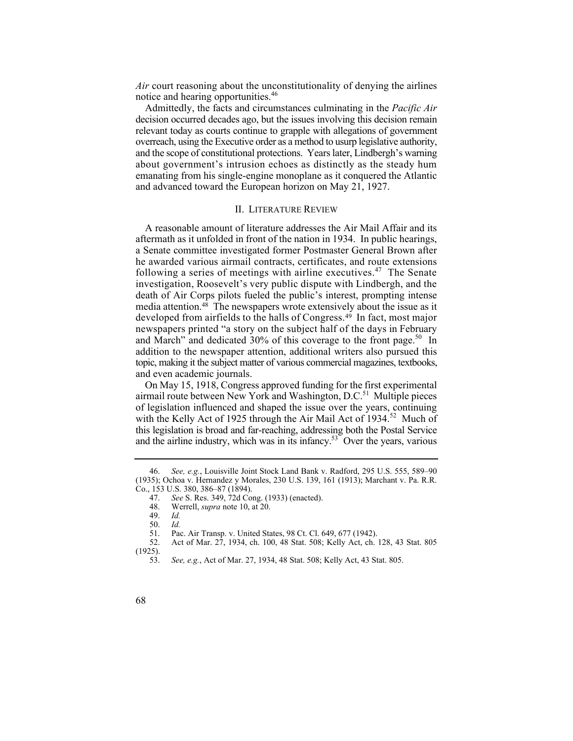*Air* court reasoning about the unconstitutionality of denying the airlines notice and hearing opportunities.<sup>46</sup>

 relevant today as courts continue to grapple with allegations of government and the scope of constitutional protections. Years later, Lindbergh's warning Admittedly, the facts and circumstances culminating in the *Pacific Air*  decision occurred decades ago, but the issues involving this decision remain overreach, using the Executive order as a method to usurp legislative authority, about government's intrusion echoes as distinctly as the steady hum emanating from his single-engine monoplane as it conquered the Atlantic and advanced toward the European horizon on May 21, 1927.

## II. LITERATURE REVIEW

A reasonable amount of literature addresses the Air Mail Affair and its aftermath as it unfolded in front of the nation in 1934. In public hearings, a Senate committee investigated former Postmaster General Brown after he awarded various airmail contracts, certificates, and route extensions following a series of meetings with airline [executives.](https://executives.47)<sup>47</sup> The Senate investigation, Roosevelt's very public dispute with Lindbergh, and the death of Air Corps pilots fueled the public's interest, prompting intense media attention.<sup>48</sup> The newspapers wrote extensively about the issue as it developed from airfields to the halls of [Congress.49](https://Congress.49) In fact, most major newspapers printed "a story on the subject half of the days in February and March" and dedicated  $30\%$  of this coverage to the front page.<sup>50</sup> In addition to the newspaper attention, additional writers also pursued this topic, making it the subject matter of various commercial magazines, textbooks, and even academic journals.

and the airline industry, which was in its infancy. $53^{\circ}$  Over the years, various On May 15, 1918, Congress approved funding for the first experimental airmail route between New York and Washington, D.C.<sup>51</sup> Multiple pieces of legislation influenced and shaped the issue over the years, continuing with the Kelly Act of 1925 through the Air Mail Act of 1934.<sup>52</sup> Much of this legislation is broad and far-reaching, addressing both the Postal Service

<sup>46.</sup> *See, e.g.*, Louisville Joint Stock Land Bank v. Radford, 295 U.S. 555, 589–90 (1935); Ochoa v. Hernandez y Morales, 230 U.S. 139, 161 (1913); Marchant v. Pa. R.R. Co., 153 U.S. 380, 386–87 (1894).

<sup>47.</sup> *See* S. Res. 349, 72d Cong. (1933) (enacted).

<sup>48.</sup> Werrell, *supra* note 10, at 20.

<sup>49.</sup> *Id.*

 <sup>50.</sup> *Id.* 

<sup>51.</sup> Pac. Air Transp. v. United States, 98 Ct. Cl. 649, 677 (1942).<br>52. Act of Mar. 27. 1934. ch. 100. 48 Stat. 508: Kelly Act. ch.

<sup>52.</sup> Act of Mar. 27, 1934, ch. 100, 48 Stat. 508; Kelly Act, ch. 128, 43 Stat. 805 (1925).

<sup>53.</sup> *See, e.g.*, Act of Mar. 27, 1934, 48 Stat. 508; Kelly Act, 43 Stat. 805.

<sup>68</sup>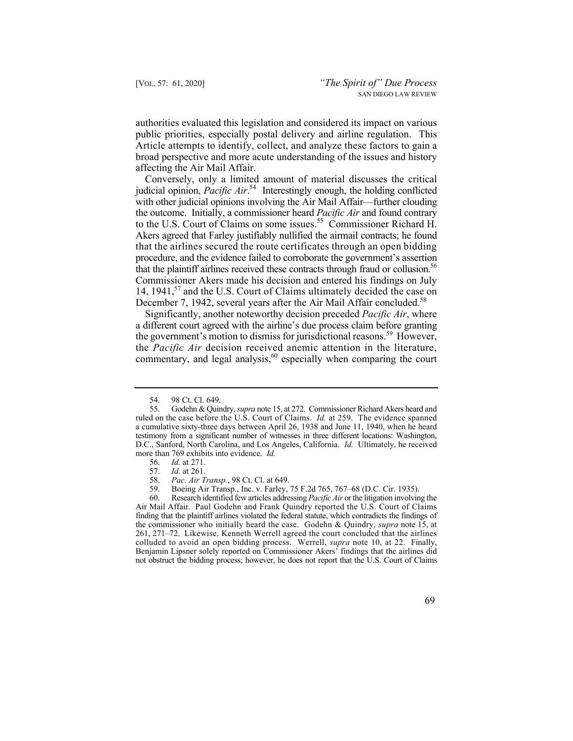Article attempts to identify, collect, and analyze these factors to gain a authorities evaluated this legislation and considered its impact on various public priorities, especially postal delivery and airline regulation. This broad perspective and more acute understanding of the issues and history affecting the Air Mail Affair.

that the plaintiff airlines received these contracts through fraud or collusion.<sup>56</sup> Conversely, only a limited amount of material discusses the critical judicial opinion, *Pacific Air*. 54 Interestingly enough, the holding conflicted with other judicial opinions involving the Air Mail Affair—further clouding the outcome. Initially, a commissioner heard *Pacific Air* and found contrary to the U.S. Court of Claims on some [issues.](https://issues.55)<sup>55</sup> Commissioner Richard H. Akers agreed that Farley justifiably nullified the airmail contracts; he found that the airlines secured the route certificates through an open bidding procedure, and the evidence failed to corroborate the government's assertion Commissioner Akers made his decision and entered his findings on July 14, 1941,<sup>57</sup> and the U.S. Court of Claims ultimately decided the case on December 7, 1942, several years after the Air Mail Affair concluded.<sup>58</sup>

Significantly, another noteworthy decision preceded *Pacific Air*, where a different court agreed with the airline's due process claim before granting the government's motion to dismiss for jurisdictional reasons.<sup>59</sup> However, the *Pacific Air* decision received anemic attention in the literature, commentary, and legal analysis,  $60$  especially when comparing the court

59. Boeing Air Transp., Inc. v. Farley, 75 F.2d 765, 767–68 (D.C. Cir. 1935).

60. Research identified few articles addressing *Pacific Air* or the litigation involving the Air Mail Affair. Paul Godehn and Frank Quindry reported the U.S. Court of Claims finding that the plaintiff airlines violated the federal statute, which contradicts the findings of the commissioner who initially heard the case. Godehn & Quindry, *supra* note 15, at 261, 271–72. Likewise, Kenneth Werrell agreed the court concluded that the airlines colluded to avoid an open bidding process. Werrell, *supra* note 10, at 22. Finally, Benjamin Lipsner solely reported on Commissioner Akers' findings that the airlines did not obstruct the bidding process; however, he does not report that the U.S. Court of Claims

<sup>54. 98</sup> Ct. Cl. 649.<br>55. Godehn & Ouir

<sup>55.</sup> Godehn & Quindry, *supra* note 15, at 272. Commissioner Richard Akers heard and ruled on the case before the U.S. Court of Claims. *Id.* at 259. The evidence spanned a cumulative sixty-three days between April 26, 1938 and June 11, 1940, when he heard testimony from a significant number of witnesses in three different locations: Washington, D.C., Sanford, North Carolina, and Los Angeles, California. *Id.* Ultimately, he received more than 769 exhibits into evidence. *Id.* 56. *Id.* at 271.

 <sup>56.</sup> *Id.* at 271.

<sup>57.</sup> *Id.* at 261.

<sup>58.</sup> *Pac. Air Transp.*, 98 Ct. Cl. at 649.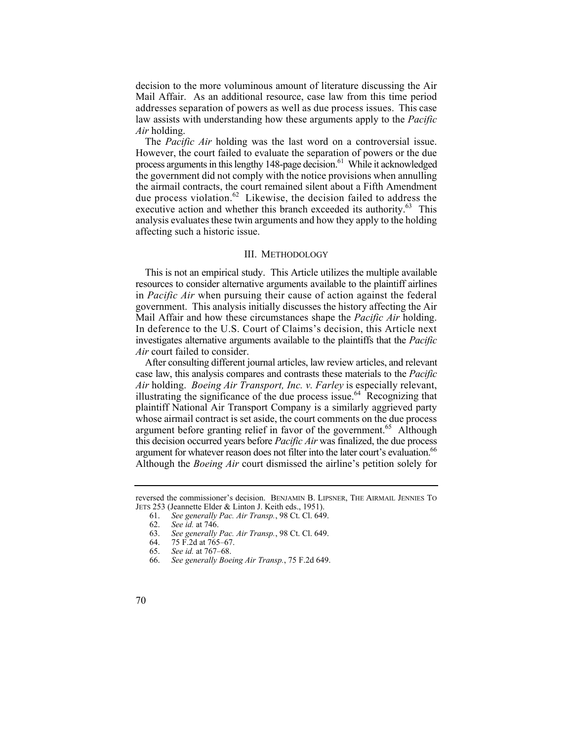addresses separation of powers as well as due process issues. This case decision to the more voluminous amount of literature discussing the Air Mail Affair. As an additional resource, case law from this time period law assists with understanding how these arguments apply to the *Pacific Air* holding.

The *Pacific Air* holding was the last word on a controversial issue. However, the court failed to evaluate the separation of powers or the due process arguments in this lengthy 148-page decision.<sup>61</sup> While it acknowledged the government did not comply with the notice provisions when annulling the airmail contracts, the court remained silent about a Fifth Amendment due process [violation.](https://violation.62)<sup>62</sup> Likewise, the decision failed to address the executive action and whether this branch exceeded its authority.<sup>63</sup> This analysis evaluates these twin arguments and how they apply to the holding affecting such a historic issue.

## III. METHODOLOGY

 This is not an empirical study. This Article utilizes the multiple available resources to consider alternative arguments available to the plaintiff airlines in *Pacific Air* when pursuing their cause of action against the federal government. This analysis initially discusses the history affecting the Air Mail Affair and how these circumstances shape the *Pacific Air* holding. In deference to the U.S. Court of Claims's decision, this Article next investigates alternative arguments available to the plaintiffs that the *Pacific Air* court failed to consider.

 case law, this analysis compares and contrasts these materials to the *Pacific Air* holding. *Boeing Air Transport, Inc. v. Farley* is especially relevant, argument for whatever reason does not filter into the later court's evaluation.<sup>66</sup> After consulting different journal articles, law review articles, and relevant illustrating the significance of the due process [issue.](https://issue.64)<sup>64</sup> Recognizing that plaintiff National Air Transport Company is a similarly aggrieved party whose airmail contract is set aside, the court comments on the due process argument before granting relief in favor of the [government.](https://government.65)<sup>65</sup> Although this decision occurred years before *Pacific Air* was finalized, the due process Although the *Boeing Air* court dismissed the airline's petition solely for

reversed the commissioner's decision. BENJAMIN B. LIPSNER, THE AIRMAIL JENNIES TO JETS 253 (Jeannette Elder & Linton J. Keith eds., 1951).<br>61. See generally Pac. Air Transp., 98 Ct. Cl. 649

<sup>61.</sup> *See generally Pac. Air Transp.*, 98 Ct. Cl. 649.

<sup>62.</sup> *See id.* at 746.

<sup>63.</sup> *See generally Pac. Air Transp.*, 98 Ct. Cl. 649.

<sup>75</sup> F.2d at 765–67.

<sup>65.</sup> *See id.* at 767–68.

<sup>66.</sup> *See generally Boeing Air Transp.*, 75 F.2d 649.

<sup>70</sup>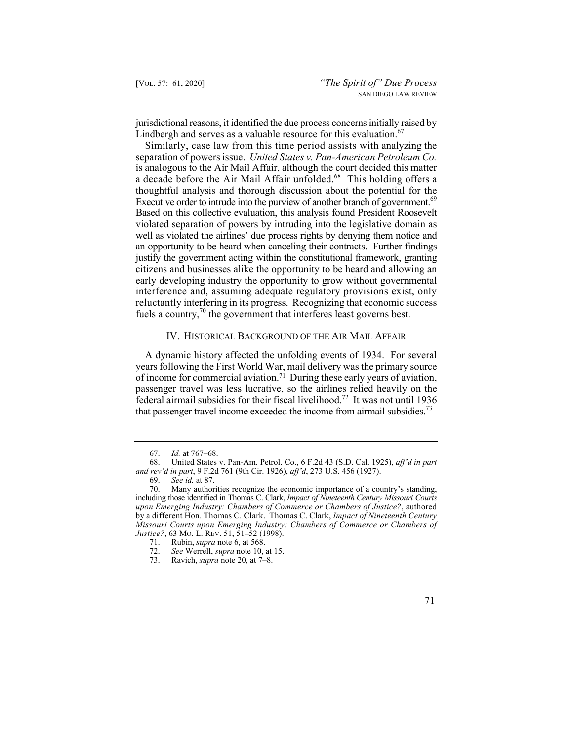jurisdictional reasons, it identified the due process concerns initially raised by Lindbergh and serves as a valuable resource for this evaluation.  $67$ 

 Similarly, case law from this time period assists with analyzing the a decade before the Air Mail Affair [unfolded.](https://unfolded.68)<sup>68</sup> This holding offers a Executive order to intrude into the purview of another branch of government.<sup>69</sup> an opportunity to be heard when canceling their contracts. Further findings separation of powers issue. *United States v. Pan-American Petroleum Co.*  is analogous to the Air Mail Affair, although the court decided this matter thoughtful analysis and thorough discussion about the potential for the Based on this collective evaluation, this analysis found President Roosevelt violated separation of powers by intruding into the legislative domain as well as violated the airlines' due process rights by denying them notice and justify the government acting within the constitutional framework, granting citizens and businesses alike the opportunity to be heard and allowing an early developing industry the opportunity to grow without governmental interference and, assuming adequate regulatory provisions exist, only reluctantly interfering in its progress. Recognizing that economic success fuels a country, $\frac{70}{10}$  the government that interferes least governs best.

## IV. HISTORICAL BACKGROUND OF THE AIR MAIL AFFAIR

A dynamic history affected the unfolding events of 1934. For several years following the First World War, mail delivery was the primary source of income for commercial [aviation.71](https://aviation.71) During these early years of aviation, passenger travel was less lucrative, so the airlines relied heavily on the federal airmail subsidies for their fiscal livelihood.<sup>72</sup> It was not until 1936 that passenger travel income exceeded the income from airmail subsidies.<sup>73</sup>

<sup>67.</sup> *Id.* at 767–68.

<sup>68.</sup> United States v. Pan-Am. Petrol. Co., 6 F.2d 43 (S.D. Cal. 1925), *aff'd in part and rev'd in part*, 9 F.2d 761 (9th Cir. 1926), *aff'd*, 273 U.S. 456 (1927).

<sup>69.</sup> *See id.* at 87.

<sup>70.</sup> Many authorities recognize the economic importance of a country's standing, including those identified in Thomas C. Clark, *Impact of Nineteenth Century Missouri Courts upon Emerging Industry: Chambers of Commerce or Chambers of Justice?*, authored by a different Hon. Thomas C. Clark. Thomas C. Clark, *Impact of Nineteenth Century Missouri Courts upon Emerging Industry: Chambers of Commerce or Chambers of Justice?*, 63 Mo. L. REV. 51, 51–52 (1998).<br>71. Rubin. *supra* note 6, at 568.

Rubin, *supra* note 6, at 568.

<sup>72.</sup> *See* Werrell, *supra* note 10, at 15.

<sup>73.</sup> Ravich, *supra* note 20, at 7–8.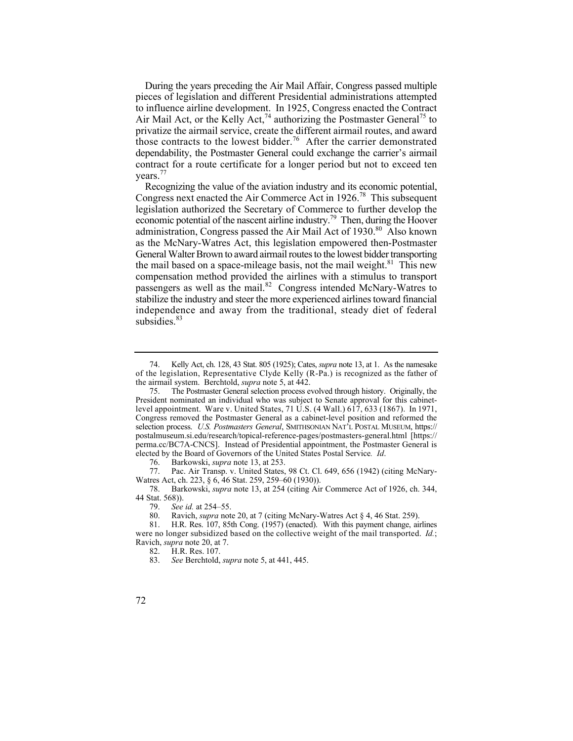During the years preceding the Air Mail Affair, Congress passed multiple pieces of legislation and different Presidential administrations attempted to influence airline development. In 1925, Congress enacted the Contract Air Mail Act, or the Kelly Act,<sup>74</sup> authorizing the Postmaster General<sup>75</sup> to privatize the airmail service, create the different airmail routes, and award those contracts to the lowest [bidder.](https://bidder.76)<sup>76</sup> After the carrier demonstrated dependability, the Postmaster General could exchange the carrier's airmail contract for a route certificate for a longer period but not to exceed ten vears.<sup>77</sup>

economic potential of the nascent airline industry.<sup>79</sup> Then, during the Hoover Recognizing the value of the aviation industry and its economic potential, Congress next enacted the Air Commerce Act in 1926.<sup>78</sup> This subsequent legislation authorized the Secretary of Commerce to further develop the administration, Congress passed the Air Mail Act of 1930.<sup>80</sup> Also known as the McNary-Watres Act, this legislation empowered then-Postmaster General Walter Brown to award airmail routes to the lowest bidder transporting the mail based on a space-mileage basis, not the mail weight.<sup>81</sup> This new compensation method provided the airlines with a stimulus to transport passengers as well as the mail.<sup>82</sup> Congress intended McNary-Watres to stabilize the industry and steer the more experienced airlines toward financial independence and away from the traditional, steady diet of federal [subsidies.](https://subsidies.83)<sup>83</sup>

<sup>74.</sup> Kelly Act, ch. 128, 43 Stat. 805 (1925); Cates, *supra* note 13, at 1. As the namesake of the legislation, Representative Clyde Kelly (R-Pa.) is recognized as the father of the airmail system. Berchtold, *supra* note 5, at 442.

<sup>75.</sup> The Postmaster General selection process evolved through history. Originally, the President nominated an individual who was subject to Senate approval for this cabinetlevel appointment. Ware v. United States, 71 U.S. (4 Wall.) 617, 633 (1867). In 1971, Congress removed the Postmaster General as a cabinet-level position and reformed the selection process. *U.S. Postmasters General*, SMITHSONIAN NAT'L POSTAL MUSEUM, https:// [postalmuseum.si.edu/research/topical-reference-pages/postmasters-general.html](https://postalmuseum.si.edu/research/topical-reference-pages/postmasters-general.html) [https:// perma.cc/BC7A-CNCS]. Instead of Presidential appointment, the Postmaster General is elected by the Board of Governors of the United States Postal Service*. Id*.

<sup>76.</sup> Barkowski, *supra* note 13, at 253.

<sup>77.</sup> Pac. Air Transp. v. United States, 98 Ct. Cl. 649, 656 (1942) (citing McNary-Watres Act, ch. 223, § 6, 46 Stat. 259, 259–60 (1930)).

<sup>78.</sup> Barkowski, *supra* note 13, at 254 (citing Air Commerce Act of 1926, ch. 344, 44 Stat. 568)).

<sup>79.</sup> *See id.* at 254–55.

Ravich, *supra* note 20, at 7 (citing McNary-Watres Act § 4, 46 Stat. 259).

<sup>81.</sup> H.R. Res. 107, 85th Cong. (1957) (enacted). With this payment change, airlines were no longer subsidized based on the collective weight of the mail transported. *Id.*; Ravich, *supra* note 20, at 7.

<sup>82.</sup> H.R. Res. 107.

<sup>83.</sup> *See* Berchtold, *supra* note 5, at 441, 445.

<sup>72</sup>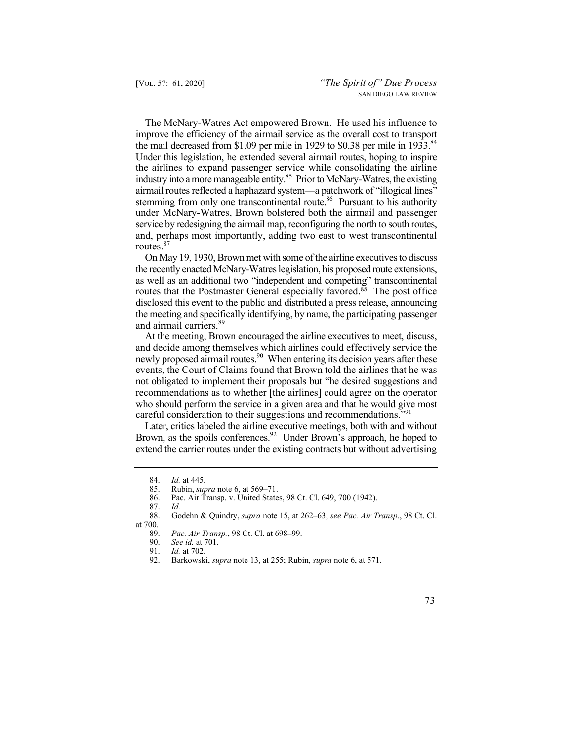the mail decreased from \$1.09 per mile in 1929 to \$0.38 per mile in 1933.<sup>84</sup> stemming from only one transcontinental route.<sup>86</sup> Pursuant to his authority The McNary-Watres Act empowered Brown. He used his influence to improve the efficiency of the airmail service as the overall cost to transport Under this legislation, he extended several airmail routes, hoping to inspire the airlines to expand passenger service while consolidating the airline industry into a more manageable entity.<sup>85</sup> Prior to McNary-Watres, the existing airmail routes reflected a haphazard system—a patchwork of "illogical lines" under McNary-Watres, Brown bolstered both the airmail and passenger service by redesigning the airmail map, reconfiguring the north to south routes, and, perhaps most importantly, adding two east to west transcontinental routes.<sup>87</sup>

 On May 19, 1930, Brown met with some of the airline executives to discuss the recently enacted McNary-Watres legislation, his proposed route extensions, as well as an additional two "independent and competing" transcontinental routes that the Postmaster General especially favored.<sup>88</sup> The post office disclosed this event to the public and distributed a press release, announcing the meeting and specifically identifying, by name, the participating passenger and airmail [carriers.](https://carriers.89)<sup>89</sup>

 At the meeting, Brown encouraged the airline executives to meet, discuss, newly proposed airmail routes.<sup>90</sup> When entering its decision years after these and decide among themselves which airlines could effectively service the events, the Court of Claims found that Brown told the airlines that he was not obligated to implement their proposals but "he desired suggestions and recommendations as to whether [the airlines] could agree on the operator who should perform the service in a given area and that he would give most careful consideration to their suggestions and recommendations."<sup>91</sup>

Brown, as the spoils conferences.<sup>92</sup> Under Brown's approach, he hoped to Later, critics labeled the airline executive meetings, both with and without extend the carrier routes under the existing contracts but without advertising

<sup>84.</sup> *Id.* at 445.

<sup>85.</sup> Rubin, *supra* note 6, at 569–71.

<sup>86.</sup> Pac. Air Transp. v. United States, 98 Ct. Cl. 649, 700 (1942).

<sup>87.</sup> *Id.* 88. Godehn & Quindry, *supra* note 15, at 262–63; *see Pac. Air Transp*., 98 Ct. Cl. at 700.

<sup>89.</sup> *Pac. Air Transp.*, 98 Ct. Cl. at 698–99.

<sup>90.</sup> *See id.* at 701.

<sup>91.</sup> *Id.* at 702.

<sup>92.</sup> Barkowski, *supra* note 13, at 255; Rubin, *supra* note 6, at 571.

 <sup>73</sup>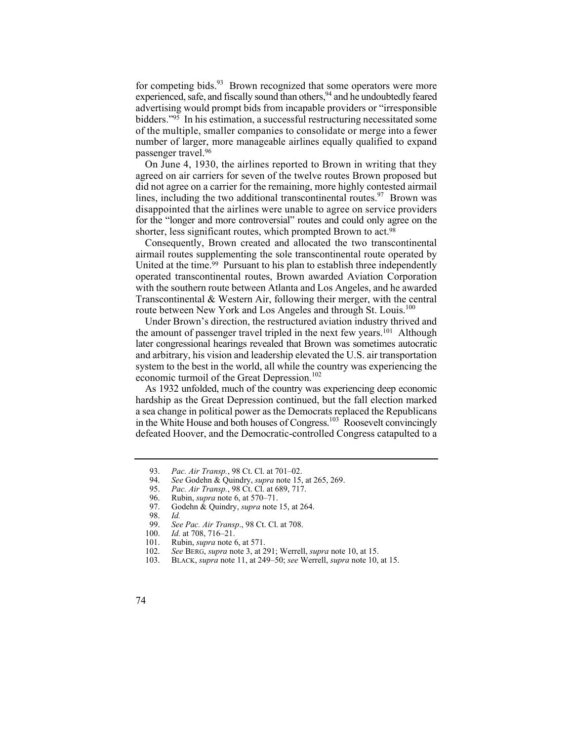for competing bids. $93$  Brown recognized that some operators were more experienced, safe, and fiscally sound than others,  $94$  and he undoubtedly feared advertising would prompt bids from incapable providers or "irresponsible bidders."95 In his estimation, a successful restructuring necessitated some of the multiple, smaller companies to consolidate or merge into a fewer number of larger, more manageable airlines equally qualified to expand passenger [travel.96](https://travel.96)

On June 4, 1930, the airlines reported to Brown in writing that they agreed on air carriers for seven of the twelve routes Brown proposed but did not agree on a carrier for the remaining, more highly contested airmail lines, including the two additional transcontinental routes.<sup>97</sup> Brown was disappointed that the airlines were unable to agree on service providers for the "longer and more controversial" routes and could only agree on the shorter, less significant routes, which prompted Brown to act.<sup>98</sup>

Consequently, Brown created and allocated the two transcontinental airmail routes supplementing the sole transcontinental route operated by United at the time.<sup>99</sup> Pursuant to his plan to establish three independently operated transcontinental routes, Brown awarded Aviation Corporation with the southern route between Atlanta and Los Angeles, and he awarded Transcontinental & Western Air, following their merger, with the central route between New York and Los Angeles and through St. Louis.<sup>100</sup>

Under Brown's direction, the restructured aviation industry thrived and the amount of passenger travel tripled in the next few years.<sup>101</sup> Although later congressional hearings revealed that Brown was sometimes autocratic and arbitrary, his vision and leadership elevated the U.S. air transportation system to the best in the world, all while the country was experiencing the economic turmoil of the Great Depression.<sup>102</sup>

As 1932 unfolded, much of the country was experiencing deep economic hardship as the Great Depression continued, but the fall election marked a sea change in political power as the Democrats replaced the Republicans in the White House and both houses of Congress.<sup>103</sup> Roosevelt convincingly defeated Hoover, and the Democratic-controlled Congress catapulted to a

99. *See Pac. Air Transp*., 98 Ct. Cl. at 708.

102. *See* BERG, *supra* note 3, at 291; Werrell, *supra* note 10, at 15.

<sup>93.</sup> *Pac. Air Transp.*, 98 Ct. Cl. at 701–02.

<sup>94.</sup> *See* Godehn & Quindry, *supra* note 15, at 265, 269.

<sup>95.</sup> *Pac. Air Transp.*, 98 Ct. Cl. at 689, 717.

<sup>96.</sup> Rubin, *supra* note 6, at 570–71.<br>97. Godehn & Ouindry, *supra* note

Godehn & Quindry, *supra* note 15, at 264.<br>Id.

<sup>98.</sup> *Id.*

<sup>100.</sup> *Id.* at 708, 716–21.<br>101. Rubin, *supra* note 6 Rubin, *supra* note 6, at 571.

<sup>103.</sup> BLACK, *supra* note 11, at 249–50; *see* Werrell, *supra* note 10, at 15.

<sup>74</sup>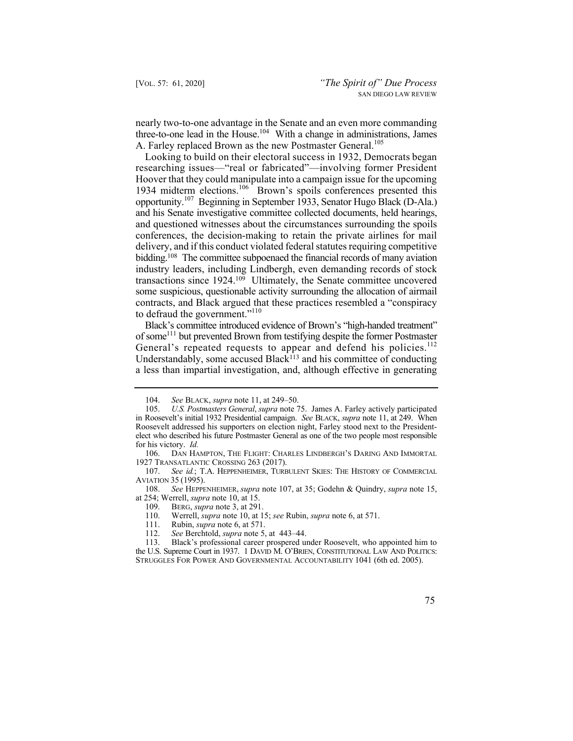nearly two-to-one advantage in the Senate and an even more commanding three-to-one lead in the House.<sup>104</sup> With a change in administrations, James A. Farley replaced Brown as the new Postmaster General.<sup>105</sup>

 opportunity.107 Beginning in September 1933, Senator Hugo Black (D-Ala.) Looking to build on their electoral success in 1932, Democrats began researching issues—"real or fabricated"—involving former President Hoover that they could manipulate into a campaign issue for the upcoming 1934 midterm elections.<sup>106</sup> Brown's spoils conferences presented this and his Senate investigative committee collected documents, held hearings, and questioned witnesses about the circumstances surrounding the spoils conferences, the decision-making to retain the private airlines for mail delivery, and if this conduct violated federal statutes requiring competitive bidding.<sup>108</sup> The committee subpoenaed the financial records of many aviation industry leaders, including Lindbergh, even demanding records of stock transactions since 1924.109 Ultimately, the Senate committee uncovered some suspicious, questionable activity surrounding the allocation of airmail contracts, and Black argued that these practices resembled a "conspiracy to defraud the government."<sup>110</sup>

 Black's committee introduced evidence of Brown's "high-handed treatment" General's repeated requests to appear and defend his policies.<sup>112</sup> of some<sup>111</sup> but prevented Brown from testifying despite the former Postmaster Understandably, some accused  $Black^{113}$  and his committee of conducting a less than impartial investigation, and, although effective in generating

108. *See* HEPPENHEIMER, *supra* note 107, at 35; Godehn & Quindry, *supra* note 15, at 254; Werrell, *supra* note 10, at 15.

109. BERG, *supra* note 3, at 291.

110. Werrell, *supra* note 10, at 15; *see* Rubin, *supra* note 6, at 571.

111. Rubin, *supra* note 6, at 571.

112. *See* Berchtold, *supra* note 5, at 443–44.

Black's professional career prospered under Roosevelt, who appointed him to the U.S. Supreme Court in 1937. 1 DAVID M. O'BRIEN, CONSTITUTIONAL LAW AND POLITICS: STRUGGLES FOR POWER AND GOVERNMENTAL ACCOUNTABILITY 1041 (6th ed. 2005).

<sup>104.</sup> *See* BLACK, *supra* note 11, at 249–50.

<sup>105.</sup> *U.S. Postmasters General*, *supra* note 75. James A. Farley actively participated in Roosevelt's initial 1932 Presidential campaign. *See* BLACK, *supra* note 11, at 249. When Roosevelt addressed his supporters on election night, Farley stood next to the Presidentelect who described his future Postmaster General as one of the two people most responsible for his victory. *Id.*

 <sup>106.</sup> DAN HAMPTON, THE FLIGHT: CHARLES LINDBERGH'S DARING AND IMMORTAL 1927 TRANSATLANTIC CROSSING 263 (2017).

<sup>107.</sup> *See id.*; T.A. HEPPENHEIMER, TURBULENT SKIES: THE HISTORY OF COMMERCIAL AVIATION 35 (1995).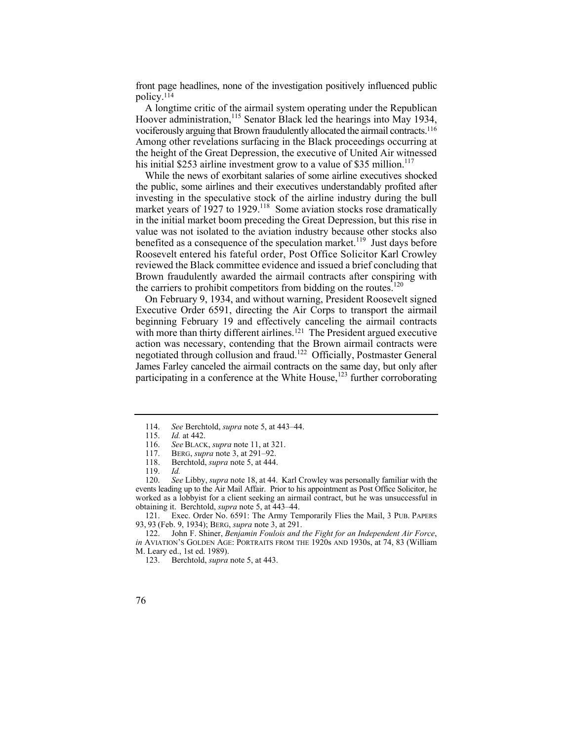front page headlines, none of the investigation positively influenced public policy.114

 vociferously arguing that Brown fraudulently allocated the airmail contracts.116 A longtime critic of the airmail system operating under the Republican Hoover administration,<sup>115</sup> Senator Black led the hearings into May 1934, Among other revelations surfacing in the Black proceedings occurring at the height of the Great Depression, the executive of United Air witnessed his initial \$253 airline investment grow to a value of \$35 million.<sup>117</sup>

 the public, some airlines and their executives understandably profited after While the news of exorbitant salaries of some airline executives shocked investing in the speculative stock of the airline industry during the bull market years of  $1927$  to  $1929$ <sup>118</sup> Some aviation stocks rose dramatically in the initial market boom preceding the Great Depression, but this rise in value was not isolated to the aviation industry because other stocks also benefited as a consequence of the speculation market.<sup>119</sup> Just days before Roosevelt entered his fateful order, Post Office Solicitor Karl Crowley reviewed the Black committee evidence and issued a brief concluding that Brown fraudulently awarded the airmail contracts after conspiring with the carriers to prohibit competitors from bidding on the routes.<sup>120</sup>

On February 9, 1934, and without warning, President Roosevelt signed Executive Order 6591, directing the Air Corps to transport the airmail beginning February 19 and effectively canceling the airmail contracts with more than thirty different airlines.<sup>121</sup> The President argued executive action was necessary, contending that the Brown airmail contracts were negotiated through collusion and fraud.122 Officially, Postmaster General James Farley canceled the airmail contracts on the same day, but only after participating in a conference at the White House, $123$  further corroborating

 events leading up to the Air Mail Affair. Prior to his appointment as Post Office Solicitor, he 120. *See* Libby, *supra* note 18, at 44. Karl Crowley was personally familiar with the worked as a lobbyist for a client seeking an airmail contract, but he was unsuccessful in obtaining it. Berchtold, *supra* note 5, at 443–44.

121. Exec. Order No. 6591: The Army Temporarily Flies the Mail, 3 PUB. PAPERS 93, 93 (Feb. 9, 1934); BERG, *supra* note 3, at 291.

122. John F. Shiner, *Benjamin Foulois and the Fight for an Independent Air Force*, *in* AVIATION'S GOLDEN AGE: PORTRAITS FROM THE 1920s AND 1930s, at 74, 83 (William M. Leary ed., 1st ed. 1989).

<sup>114.</sup> *See* Berchtold, *supra* note 5, at 443–44.

*Id.* at 442.

<sup>116.</sup> *See* BLACK, *supra* note 11, at 321.

<sup>117.</sup> BERG, *supra* note 3, at 291–92.<br>118. Berchtold, *supra* note 5, at 444

Berchtold, *supra* note 5, at 444.

<sup>119.</sup> *Id.*

<sup>123.</sup> Berchtold, *supra* note 5, at 443.

<sup>76</sup>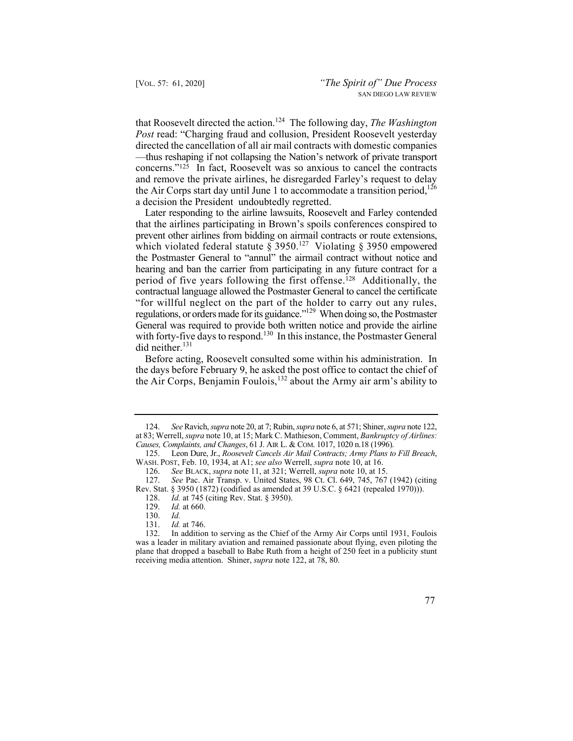that Roosevelt directed the action.124 The following day, *The Washington Post* read: "Charging fraud and collusion, President Roosevelt yesterday directed the cancellation of all air mail contracts with domestic companies —thus reshaping if not collapsing the Nation's network of private transport concerns."125 In fact, Roosevelt was so anxious to cancel the contracts and remove the private airlines, he disregarded Farley's request to delay the Air Corps start day until June 1 to accommodate a transition period,  $126$ a decision the President undoubtedly regretted.

Later responding to the airline lawsuits, Roosevelt and Farley contended that the airlines participating in Brown's spoils conferences conspired to prevent other airlines from bidding on airmail contracts or route extensions, which violated federal statute  $\frac{8}{9}$  3950.<sup>127</sup> Violating § 3950 empowered the Postmaster General to "annul" the airmail contract without notice and hearing and ban the carrier from participating in any future contract for a period of five years following the first offense.128 Additionally, the contractual language allowed the Postmaster General to cancel the certificate "for willful neglect on the part of the holder to carry out any rules, regulations, or orders made for its guidance."129 When doing so, the Postmaster General was required to provide both written notice and provide the airline with forty-five days to respond.<sup>130</sup> In this instance, the Postmaster General did neither.<sup>131</sup>

the Air Corps, Benjamin Foulois,<sup>132</sup> about the Army air arm's ability to Before acting, Roosevelt consulted some within his administration. In the days before February 9, he asked the post office to contact the chief of

 receiving media attention. Shiner, *supra* note 122, at 78, 80. 132. In addition to serving as the Chief of the Army Air Corps until 1931, Foulois was a leader in military aviation and remained passionate about flying, even piloting the plane that dropped a baseball to Babe Ruth from a height of 250 feet in a publicity stunt



 124. *See* Ravich, *supra* note 20, at 7; Rubin, *supra* note 6, at 571; Shiner, *supra* note 122, at 83; Werrell, *supra* note 10, at 15; Mark C. Mathieson, Comment, *Bankruptcy of Airlines: Causes, Complaints, and Changes*, 61 J. AIR L. & COM. 1017, 1020 n.18 (1996).

<sup>125.</sup> Leon Dure, Jr., *Roosevelt Cancels Air Mail Contracts; Army Plans to Fill Breach*, WASH. POST, Feb. 10, 1934, at A1; *see also* Werrell, *supra* note 10, at 16.

<sup>126.</sup> *See* BLACK, *supra* note 11, at 321; Werrell, *supra* note 10, at 15.

<sup>127.</sup> *See* Pac. Air Transp. v. United States, 98 Ct. Cl. 649, 745, 767 (1942) (citing Rev. Stat. § 3950 (1872) (codified as amended at 39 U.S.C. § 6421 (repealed 1970))).

<sup>128.</sup> *Id.* at 745 (citing Rev. Stat. § 3950).

<sup>129.</sup> *Id.* at 660.

<sup>130.</sup> *Id.*

 <sup>131.</sup> *Id.* at 746.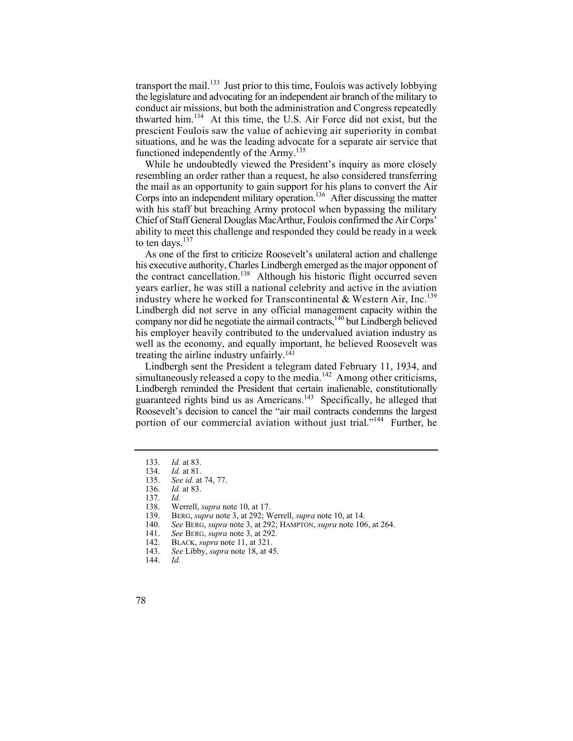transport the mail.<sup>133</sup> Just prior to this time, Foulois was actively lobbying the legislature and advocating for an independent air branch of the military to conduct air missions, but both the administration and Congress repeatedly thwarted him.134 At this time, the U.S. Air Force did not exist, but the prescient Foulois saw the value of achieving air superiority in combat situations, and he was the leading advocate for a separate air service that functioned independently of the  $Army$ <sup>135</sup>

Corps into an independent military operation.<sup>136</sup> After discussing the matter While he undoubtedly viewed the President's inquiry as more closely resembling an order rather than a request, he also considered transferring the mail as an opportunity to gain support for his plans to convert the Air with his staff but breaching Army protocol when bypassing the military Chief of Staff General Douglas MacArthur, Foulois confirmed the Air Corps' ability to meet this challenge and responded they could be ready in a week to ten days.<sup>137</sup>

the contract cancellation.<sup>138</sup> Although his historic flight occurred seven industry where he worked for Transcontinental  $&$  Western Air, Inc.<sup>139</sup> Lindbergh did not serve in any official management capacity within the As one of the first to criticize Roosevelt's unilateral action and challenge his executive authority, Charles Lindbergh emerged as the major opponent of years earlier, he was still a national celebrity and active in the aviation company nor did he negotiate the airmail contracts, $140$  but Lindbergh believed his employer heavily contributed to the undervalued aviation industry as well as the economy, and equally important, he believed Roosevelt was treating the airline industry unfairly.141

Lindbergh sent the President a telegram dated February 11, 1934, and simultaneously released a copy to the media.<sup>142</sup> Among other criticisms, Lindbergh reminded the President that certain inalienable, constitutionally guaranteed rights bind us as Americans.143 Specifically, he alleged that Roosevelt's decision to cancel the "air mail contracts condemns the largest portion of our commercial aviation without just trial."<sup>144</sup> Further, he

140. *See* BERG, *supra* note 3, at 292; HAMPTON, *supra* note 106, at 264.

<sup>133.</sup> *Id.* at 83.

<sup>134.</sup> *Id.* at 81.

<sup>135.</sup> *See id.* at 74, 77.

<sup>136.</sup> *Id.* at 83.

<sup>137.</sup> *Id.*

<sup>138.</sup> Werrell, *supra* note 10, at 17.<br>139. BERG, *supra* note 3, at 292; W

<sup>139.</sup> BERG, *supra* note 3, at 292; Werrell, *supra* note 10, at 14.

<sup>141.</sup> *See* BERG, *supra* note 3, at 292.

BLACK, *supra* note 11, at 321.

<sup>143.</sup> *See* Libby, *supra* note 18, at 45.

<sup>144.</sup> *Id.* 

<sup>78</sup>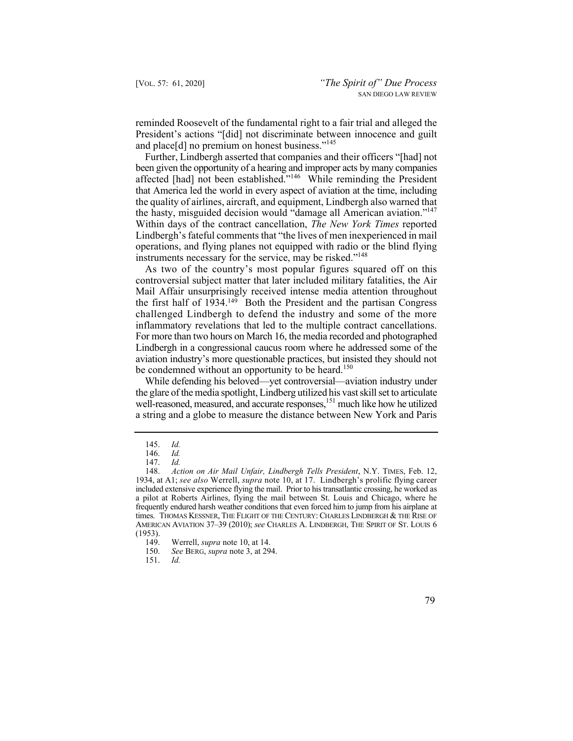reminded Roosevelt of the fundamental right to a fair trial and alleged the President's actions "[did] not discriminate between innocence and guilt and place[d] no premium on honest business."<sup>145</sup>

the hasty, misguided decision would "damage all American aviation."<sup>147</sup> Further, Lindbergh asserted that companies and their officers "[had] not been given the opportunity of a hearing and improper acts by many companies affected [had] not been established."<sup>146</sup> While reminding the President that America led the world in every aspect of aviation at the time, including the quality of airlines, aircraft, and equipment, Lindbergh also warned that Within days of the contract cancellation, *The New York Times* reported Lindbergh's fateful comments that "the lives of men inexperienced in mail operations, and flying planes not equipped with radio or the blind flying instruments necessary for the service, may be risked."<sup>148</sup>

 As two of the country's most popular figures squared off on this controversial subject matter that later included military fatalities, the Air Mail Affair unsurprisingly received intense media attention throughout the first half of 1934.149 Both the President and the partisan Congress challenged Lindbergh to defend the industry and some of the more inflammatory revelations that led to the multiple contract cancellations. For more than two hours on March 16, the media recorded and photographed Lindbergh in a congressional caucus room where he addressed some of the aviation industry's more questionable practices, but insisted they should not be condemned without an opportunity to be heard.<sup>150</sup>

 While defending his beloved—yet controversial—aviation industry under the glare of the media spotlight, Lindberg utilized his vast skill set to articulate well-reasoned, measured, and accurate responses,<sup>151</sup> much like how he utilized a string and a globe to measure the distance between New York and Paris

<sup>145.</sup> *Id.*

 <sup>146.</sup> *Id.*

 <sup>147.</sup> *Id.*

 <sup>148.</sup> *Action on Air Mail Unfair, Lindbergh Tells President*, N.Y. TIMES, Feb. 12, 1934, at A1; *see also* Werrell, *supra* note 10, at 17. Lindbergh's prolific flying career included extensive experience flying the mail. Prior to his transatlantic crossing, he worked as a pilot at Roberts Airlines, flying the mail between St. Louis and Chicago, where he frequently endured harsh weather conditions that even forced him to jump from his airplane at times. THOMAS KESSNER, THE FLIGHT OF THE CENTURY: CHARLES LINDBERGH & THE RISE OF AMERICAN AVIATION 37–39 (2010); *see* CHARLES A. LINDBERGH, THE SPIRIT OF ST. LOUIS 6  $(1953).$ <br>149.

Werrell, *supra* note 10, at 14.

<sup>150.</sup> *See* BERG, *supra* note 3, at 294.

<sup>151.</sup> *Id.*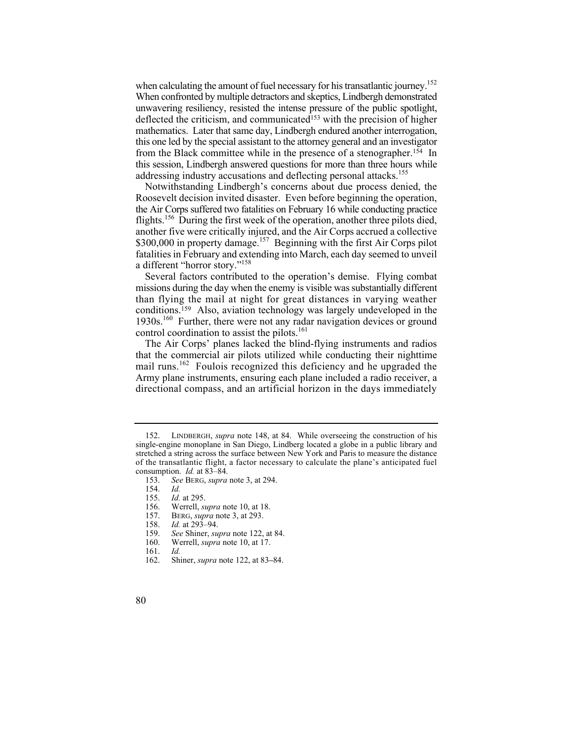when calculating the amount of fuel necessary for his transatlantic journey.<sup>152</sup> When confronted by multiple detractors and skeptics, Lindbergh demonstrated unwavering resiliency, resisted the intense pressure of the public spotlight, deflected the criticism, and communicated<sup>153</sup> with the precision of higher mathematics. Later that same day, Lindbergh endured another interrogation, this one led by the special assistant to the attorney general and an investigator from the Black committee while in the presence of a stenographer.154 In this session, Lindbergh answered questions for more than three hours while addressing industry accusations and deflecting personal attacks.<sup>155</sup>

Notwithstanding Lindbergh's concerns about due process denied, the Roosevelt decision invited disaster. Even before beginning the operation, the Air Corps suffered two fatalities on February 16 while conducting practice flights.<sup>156</sup> During the first week of the operation, another three pilots died, another five were critically injured, and the Air Corps accrued a collective \$300,000 in property damage.<sup>157</sup> Beginning with the first Air Corps pilot fatalities in February and extending into March, each day seemed to unveil a different "horror story."158

Several factors contributed to the operation's demise. Flying combat missions during the day when the enemy is visible was substantially different than flying the mail at night for great distances in varying weather conditions.159 Also, aviation technology was largely undeveloped in the 1930s.<sup>160</sup> Further, there were not any radar navigation devices or ground control coordination to assist the pilots.<sup>161</sup>

The Air Corps' planes lacked the blind-flying instruments and radios that the commercial air pilots utilized while conducting their nighttime mail runs.<sup>162</sup> Foulois recognized this deficiency and he upgraded the Army plane instruments, ensuring each plane included a radio receiver, a directional compass, and an artificial horizon in the days immediately

- BERG, *supra* note 3, at 293.
- 158. *Id.* at 293–94.
- 159. *See* Shiner, *supra* note 122, at 84.
- Werrell, *supra* note 10, at 17.
- 161. *Id.*
- 162. Shiner, *supra* note 122, at 83**–**84.
- 80

<sup>152.</sup> LINDBERGH, *supra* note 148, at 84. While overseeing the construction of his single-engine monoplane in San Diego, Lindberg located a globe in a public library and stretched a string across the surface between New York and Paris to measure the distance of the transatlantic flight, a factor necessary to calculate the plane's anticipated fuel consumption. *Id.* at 83–84.

<sup>153.</sup> *See* BERG, *supra* note 3, at 294.

<sup>154.</sup> *Id.*

 <sup>155.</sup> *Id.* at 295.

<sup>156.</sup> Werrell, *supra* note 10, at 18.<br>157. BERG, *supra* note 3, at 293.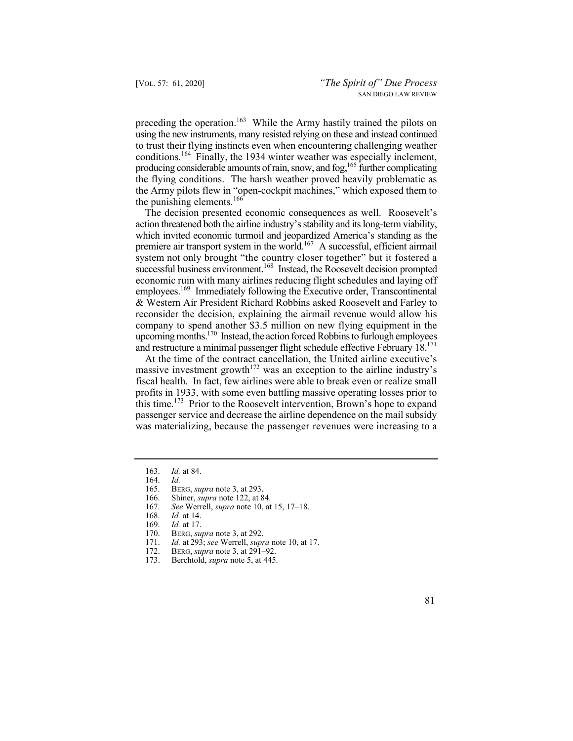preceding the operation.<sup>163</sup> While the Army hastily trained the pilots on using the new instruments, many resisted relying on these and instead continued to trust their flying instincts even when encountering challenging weather conditions.<sup>164</sup> Finally, the 1934 winter weather was especially inclement, producing considerable amounts of rain, snow, and fog,  $165$  further complicating the flying conditions. The harsh weather proved heavily problematic as the Army pilots flew in "open-cockpit machines," which exposed them to the punishing elements. $166$ 

The decision presented economic consequences as well. Roosevelt's action threatened both the airline industry's stability and its long-term viability, which invited economic turmoil and jeopardized America's standing as the premiere air transport system in the world.167 A successful, efficient airmail system not only brought "the country closer together" but it fostered a successful business environment.<sup>168</sup> Instead, the Roosevelt decision prompted economic ruin with many airlines reducing flight schedules and laying off employees.<sup>169</sup> Immediately following the Executive order, Transcontinental & Western Air President Richard Robbins asked Roosevelt and Farley to reconsider the decision, explaining the airmail revenue would allow his company to spend another \$3.5 million on new flying equipment in the upcoming months.<sup>170</sup> Instead, the action forced Robbins to furlough employees and restructure a minimal passenger flight schedule effective February 18.171

At the time of the contract cancellation, the United airline executive's massive investment growth<sup> $172$ </sup> was an exception to the airline industry's fiscal health. In fact, few airlines were able to break even or realize small profits in 1933, with some even battling massive operating losses prior to this time.<sup>173</sup> Prior to the Roosevelt intervention, Brown's hope to expand passenger service and decrease the airline dependence on the mail subsidy was materializing, because the passenger revenues were increasing to a

<sup>163.</sup> *Id.* at 84.

<sup>164.</sup> *Id.*

<sup>165.</sup> BERG, *supra* note 3, at 293.

<sup>166.</sup> Shiner, *supra* note 122, at 84.

<sup>167.</sup> *See* Werrell, *supra* note 10, at 15, 17–18.

*Id.* at 14.

<sup>169.</sup> *Id.* at 17.

<sup>170.</sup> BERG, *supra* note 3, at 292.<br>171. *Id.* at 293: *see* Werrell. *supr* 

*Id.* at 293; *see* Werrell, *supra* note 10, at 17.

<sup>172.</sup> BERG, *supra* note 3, at 291–92.

<sup>173.</sup> Berchtold, *supra* note 5, at 445.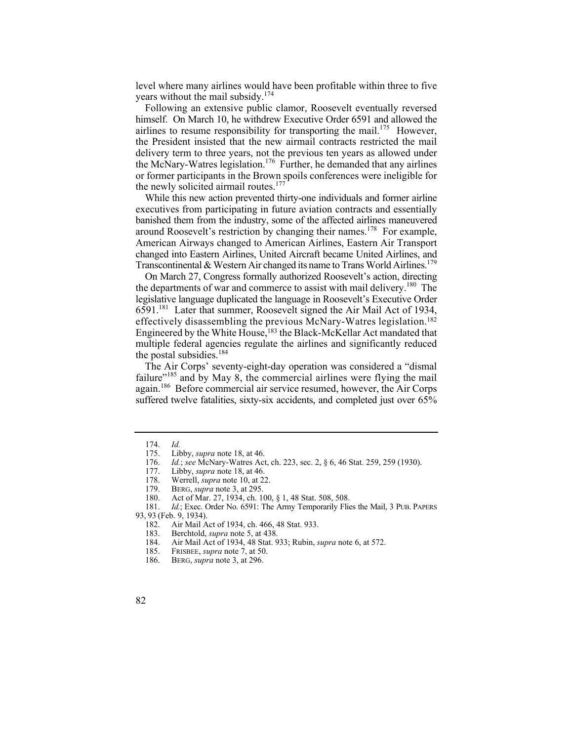level where many airlines would have been profitable within three to five vears without the mail subsidy.<sup>174</sup>

Following an extensive public clamor, Roosevelt eventually reversed himself. On March 10, he withdrew Executive Order 6591 and allowed the airlines to resume responsibility for transporting the mail.<sup>175</sup> However, the President insisted that the new airmail contracts restricted the mail delivery term to three years, not the previous ten years as allowed under the McNary-Watres legislation.<sup>176</sup> Further, he demanded that any airlines or former participants in the Brown spoils conferences were ineligible for the newly solicited airmail routes.<sup>177</sup>

While this new action prevented thirty-one individuals and former airline executives from participating in future aviation contracts and essentially banished them from the industry, some of the affected airlines maneuvered around Roosevelt's restriction by changing their names.<sup>178</sup> For example, American Airways changed to American Airlines, Eastern Air Transpor t changed into Eastern Airlines, United Aircraft became United Airlines, an d Transcontinental & Western Air changed its name to Trans World Airlines.<sup>179</sup>

On March 27, Congress formally authorized Roosevelt's action, directing the departments of war and commerce to assist with mail delivery.<sup>180</sup> The legislative language duplicated the language in Roosevelt's Executive Order 6591.181 Later that summer, Roosevelt signed the Air Mail Act of 1934, effectively disassembling the previous McNary-Watres legislation.182 Engineered by the White House,183 the Black-McKellar Act mandated that multiple federal agencies regulate the airlines and significantly reduced the postal subsidies.<sup>184</sup>

The Air Corps' seventy-eight-day operation was considered a "dismal failure $v<sup>185</sup>$  and by May 8, the commercial airlines were flying the mail again.186 Before commercial air service resumed, however, the Air Corps suffered twelve fatalities, sixty-six accidents, and completed just over 65%

<sup>174.</sup> *Id.*

<sup>175.</sup> Libby, *supra* note 18, at 46.<br>176. *Id.*; *see* McNary-Watres Act

 176. *Id.*; *see* McNary-Watres Act, ch. 223, sec. 2, § 6, 46 Stat. 259, 259 (1930).

<sup>177.</sup> Libby, *supra* note 18, at 46.

Werrell, *supra* note 10, at 22.

<sup>179.</sup> BERG, *supra* note 3, at 295.

<sup>180.</sup> Act of Mar. 27, 1934, ch. 100, § 1, 48 Stat. 508, 508.

 181. *Id.*; Exec. Order No. 6591: The Army Temporarily Flies the Mail, 3 PUB. PAPERS

<sup>93, 93 (</sup>Feb. 9, 1934).

<sup>182.</sup> Air Mail Act of 1934, ch. 466, 48 Stat. 933.

 183. Berchtold, *supra* note 5, at 438.

<sup>184.</sup> Air Mail Act of 1934, 48 Stat. 933; Rubin, *supra* note 6, at 572.

<sup>185.</sup> FRISBEE, *supra* note 7, at 50.

<sup>186.</sup> BERG, *supra* note 3, at 296.

<sup>82</sup>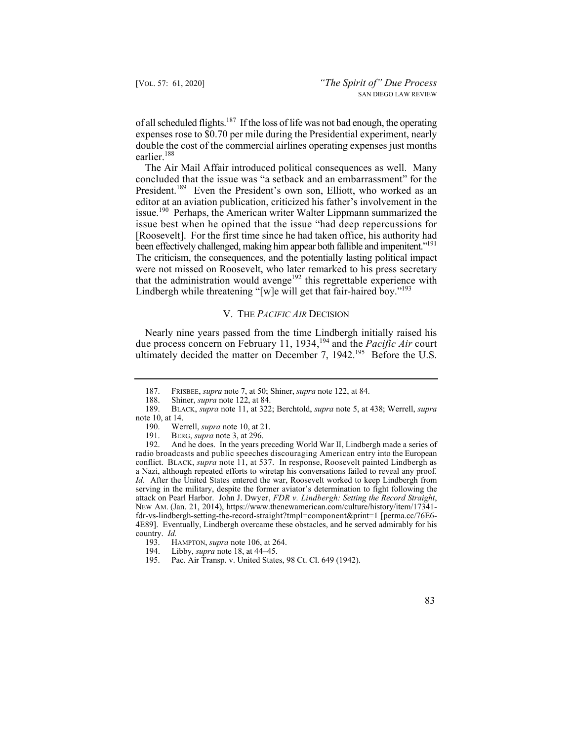of all scheduled flights.<sup>187</sup> If the loss of life was not bad enough, the operating expenses rose to \$0.70 per mile during the Presidential experiment, nearly double the cost of the commercial airlines operating expenses just months earlier.<sup>188</sup>

 concluded that the issue was "a setback and an embarrassment" for the been effectively challenged, making him appear both fallible and impenitent."<sup>191</sup> The Air Mail Affair introduced political consequences as well. Many President.<sup>189</sup> Even the President's own son, Elliott, who worked as an editor at an aviation publication, criticized his father's involvement in the issue.<sup>190</sup> Perhaps, the American writer Walter Lippmann summarized the issue best when he opined that the issue "had deep repercussions for [Roosevelt]. For the first time since he had taken office, his authority had The criticism, the consequences, and the potentially lasting political impact were not missed on Roosevelt, who later remarked to his press secretary that the administration would avenge<sup>192</sup> this regrettable experience with Lindbergh while threatening "[w]e will get that fair-haired boy."<sup>193</sup>

## V. THE *PACIFIC AIR* DECISION

ultimately decided the matter on December 7,  $1942.^{195}$  Before the U.S. Nearly nine years passed from the time Lindbergh initially raised his due process concern on February 11, 1934,194 and the *Pacific Air* court

<sup>195.</sup> Pac. Air Transp. v. United States, 98 Ct. Cl. 649 (1942).



 187. FRISBEE, *supra* note 7, at 50; Shiner, *supra* note 122, at 84.

<sup>188.</sup> Shiner, *supra* note 122, at 84.<br>189. BLACK, *supra* note 11, at 322

<sup>189.</sup> BLACK, *supra* note 11, at 322; Berchtold, *supra* note 5, at 438; Werrell, *supra* note 10, at 14.

<sup>190.</sup> Werrell, *supra* note 10, at 21.<br>191. BERG, *supra* note 3, at 296.

BERG, *supra* note 3, at 296.

<sup>192.</sup> And he does. In the years preceding World War II, Lindbergh made a series of radio broadcasts and public speeches discouraging American entry into the European conflict. BLACK, *supra* note 11, at 537. In response, Roosevelt painted Lindbergh as a Nazi, although repeated efforts to wiretap his conversations failed to reveal any proof. *Id.* After the United States entered the war, Roosevelt worked to keep Lindbergh from serving in the military, despite the former aviator's determination to fight following the attack on Pearl Harbor. John J. Dwyer, *FDR v. Lindbergh: Setting the Record Straight*, NEW AM. (Jan. 21, 2014), <https://www.thenewamerican.com/culture/history/item/17341> fdr-vs-lindbergh-setting-the-record-straight?tmpl=component&print=1 [perma.cc/76E6- 4E89]. Eventually, Lindbergh overcame these obstacles, and he served admirably for his country. *Id.*

HAMPTON, *supra* note 106, at 264.

<sup>194.</sup> Libby, *supra* note 18, at 44–45.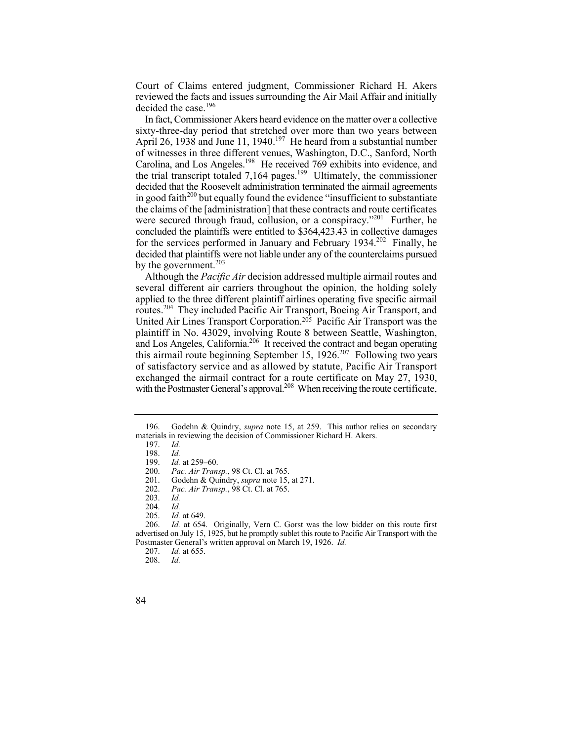Court of Claims entered judgment, Commissioner Richard H. Akers reviewed the facts and issues surrounding the Air Mail Affair and initially decided the case.<sup>196</sup>

In fact, Commissioner Akers heard evidence on the matter over a collective sixty-three-day period that stretched over more than two years between April 26, 1938 and June 11, 1940.<sup>197</sup> He heard from a substantial number of witnesses in three different venues, Washington, D.C., Sanford, North Carolina, and Los Angeles.198 He received 769 exhibits into evidence, and the trial transcript totaled  $7.164$  pages.<sup>199</sup> Ultimately, the commissioner decided that the Roosevelt administration terminated the airmail agreements in good faith<sup> $200$ </sup> but equally found the evidence "insufficient to substantiate" the claims of the [administration] that these contracts and route certificates were secured through fraud, collusion, or a conspiracy."<sup>201</sup> Further, he concluded the plaintiffs were entitled to [\\$364,423.43](https://364,423.43) in collective damages for the services performed in January and February 1934.<sup>202</sup> Finally, he decided that plaintiffs were not liable under any of the counterclaims pursued by the government. $203$ 

and Los Angeles, California.<sup>206</sup> It received the contract and began operating Although the *Pacific Air* decision addressed multiple airmail routes and several different air carriers throughout the opinion, the holding solely applied to the three different plaintiff airlines operating five specific airmail routes.<sup>204</sup> They included Pacific Air Transport, Boeing Air Transport, and United Air Lines Transport Corporation.205 Pacific Air Transport was the plaintiff in No. 43029, involving Route 8 between Seattle, Washington, this airmail route beginning September 15, 1926.<sup>207</sup> Following two years of satisfactory service and as allowed by statute, Pacific Air Transport exchanged the airmail contract for a route certificate on May 27, 1930, with the Postmaster General's approval.<sup>208</sup> When receiving the route certificate,

<sup>196.</sup> Godehn & Quindry, *supra* note 15, at 259. This author relies on secondary materials in reviewing the decision of Commissioner Richard H. Akers.

<sup>197.</sup> *Id.*

 <sup>198.</sup> *Id.*

*Id.* at 259-60.

<sup>200.</sup> *Pac. Air Transp.*, 98 Ct. Cl. at 765.

<sup>201.</sup> Godehn & Quindry, *supra* note 15, at 271.

<sup>202.</sup> *Pac. Air Transp.*, 98 Ct. Cl. at 765.

<sup>203.</sup> *Id.*

 <sup>204.</sup> *Id.*

*Id.* at 649.

 advertised on July 15, 1925, but he promptly sublet this route to Pacific Air Transport with the Postmaster General's written approval on March 19, 1926. *Id.* 206. *Id.* at 654. Originally, Vern C. Gorst was the low bidder on this route first

 <sup>207.</sup> *Id.* at 655.

<sup>208.</sup> *Id.* 

<sup>84</sup>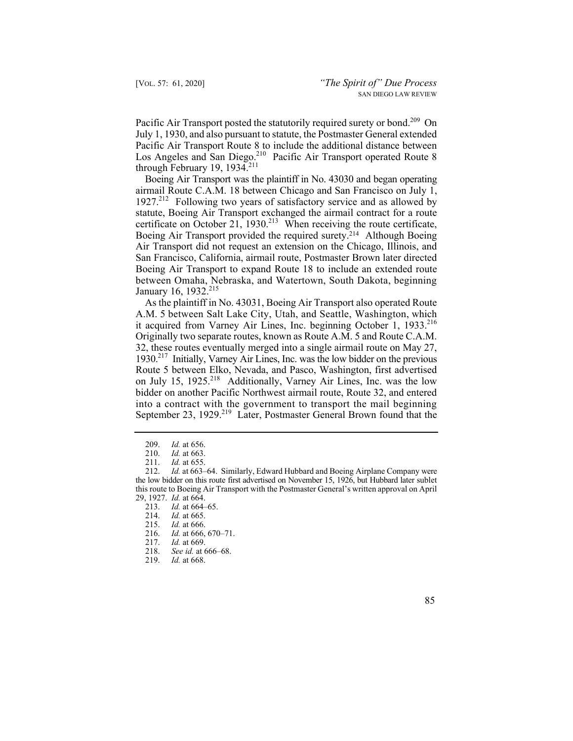Pacific Air Transport posted the statutorily required surety or bond.<sup>209</sup> On July 1, 1930, and also pursuant to statute, the Postmaster General extended Pacific Air Transport Route 8 to include the additional distance between Los Angeles and San Diego.<sup>210</sup> Pacific Air Transport operated Route 8 through February 19, 1934.<sup>211</sup>

Boeing Air Transport provided the required surety.<sup>214</sup> Although Boeing Boeing Air Transport was the plaintiff in No. 43030 and began operating airmail Route C.A.M. 18 between Chicago and San Francisco on July 1, 1927.<sup>212</sup> Following two years of satisfactory service and as allowed by statute, Boeing Air Transport exchanged the airmail contract for a route certificate on October 21,  $1930.<sup>213</sup>$  When receiving the route certificate, Air Transport did not request an extension on the Chicago, Illinois, and San Francisco, California, airmail route, Postmaster Brown later directed Boeing Air Transport to expand Route 18 to include an extended route between Omaha, Nebraska, and Watertown, South Dakota, beginning January 16, 1932.<sup>215</sup>

it acquired from Varney Air Lines, Inc. beginning October 1, 1933.<sup>216</sup> 1930.<sup>217</sup> Initially, Varney Air Lines, Inc. was the low bidder on the previous As the plaintiff in No. 43031, Boeing Air Transport also operated Route A.M. 5 between Salt Lake City, Utah, and Seattle, Washington, which Originally two separate routes, known as Route A.M. 5 and Route C.A.M. 32, these routes eventually merged into a single airmail route on May 27, Route 5 between Elko, Nevada, and Pasco, Washington, first advertised on July 15, 1925.<sup>218</sup> Additionally, Varney Air Lines, Inc. was the low bidder on another Pacific Northwest airmail route, Route 32, and entere d into a contract with the government to transport the mail beginnin g September 23, 1929.<sup>219</sup> Later, Postmaster General Brown found that the

- 215. *Id.* at 666.
- 216. *Id.* at 666, 670–71.<br>217. *Id.* at 669.
- *Id.* at 669.
- 218. *See id.* at 666–68.
- 219. *Id.* at 668.
- 85

<sup>209.</sup> *Id.* at 656. 210. *Id.* at 663.

*Id.* at 655.

<sup>212.</sup> *Id.* at 663–64. Similarly, Edward Hubbard and Boeing Airplane Company were the low bidder on this route first advertised on November 15, 1926, but Hubbard later sublet this route to Boeing Air Transport with the Postmaster General's written approval on April 29, 1927. *Id.* at 664.

<sup>213.</sup> *Id.* at 664–65. 214. *Id.* at 665.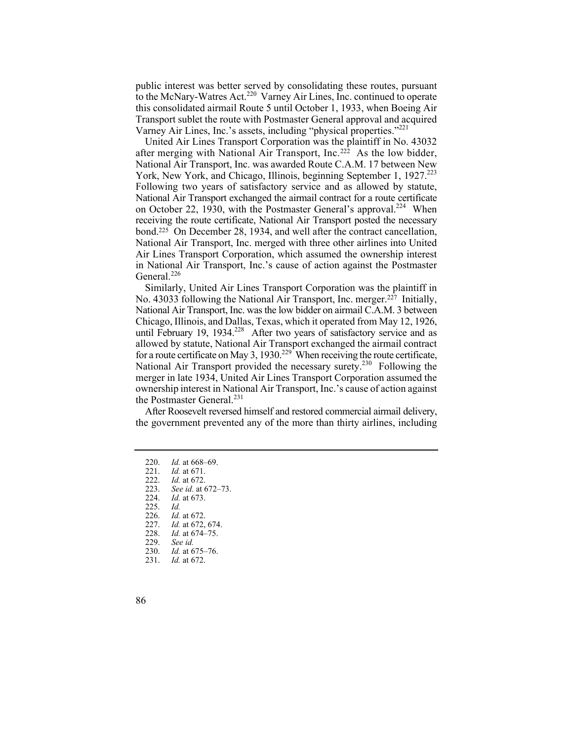public interest was better served by consolidating these routes, pursuant to the McNary-Watres Act.<sup>220</sup> Varney Air Lines, Inc. continued to operate this consolidated airmail Route 5 until October 1, 1933, when Boeing Air Transport sublet the route with Postmaster General approval and acquired Varney Air Lines, Inc.'s assets, including "physical properties."<sup>221</sup>

York, New York, and Chicago, Illinois, beginning September 1, 1927.<sup>223</sup> United Air Lines Transport Corporation was the plaintiff in No. 43032 after merging with National Air Transport, Inc.222 As the low bidder, National Air Transport, Inc. was awarded Route C.A.M. 17 between New Following two years of satisfactory service and as allowed by statute, National Air Transport exchanged the airmail contract for a route certificate on October 22, 1930, with the Postmaster General's approval.<sup>224</sup> When receiving the route certificate, National Air Transport posted the necessary bond.225 On December 28, 1934, and well after the contract cancellation, National Air Transport, Inc. merged with three other airlines into United Air Lines Transport Corporation, which assumed the ownership interest in National Air Transport, Inc.'s cause of action against the Postmaster General.<sup>226</sup>

for a route certificate on May 3, 1930.<sup>229</sup> When receiving the route certificate, Similarly, United Air Lines Transport Corporation was the plaintiff in No. 43033 following the National Air Transport, Inc. merger.<sup>227</sup> Initially, National Air Transport, Inc. was the low bidder on airmail C.A.M. 3 between Chicago, Illinois, and Dallas, Texas, which it operated from May 12, 1926, until February 19, 1934.<sup>228</sup> After two years of satisfactory service and as allowed by statute, National Air Transport exchanged the airmail contract National Air Transport provided the necessary surety.<sup>230</sup> Following the merger in late 1934, United Air Lines Transport Corporation assumed the ownership interest in National Air Transport, Inc.'s cause of action against the Postmaster General.<sup>231</sup>

After Roosevelt reversed himself and restored commercial airmail delivery, the government prevented any of the more than thirty airlines, including

- 220. *Id.* at 668–69.
- 221. *Id.* at 671.
- 222. *Id.* at 672. See id. at 672-73. 224. *Id.* at 673. 225. *Id.*
- 226. *Id.* at 672.
- 227. *Id.* at 672, 674.<br>228. *Id.* at 674–75.
- 228. *Id.* at 674–75.
- See *id.*
- 230. *Id.* at 675–76.
- 231. *Id.* at 672.
- 86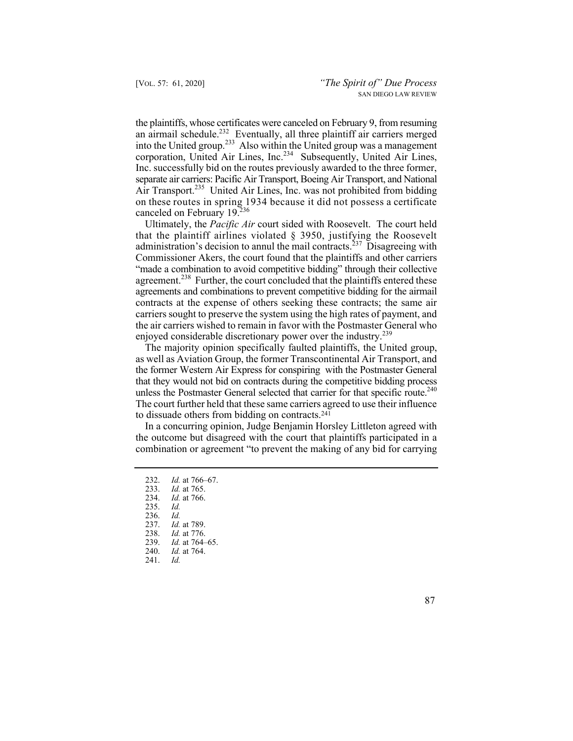the plaintiffs, whose certificates were canceled on February 9, from resuming an airmail schedule.<sup>232</sup> Eventually, all three plaintiff air carriers merged into the United group.<sup>233</sup> Also within the United group was a management corporation, United Air Lines, Inc.<sup>234</sup> Subsequently, United Air Lines, Inc. successfully bid on the routes previously awarded to the three former, separate air carriers: Pacific Air Transport, Boeing Air Transport, and National Air Transport.<sup>235</sup> United Air Lines, Inc. was not prohibited from bidding on these routes in spring 1934 because it did not possess a certificate canceled on February 19.236

Ultimately, the *Pacific Air* court sided with Roosevelt. The court held that the plaintiff airlines violated § 3950, justifying the Roosevelt administration's decision to annul the mail contracts.<sup>237</sup> Disagreeing with Commissioner Akers, the court found that the plaintiffs and other carriers "made a combination to avoid competitive bidding" through their collective agreement.<sup>238</sup> Further, the court concluded that the plaintiffs entered these agreements and combinations to prevent competitive bidding for the airmail contracts at the expense of others seeking these contracts; the same air carriers sought to preserve the system using the high rates of payment, and the air carriers wished to remain in favor with the Postmaster General who enjoyed considerable discretionary power over the industry.<sup>239</sup>

unless the Postmaster General selected that carrier for that specific route.<sup>240</sup> The majority opinion specifically faulted plaintiffs, the United group, as well as Aviation Group, the former Transcontinental Air Transport, and the former Western Air Express for conspiring with the Postmaster General that they would not bid on contracts during the competitive bidding process The court further held that these same carriers agreed to use their influence to dissuade others from bidding on contracts.<sup>241</sup>

In a concurring opinion, Judge Benjamin Horsley Littleton agreed with the outcome but disagreed with the court that plaintiffs participated in a combination or agreement "to prevent the making of any bid for carrying

235. *Id.* 236. *Id.*

237. *Id.* at 789.

238. *Id.* at 776.

*Id.* at 764–65.

240. *Id.* at 764.

241. *Id.* 

<sup>232.</sup> *Id.* at 766–67.<br>233. *Id.* at 765.

<sup>233.</sup> *Id.* at 765.

*Id.* at 766.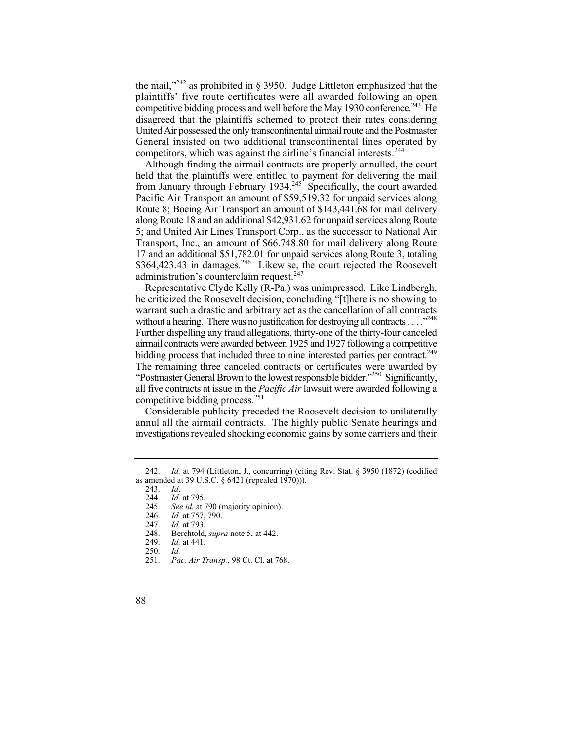the mail," $242$  as prohibited in § 3950. Judge Littleton emphasized that the plaintiffs' five route certificates were all awarded following an open competitive bidding process and well before the May 1930 conference.<sup>243</sup> He disagreed that the plaintiffs schemed to protect their rates considering United Air possessed the only transcontinental airmail route and the Postmaster General insisted on two additional transcontinental lines operated by competitors, which was against the airline's financial interests.<sup>244</sup>

Although finding the airmail contracts are properly annulled, the court held that the plaintiffs were entitled to payment for delivering the mail from January through February 1934. $245$  Specifically, the court awarded Pacific Air Transport an amount of \$[59,519.32](https://59,519.32) for unpaid services along Route 8; Boeing Air Transport an amount of [\\$143,441.68](https://143,441.68) for mail delivery along Route 18 and an additional [\\$42,931.62](https://42,931.62) for unpaid services along Route 5; and United Air Lines Transport Corp., as the successor to National Air Transport, Inc., an amount of [\\$66,748.80](https://66,748.80) for mail delivery along Route 17 and an additional [\\$51,782.01](https://51,782.01) for unpaid services along Route 3, totaling  $$364,423.43$  in damages.<sup>246</sup> Likewise, the court rejected the Roosevelt administration's counterclaim request.<sup>247</sup>

without a hearing. There was no justification for destroying all contracts  $\dots$ <sup>248</sup> Further dispelling any fraud allegations, thirty-one of the thirty-four canceled bidding process that included three to nine interested parties per contract.<sup>249</sup> Representative Clyde Kelly (R-Pa.) was unimpressed. Like Lindbergh, he criticized the Roosevelt decision, concluding "[t]here is no showing to warrant such a drastic and arbitrary act as the cancellation of all contracts airmail contracts were awarded between 1925 and 1927 following a competitive The remaining three canceled contracts or certificates were awarded by "Postmaster General Brown to the lowest responsible bidder."<sup>250</sup> Significantly, all five contracts at issue in the *Pacific Air* lawsuit were awarded following a competitive bidding process.<sup>251</sup>

Considerable publicity preceded the Roosevelt decision to unilaterally annul all the airmail contracts. The highly public Senate hearings and investigations revealed shocking economic gains by some carriers and their

<sup>242.</sup> *Id.* at 794 (Littleton, J., concurring) (citing Rev. Stat. § 3950 (1872) (codified as amended at 39 U.S.C. § 6421 (repealed 1970))).

<sup>243.</sup> *Id*.

<sup>244.</sup> *Id.* at 795.

<sup>245.</sup> *See id.* at 790 (majority opinion).

<sup>246.</sup> *Id.* at 757, 790.

<sup>247.</sup> *Id.* at 793.

 248. Berchtold, *supra* note 5, at 442.

 <sup>249.</sup> *Id.* at 441.

<sup>250.</sup> *Id.*

 <sup>251.</sup> *Pac. Air Transp.*, 98 Ct. Cl. at 768.

<sup>88</sup>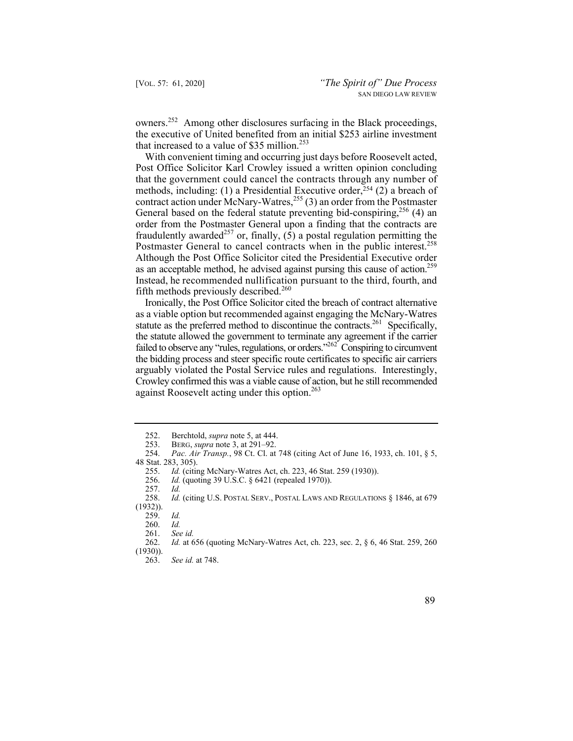owners.252 Among other disclosures surfacing in the Black proceedings, the executive of United benefited from an initial \$253 airline investment that increased to a value of  $$35$  million.<sup>253</sup>

Postmaster General to cancel contracts when in the public interest.<sup>258</sup> as an acceptable method, he advised against pursing this cause of action.<sup>259</sup> With convenient timing and occurring just days before Roosevelt acted, Post Office Solicitor Karl Crowley issued a written opinion concluding that the government could cancel the contracts through any number of methods, including: (1) a Presidential Executive order,  $^{254}$  (2) a breach of contract action under McNary-Watres,<sup>255</sup> (3) an order from the Postmaster General based on the federal statute preventing bid-conspiring,  $256$  (4) an order from the Postmaster General upon a finding that the contracts are fraudulently awarded<sup>257</sup> or, finally,  $(5)$  a postal regulation permitting the Although the Post Office Solicitor cited the Presidential Executive order Instead, he recommended nullification pursuant to the third, fourth, and fifth methods previously described. $260$ 

Ironically, the Post Office Solicitor cited the breach of contract alternative as a viable option but recommended against engaging the McNary-Watres statute as the preferred method to discontinue the contracts.<sup>261</sup> Specifically, the statute allowed the government to terminate any agreement if the carrier failed to observe any "rules, regulations, or orders."<sup>262</sup> Conspiring to circumvent the bidding process and steer specific route certificates to specific air carriers arguably violated the Postal Service rules and regulations. Interestingly, Crowley confirmed this was a viable cause of action, but he still recommended against Roosevelt acting under this option.<sup>263</sup>

*Id.* (quoting 39 U.S.C. § 6421 (repealed 1970)).

<sup>263.</sup> *See id.* at 748.



 252. Berchtold, *supra* note 5, at 444.

<sup>253.</sup> BERG, *supra* note 3, at 291–92.

 254. *Pac. Air Transp.*, 98 Ct. Cl. at 748 (citing Act of June 16, 1933, ch. 101, § 5, 48 Stat. 283, 305).

<sup>255.</sup> *Id.* (citing McNary-Watres Act, ch. 223, 46 Stat. 259 (1930)).<br>256. *Id.* (quoting 39 U.S.C. § 6421 (repealed 1970)).

<sup>257.</sup> *Id.*

 <sup>258.</sup> *Id.* (citing U.S. POSTAL SERV., POSTAL LAWS AND REGULATIONS § 1846, at 679 (1932)).

<sup>259.</sup> *Id.*

 <sup>260.</sup> *Id.*

 <sup>261.</sup> *See id.*

*Id.* at 656 (quoting McNary-Watres Act, ch. 223, sec. 2, § 6, 46 Stat. 259, 260 (1930)).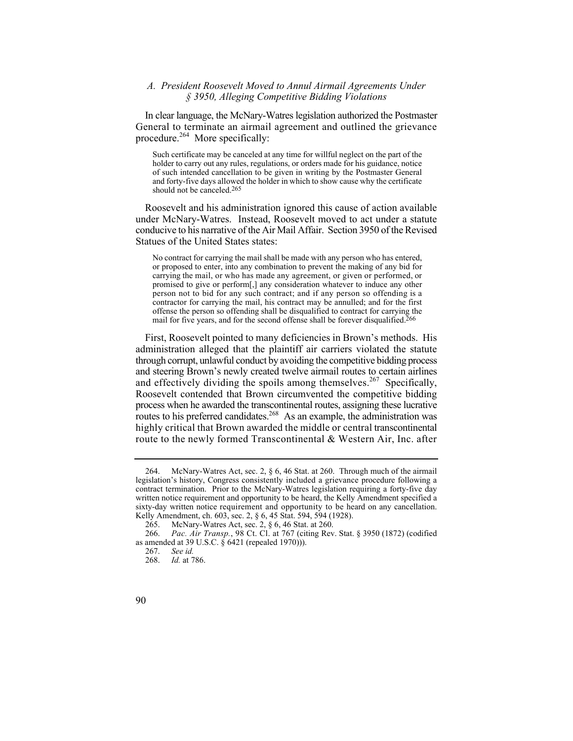# *A. President Roosevelt Moved to Annul Airmail Agreements Under § 3950, Alleging Competitive Bidding Violations*

procedure.<sup>264</sup> More specifically: In clear language, the McNary-Watres legislation authorized the Postmaster General to terminate an airmail agreement and outlined the grievance

 Such certificate may be canceled at any time for willful neglect on the part of the holder to carry out any rules, regulations, or orders made for his guidance, notice of such intended cancellation to be given in writing by the Postmaster General and forty-five days allowed the holder in which to show cause why the certificate should not be canceled.265

Roosevelt and his administration ignored this cause of action available under McNary-Watres. Instead, Roosevelt moved to act under a statute conducive to his narrative of the Air Mail Affair. Section 3950 of the Revised Statues of the United States states:

 carrying the mail, or who has made any agreement, or given or performed, or person not to bid for any such contract; and if any person so offending is a offense the person so offending shall be disqualified to contract for carrying the No contract for carrying the mail shall be made with any person who has entered, or proposed to enter, into any combination to prevent the making of any bid for promised to give or perform[,] any consideration whatever to induce any other contractor for carrying the mail, his contract may be annulled; and for the first mail for five years, and for the second offense shall be forever disqualified.266

 First, Roosevelt pointed to many deficiencies in Brown's methods. His administration alleged that the plaintiff air carriers violated the statute through corrupt, unlawful conduct by avoiding the competitive bidding process and steering Brown's newly created twelve airmail routes to certain airlines and effectively dividing the spoils among themselves.<sup>267</sup> Specifically, Roosevelt contended that Brown circumvented the competitive bidding process when he awarded the transcontinental routes, assigning these lucrative routes to his preferred candidates.<sup>268</sup> As an example, the administration was highly critical that Brown awarded the middle or central transcontinental route to the newly formed Transcontinental & Western Air, Inc. after

<sup>264.</sup> McNary-Watres Act, sec. 2, § 6, 46 Stat. at 260. Through much of the airmail legislation's history, Congress consistently included a grievance procedure following a contract termination. Prior to the McNary-Watres legislation requiring a forty-five day written notice requirement and opportunity to be heard, the Kelly Amendment specified a sixty-day written notice requirement and opportunity to be heard on any cancellation. Kelly Amendment, ch. 603, sec. 2, § 6, 45 Stat. 594, 594 (1928).

<sup>265.</sup> McNary-Watres Act, sec. 2, § 6, 46 Stat. at 260.

 266. *Pac. Air Transp.*, 98 Ct. Cl. at 767 (citing Rev. Stat. § 3950 (1872) (codified as amended at 39 U.S.C.  $\hat{\delta}$  6421 (repealed 1970)).

<sup>267.</sup> *See id.*

 <sup>268.</sup> *Id.* at 786.

<sup>90</sup>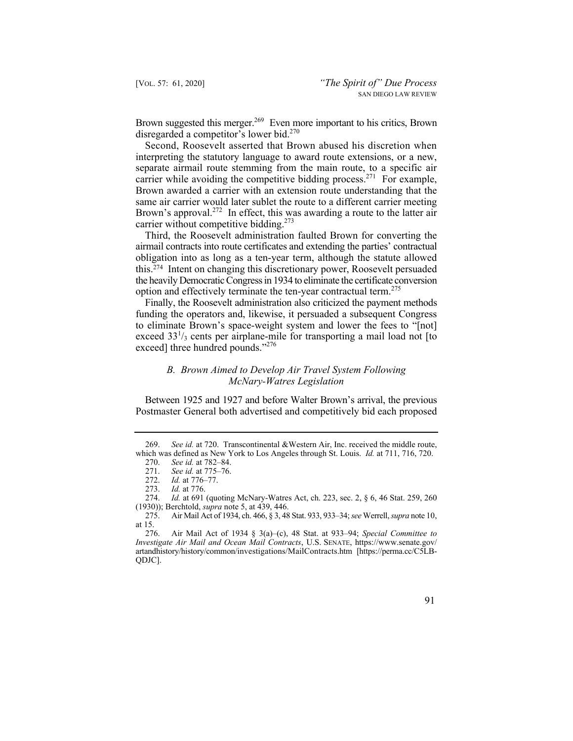Brown suggested this merger.<sup>269</sup> Even more important to his critics, Brown disregarded a competitor's lower bid.<sup>270</sup>

Second, Roosevelt asserted that Brown abused his discretion when interpreting the statutory language to award route extensions, or a new, separate airmail route stemming from the main route, to a specific air carrier while avoiding the competitive bidding process.<sup>271</sup> For example, Brown awarded a carrier with an extension route understanding that the same air carrier would later sublet the route to a different carrier meeting Brown's approval.<sup>272</sup> In effect, this was awarding a route to the latter air carrier without competitive bidding.<sup>273</sup>

Third, the Roosevelt administration faulted Brown for converting the airmail contracts into route certificates and extending the parties' contractual obligation into as long as a ten-year term, although the statute allowed this.274 Intent on changing this discretionary power, Roosevelt persuaded the heavily Democratic Congress in 1934 to eliminate the certificate conversion option and effectively terminate the ten-year contractual term.<sup>275</sup>

Finally, the Roosevelt administration also criticized the payment methods funding the operators and, likewise, it persuaded a subsequent Congress to eliminate Brown's space-weight system and lower the fees to "[not] exceed 33<sup>1</sup>/<sub>3</sub> cents per airplane-mile for transporting a mail load not [to exceed] three hundred pounds."<sup>276</sup>

# *B. Brown Aimed to Develop Air Travel System Following McNary-Watres Legislation*

Between 1925 and 1927 and before Walter Brown's arrival, the previous Postmaster General both advertised and competitively bid each proposed

<sup>269.</sup> *See id.* at 720. Transcontinental &Western Air, Inc. received the middle route, which was defined as New York to Los Angeles through St. Louis. *Id.* at 711, 716, 720.

<sup>270.</sup> *See id.* at 782–84. 271. *See id.* at 775–76.

<sup>272.</sup> *Id.* at 776–77.

<sup>273.</sup> *Id.* at 776.

<sup>274.</sup> *Id.* at 691 (quoting McNary-Watres Act, ch. 223, sec. 2, § 6, 46 Stat. 259, 260

<sup>(1930));</sup> Berchtold, *supra* note 5, at 439, 446. 275. Air Mail Act of 1934, ch. 466, § 3, 48 Stat. 933, 933–34; *see* Werrell, *supra* note 10, at 15.

<sup>276.</sup> Air Mail Act of 1934 § 3(a)–(c), 48 Stat. at 933–94; *Special Committee to Investigate Air Mail and Ocean Mail Contracts*, U.S. SENATE, [https://www.senate.gov/](https://www.senate.gov) artandhistory/history/common/investigations/MailContracts.htm [\[https://perma.cc/C5LB](https://perma.cc/C5LB)-QDJC].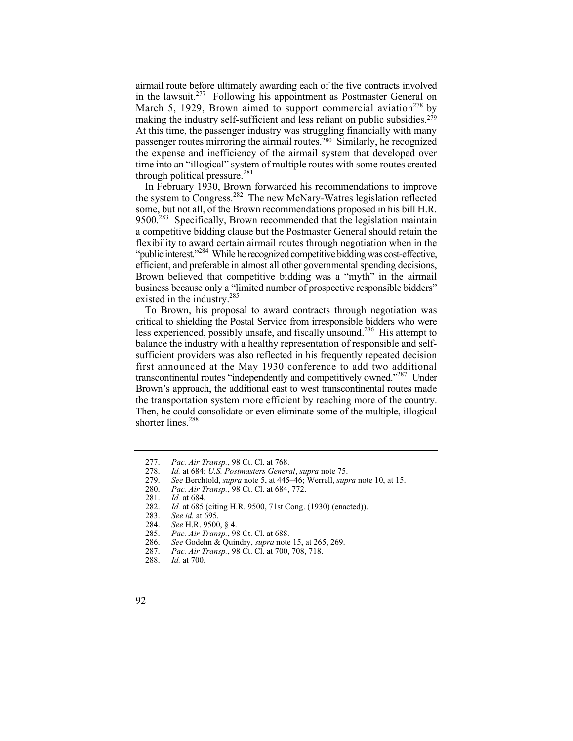airmail route before ultimately awarding each of the five contracts involved in the lawsuit.<sup>277</sup> Following his appointment as Postmaster General on March 5, 1929, Brown aimed to support commercial aviation<sup>278</sup> by making the industry self-sufficient and less reliant on public subsidies.<sup>279</sup> At this time, the passenger industry was struggling financially with many passenger routes mirroring the airmail routes.280 Similarly, he recognized the expense and inefficiency of the airmail system that developed over time into an "illogical" system of multiple routes with some routes created through political pressure. $281$ 

In February 1930, Brown forwarded his recommendations to improve the system to Congress.282 The new McNary-Watres legislation reflected some, but not all, of the Brown recommendations proposed in his bill H.R.  $9500<sup>283</sup>$  Specifically, Brown recommended that the legislation maintain a competitive bidding clause but the Postmaster General should retain the flexibility to award certain airmail routes through negotiation when in the "public interest."284 While he recognized competitive bidding was cost-effective, efficient, and preferable in almost all other governmental spending decisions, Brown believed that competitive bidding was a "myth" in the airmail business because only a "limited number of prospective responsible bidders" existed in the industry.285

To Brown, his proposal to award contracts through negotiation was critical to shielding the Postal Service from irresponsible bidders who were less experienced, possibly unsafe, and fiscally unsound.<sup>286</sup> His attempt to balance the industry with a healthy representation of responsible and selfsufficient providers was also reflected in his frequently repeated decision first announced at the May 1930 conference to add two additional transcontinental routes "independently and competitively owned."<sup>287</sup> Under Brown's approach, the additional east to west transcontinental routes made the transportation system more efficient by reaching more of the country. Then, he could consolidate or even eliminate some of the multiple, illogical shorter lines.<sup>288</sup>

<sup>277.</sup> *Pac. Air Transp.*, 98 Ct. Cl. at 768.

<sup>278.</sup> *Id.* at 684; *U.S. Postmasters General*, *supra* note 75.

<sup>279.</sup> *See* Berchtold, *supra* note 5, at 445–46; Werrell, *supra* note 10, at 15.

<sup>280.</sup> *Pac. Air Transp.*, 98 Ct. Cl. at 684, 772.

<sup>281.</sup> *Id.* at 684.

<sup>282.</sup> *Id.* at 685 (citing H.R. 9500, 71st Cong. (1930) (enacted)).<br>283. *See id.* at 695.

See id. at 695.

<sup>284.</sup> *See* H.R. 9500, § 4.

<sup>285.</sup> *Pac. Air Transp.*, 98 Ct. Cl. at 688.<br>286. *See* Godehn & Quindry, *supra* note

<sup>286.</sup> *See* Godehn & Quindry, *supra* note 15, at 265, 269.

<sup>287.</sup> *Pac. Air Transp.*, 98 Ct. Cl. at 700, 708, 718.

<sup>288.</sup> *Id.* at 700.

<sup>92</sup>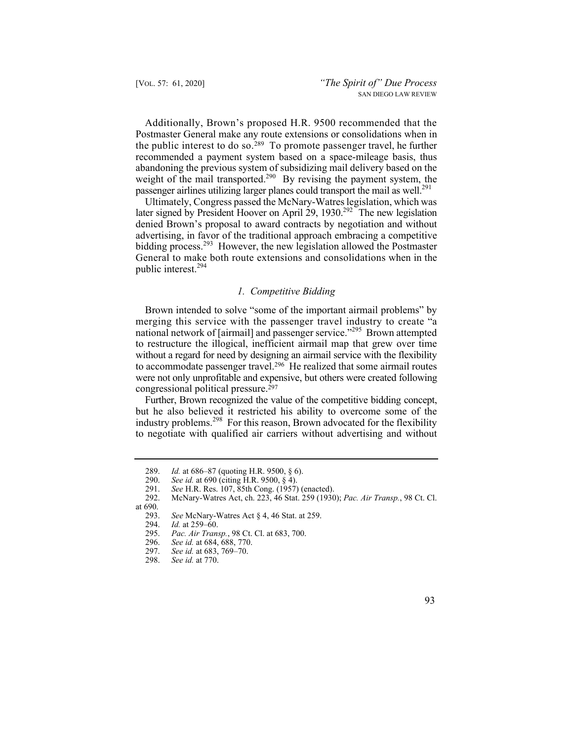the public interest to do so.<sup>289</sup> To promote passenger travel, he further Additionally, Brown's proposed H.R. 9500 recommended that the Postmaster General make any route extensions or consolidations when in recommended a payment system based on a space-mileage basis, thus abandoning the previous system of subsidizing mail delivery based on the weight of the mail transported.<sup>290</sup> By revising the payment system, the passenger airlines utilizing larger planes could transport the mail as well.<sup>291</sup>

later signed by President Hoover on April 29, 1930.<sup>292</sup> The new legislation Ultimately, Congress passed the McNary-Watres legislation, which was denied Brown's proposal to award contracts by negotiation and without advertising, in favor of the traditional approach embracing a competitive bidding process.<sup>293</sup> However, the new legislation allowed the Postmaster General to make both route extensions and consolidations when in the public interest.294

## *1. Competitive Bidding*

Brown intended to solve "some of the important airmail problems" by merging this service with the passenger travel industry to create "a national network of [airmail] and passenger service."<sup>295</sup> Brown attempted to restructure the illogical, inefficient airmail map that grew over time without a regard for need by designing an airmail service with the flexibility to accommodate passenger travel.<sup>296</sup> He realized that some airmail routes were not only unprofitable and expensive, but others were created following congressional political pressure.297

Further, Brown recognized the value of the competitive bidding concept, but he also believed it restricted his ability to overcome some of the industry problems.298 For this reason, Brown advocated for the flexibility to negotiate with qualified air carriers without advertising and without

<sup>289.</sup> *Id.* at 686–87 (quoting H.R. 9500, § 6).<br>290. *See id.* at 690 (citing H.R. 9500, § 4).

See id. at 690 (citing H.R. 9500, § 4).

<sup>291.</sup> *See* H.R. Res. 107, 85th Cong. (1957) (enacted).

<sup>292.</sup> McNary-Watres Act, ch. 223, 46 Stat. 259 (1930); *Pac. Air Transp.*, 98 Ct. Cl.

at  $690.$ <br>293.

See McNary-Watres Act § 4, 46 Stat. at 259.

<sup>294.</sup> *Id.* at 259–60.

<sup>295.</sup> *Pac. Air Transp.*, 98 Ct. Cl. at 683, 700.

See id. at 684, 688, 770.

<sup>297.</sup> *See id.* at 683, 769–70.

<sup>298.</sup> *See id.* at 770.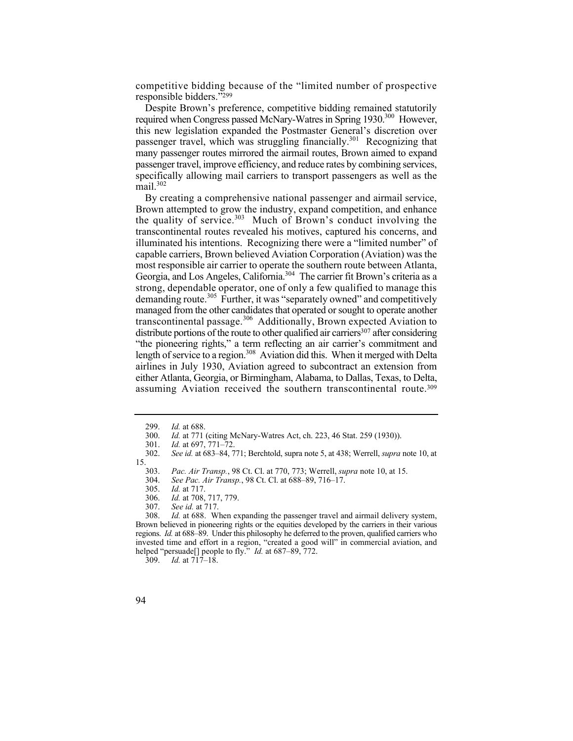competitive bidding because of the "limited number of prospective responsible bidders."299

Despite Brown's preference, competitive bidding remained statutorily required when Congress passed McNary-Watres in Spring 1930.<sup>300</sup> However, this new legislation expanded the Postmaster General's discretion over passenger travel, which was struggling financially.<sup>301</sup> Recognizing that many passenger routes mirrored the airmail routes, Brown aimed to expand passenger travel, improve efficiency, and reduce rates by combining services, specifically allowing mail carriers to transport passengers as well as the  $\text{mail.}^{302}$ 

 By creating a comprehensive national passenger and airmail service, the quality of service. $303$  Much of Brown's conduct involving the Brown attempted to grow the industry, expand competition, and enhance transcontinental routes revealed his motives, captured his concerns, and illuminated his intentions. Recognizing there were a "limited number" of capable carriers, Brown believed Aviation Corporation (Aviation) was the most responsible air carrier to operate the southern route between Atlanta, Georgia, and Los Angeles, California.<sup>304</sup> The carrier fit Brown's criteria as a strong, dependable operator, one of only a few qualified to manage this demanding route.<sup>305</sup> Further, it was "separately owned" and competitively managed from the other candidates that operated or sought to operate another transcontinental passage.306 Additionally, Brown expected Aviation to  $distri$ bute portions of the route to other qualified air carriers $307$  after considering "the pioneering rights," a term reflecting an air carrier's commitment and length of service to a region.<sup>308</sup> Aviation did this. When it merged with Delta airlines in July 1930, Aviation agreed to subcontract an extension from either Atlanta, Georgia, or Birmingham, Alabama, to Dallas, Texas, to Delta, assuming Aviation received the southern transcontinental route.<sup>309</sup>

309. *Id.* at 717–18.



<sup>299.</sup> *Id.* at 688.

*Id.* at 771 (citing McNary-Watres Act, ch. 223, 46 Stat. 259 (1930)).

<sup>301.</sup> *Id.* at 697, 771–72.

<sup>302.</sup> *See id.* at 683–84, 771; Berchtold, supra note 5, at 438; Werrell, *supra* note 10, at  $\frac{15.}{303.}$ 

<sup>303.</sup> *Pac. Air Transp.*, 98 Ct. Cl. at 770, 773; Werrell, *supra* note 10, at 15.

<sup>304.</sup> *See Pac. Air Transp.*, 98 Ct. Cl. at 688–89, 716–17.

<sup>305.</sup> *Id.* at 717.

<sup>306.</sup> *Id.* at 708, 717, 779.

<sup>307.</sup> *See id.* at 717.

Id. at 688. When expanding the passenger travel and airmail delivery system, Brown believed in pioneering rights or the equities developed by the carriers in their various regions. *Id.* at 688–89. Under this philosophy he deferred to the proven, qualified carriers who invested time and effort in a region, "created a good will" in commercial aviation, and helped "persuade[] people to fly." *Id.* at 687–89, 772.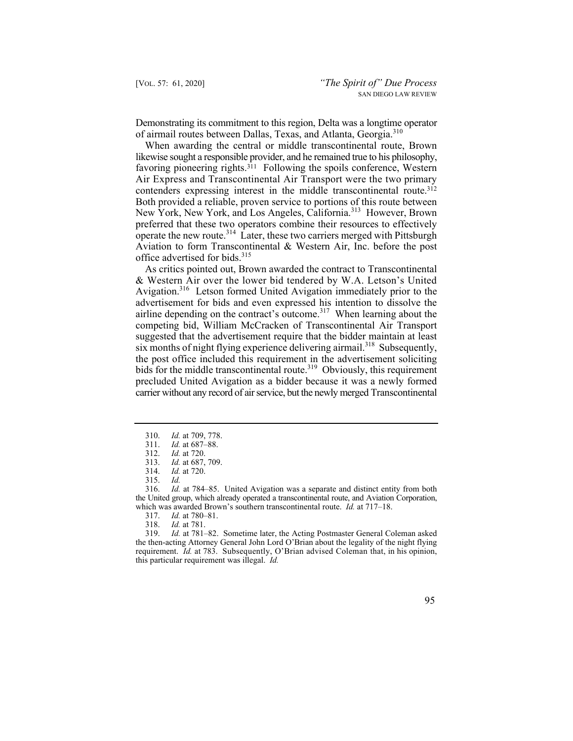Demonstrating its commitment to this region, Delta was a longtime operator of airmail routes between Dallas, Texas, and Atlanta, Georgia.<sup>310</sup>

contenders expressing interest in the middle transcontinental route.<sup>312</sup> New York, New York, and Los Angeles, California.<sup>313</sup> However, Brown When awarding the central or middle transcontinental route, Brown likewise sought a responsible provider, and he remained true to his philosophy, favoring pioneering rights. $311$  Following the spoils conference, Western Air Express and Transcontinental Air Transport were the two primary Both provided a reliable, proven service to portions of this route between preferred that these two operators combine their resources to effectively operate the new route.<sup>314</sup> Later, these two carriers merged with Pittsburgh Aviation to form Transcontinental & Western Air, Inc. before the post office advertised for bids.<sup>315</sup>

As critics pointed out, Brown awarded the contract to Transcontinental & Western Air over the lower bid tendered by W.A. Letson's United Avigation.<sup>316</sup> Letson formed United Avigation immediately prior to the advertisement for bids and even expressed his intention to dissolve the airline depending on the contract's outcome.<sup>317</sup> When learning about the competing bid, William McCracken of Transcontinental Air Transport suggested that the advertisement require that the bidder maintain at least  $s$ ix months of night flying experience delivering airmail.<sup>318</sup> Subsequently, the post office included this requirement in the advertisement soliciting bids for the middle transcontinental route.<sup>319</sup> Obviously, this requirement precluded United Avigation as a bidder because it was a newly formed carrier without any record of air service, but the newly merged Transcontinental

 316. *Id.* at 784–85. United Avigation was a separate and distinct entity from both the United group, which already operated a transcontinental route, and Aviation Corporation, which was awarded Brown's southern transcontinental route. *Id.* at 717–18.<br>317. *Id.* at 780–81.

- 317. *Id.* at 780–81.
- 318. *Id.* at 781.

 319. *Id.* at 781–82. Sometime later, the Acting Postmaster General Coleman asked the then-acting Attorney General John Lord O'Brian about the legality of the night flying requirement. *Id.* at 783. Subsequently, O'Brian advised Coleman that, in his opinion, this particular requirement was illegal. *Id.* 



<sup>310.</sup> *Id.* at 709, 778.

<sup>311.</sup> *Id.* at 687–88.

<sup>312.</sup> *Id.* at 720.

<sup>313.</sup> *Id.* at 687, 709.

<sup>314.</sup> *Id.* at 720.

<sup>315.</sup> *Id.*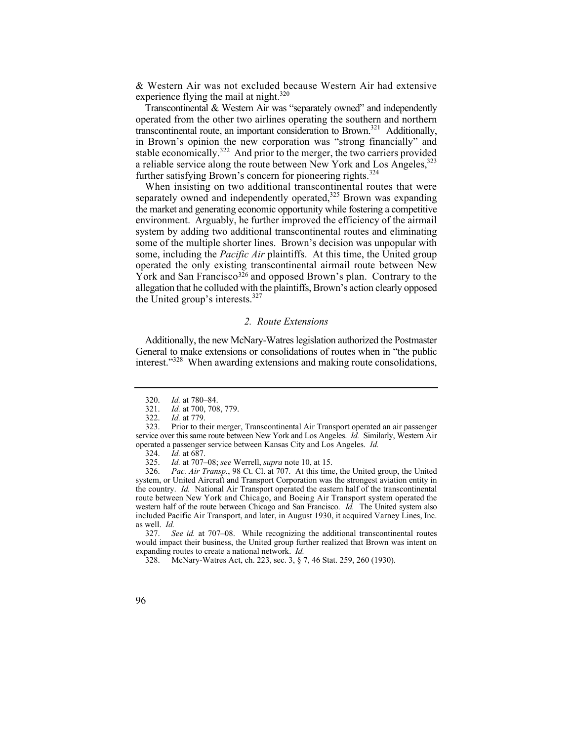& Western Air was not excluded because Western Air had extensive experience flying the mail at night. $320$ 

Transcontinental & Western Air was "separately owned" and independently operated from the other two airlines operating the southern and northern transcontinental route, an important consideration to Brown.321 Additionally, in Brown's opinion the new corporation was "strong financially" and stable economically.<sup>322</sup> And prior to the merger, the two carriers provided a reliable service along the route between New York and Los Angeles,<sup>323</sup> further satisfying Brown's concern for pioneering rights.<sup>324</sup>

 When insisting on two additional transcontinental routes that were separately owned and independently operated, $325$  Brown was expanding the market and generating economic opportunity while fostering a competitive environment. Arguably, he further improved the efficiency of the airmail system by adding two additional transcontinental routes and eliminating some of the multiple shorter lines. Brown's decision was unpopular with some, including the *Pacific Air* plaintiffs. At this time, the United group operated the only existing transcontinental airmail route between New York and San Francisco<sup>326</sup> and opposed Brown's plan. Contrary to the allegation that he colluded with the plaintiffs, Brown's action clearly opposed the United group's interests.<sup>327</sup>

## *2. Route Extensions*

Additionally, the new McNary-Watres legislation authorized the Postmaster General to make extensions or consolidations of routes when in "the public interest."328 When awarding extensions and making route consolidations,

 327. *See id.* at 707–08. While recognizing the additional transcontinental routes would impact their business, the United group further realized that Brown was intent on expanding routes to create a national network. *Id.* 

328. McNary-Watres Act, ch. 223, sec. 3, § 7, 46 Stat. 259, 260 (1930).

<sup>320.</sup> *Id.* at 780–84.

<sup>321.</sup> *Id.* at 700, 708, 779.<br>322. *Id.* at 779.

*Id.* at 779.

<sup>323.</sup> Prior to their merger, Transcontinental Air Transport operated an air passenger service over this same route between New York and Los Angeles. *Id.* Similarly, Western Air operated a passenger service between Kansas City and Los Angeles. *Id.*

 <sup>324.</sup> *Id.* at 687.

<sup>325.</sup> *Id.* at 707–08; *see* Werrell, *supra* note 10, at 15.

<sup>326.</sup> *Pac. Air Transp.*, 98 Ct. Cl. at 707. At this time, the United group, the United system, or United Aircraft and Transport Corporation was the strongest aviation entity in the country. *Id.* National Air Transport operated the eastern half of the transcontinental route between New York and Chicago, and Boeing Air Transport system operated the western half of the route between Chicago and San Francisco. *Id.* The United system also included Pacific Air Transport, and later, in August 1930, it acquired Varney Lines, Inc. as well. *Id.*

<sup>96</sup>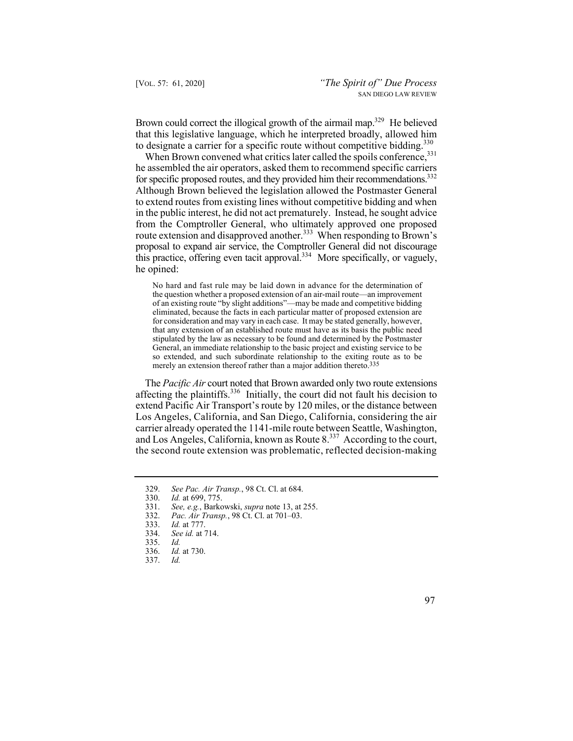Brown could correct the illogical growth of the airmail map.<sup>329</sup> He believed that this legislative language, which he interpreted broadly, allowed him to designate a carrier for a specific route without competitive bidding.<sup>330</sup>

for specific proposed routes, and they provided him their recommendations.<sup>332</sup> When Brown convened what critics later called the spoils conference, 331 he assembled the air operators, asked them to recommend specific carriers Although Brown believed the legislation allowed the Postmaster General to extend routes from existing lines without competitive bidding and when in the public interest, he did not act prematurely. Instead, he sought advice from the Comptroller General, who ultimately approved one proposed route extension and disapproved another.<sup>333</sup> When responding to Brown's proposal to expand air service, the Comptroller General did not discourage this practice, offering even tacit approval.<sup>334</sup> More specifically, or vaguely, he opined:

 No hard and fast rule may be laid down in advance for the determination of for consideration and may vary in each case. It may be stated generally, however, the question whether a proposed extension of an air-mail route—an improvement of an existing route "by slight additions"—may be made and competitive bidding eliminated, because the facts in each particular matter of proposed extension are that any extension of an established route must have as its basis the public need stipulated by the law as necessary to be found and determined by the Postmaster General, an immediate relationship to the basic project and existing service to be so extended, and such subordinate relationship to the exiting route as to be merely an extension thereof rather than a major addition thereto.<sup>335</sup>

The *Pacific Air* court noted that Brown awarded only two route extensions affecting the plaintiffs.336 Initially, the court did not fault his decision to extend Pacific Air Transport's route by 120 miles, or the distance between Los Angeles, California, and San Diego, California, considering the air carrier already operated the 1141-mile route between Seattle, Washington, and Los Angeles, California, known as Route 8.<sup>337</sup> According to the court, the second route extension was problematic, reflected decision-making

<sup>329.</sup> *See Pac. Air Transp.*, 98 Ct. Cl. at 684.

<sup>330.</sup> *Id.* at 699, 775.

<sup>331.</sup> *See, e.g.*, Barkowski, *supra* note 13, at 255.

<sup>332.</sup> *Pac. Air Transp.*, 98 Ct. Cl. at 701–03.

<sup>333.</sup> *Id.* at 777.

<sup>334.</sup> *See id.* at 714.

<sup>335.</sup> *Id.*

<sup>336.</sup> *Id.* at 730.

<sup>337.</sup> *Id.*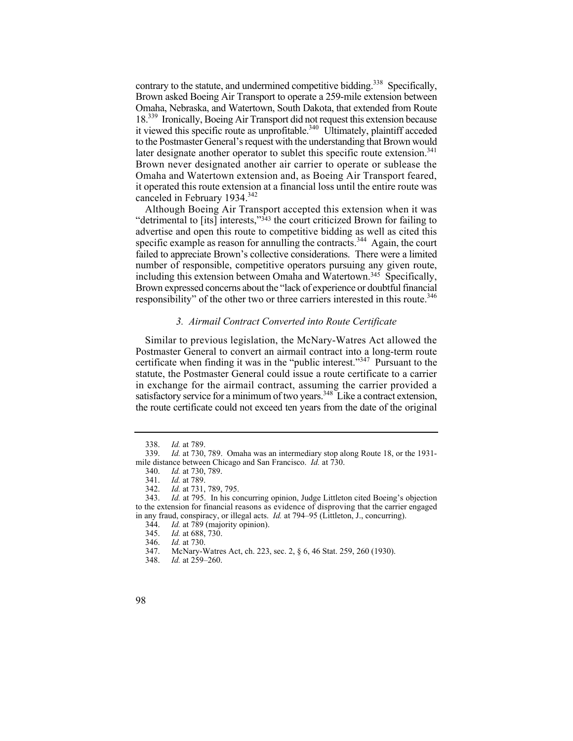18.<sup>339</sup> Ironically, Boeing Air Transport did not request this extension because later designate another operator to sublet this specific route extension.<sup>341</sup> contrary to the statute, and undermined competitive bidding.<sup>338</sup> Specifically, Brown asked Boeing Air Transport to operate a 259-mile extension between Omaha, Nebraska, and Watertown, South Dakota, that extended from Route it viewed this specific route as unprofitable. $340$  Ultimately, plaintiff acceded to the Postmaster General's request with the understanding that Brown would Brown never designated another air carrier to operate or sublease the Omaha and Watertown extension and, as Boeing Air Transport feared, it operated this route extension at a financial loss until the entire route was canceled in February 1934.<sup>342</sup>

Although Boeing Air Transport accepted this extension when it was "detrimental to  $[its]$  interests," $343$  the court criticized Brown for failing to advertise and open this route to competitive bidding as well as cited this specific example as reason for annulling the contracts.<sup>344</sup> Again, the court failed to appreciate Brown's collective considerations. There were a limited number of responsible, competitive operators pursuing any given route, including this extension between Omaha and Watertown.<sup>345</sup> Specifically, Brown expressed concerns about the "lack of experience or doubtful financial responsibility" of the other two or three carriers interested in this route.<sup>346</sup>

# *3. Airmail Contract Converted into Route Certificate*

Similar to previous legislation, the McNary-Watres Act allowed the Postmaster General to convert an airmail contract into a long-term route certificate when finding it was in the "public interest."347 Pursuant to the statute, the Postmaster General could issue a route certificate to a carrier in exchange for the airmail contract, assuming the carrier provided a satisfactory service for a minimum of two years.<sup>348</sup> Like a contract extension, the route certificate could not exceed ten years from the date of the original

<sup>338.</sup> *Id.* at 789.

<sup>339.</sup> *Id.* at 730, 789. Omaha was an intermediary stop along Route 18, or the 1931 mile distance between Chicago and San Francisco. *Id.* at 730.

<sup>340.</sup> *Id.* at 730, 789.

<sup>341.</sup> *Id.* at 789.

<sup>342.</sup> *Id.* at 731, 789, 795.

<sup>343.</sup> *Id.* at 795. In his concurring opinion, Judge Littleton cited Boeing's objection to the extension for financial reasons as evidence of disproving that the carrier engaged in any fraud, conspiracy, or illegal acts. *Id.* at 794–95 (Littleton, J., concurring).

<sup>344.</sup> *Id.* at 789 (majority opinion).<br>345. *Id.* at 688, 730.

<sup>345.</sup> *Id.* at 688, 730.

<sup>346.</sup> *Id.* at 730.

<sup>347.</sup> McNary-Watres Act, ch. 223, sec. 2, § 6, 46 Stat. 259, 260 (1930).

<sup>348.</sup> *Id.* at 259–260.

<sup>98</sup>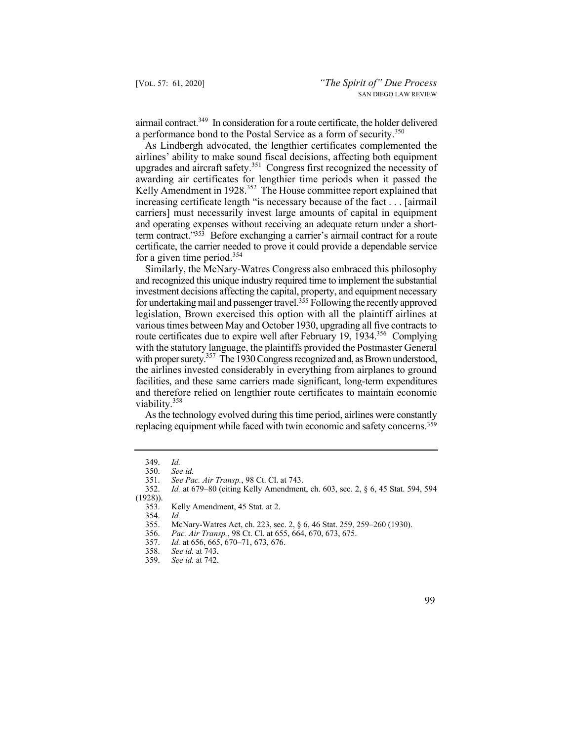airmail contract.<sup>349</sup> In consideration for a route certificate, the holder delivered a performance bond to the Postal Service as a form of security.<sup>350</sup>

As Lindbergh advocated, the lengthier certificates complemented the airlines' ability to make sound fiscal decisions, affecting both equipment upgrades and aircraft safety.<sup>351</sup> Congress first recognized the necessity of awarding air certificates for lengthier time periods when it passed the Kelly Amendment in 1928.<sup>352</sup> The House committee report explained that increasing certificate length "is necessary because of the fact . . . [airmail carriers] must necessarily invest large amounts of capital in equipment and operating expenses without receiving an adequate return under a shortterm contract."353 Before exchanging a carrier's airmail contract for a route certificate, the carrier needed to prove it could provide a dependable service for a given time period.<sup>354</sup>

route certificates due to expire well after February 19, 1934.<sup>356</sup> Complying with proper surety.<sup>357</sup> The 1930 Congress recognized and, as Brown understood, Similarly, the McNary-Watres Congress also embraced this philosophy and recognized this unique industry required time to implement the substantial investment decisions affecting the capital, property, and equipment necessary for undertaking mail and passenger travel.355 Following the recently approved legislation, Brown exercised this option with all the plaintiff airlines at various times between May and October 1930, upgrading all five contracts to with the statutory language, the plaintiffs provided the Postmaster General the airlines invested considerably in everything from airplanes to ground facilities, and these same carriers made significant, long-term expenditures and therefore relied on lengthier route certificates to maintain economic viability.358

 replacing equipment while faced with twin economic and safety concerns.359 As the technology evolved during this time period, airlines were constantly

354. *Id.* 

<sup>349.</sup> *Id.*

 <sup>350.</sup> *See id.*

 <sup>351.</sup> *See Pac. Air Transp.*, 98 Ct. Cl. at 743.

<sup>352.</sup> *Id.* at 679–80 (citing Kelly Amendment, ch. 603, sec. 2, § 6, 45 Stat. 594, 594 (1928)).

<sup>353.</sup> Kelly Amendment, 45 Stat. at 2.<br>354. Id.

<sup>355.</sup> McNary-Watres Act, ch. 223, sec. 2, § 6, 46 Stat. 259, 259–260 (1930).

<sup>356.</sup> *Pac. Air Transp.*, 98 Ct. Cl. at 655, 664, 670, 673, 675.

Id. at 656, 665, 670–71, 673, 676.

<sup>358.</sup> *See id.* at 743.

<sup>359.</sup> *See id.* at 742.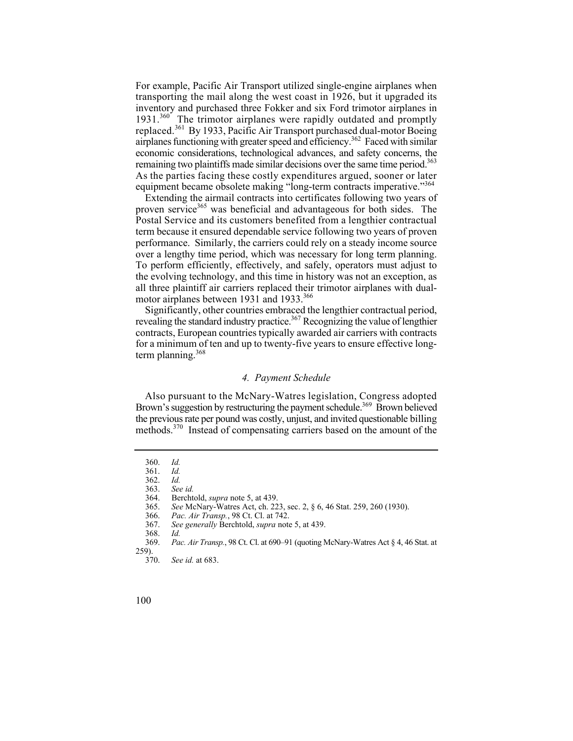airplanes functioning with greater speed and efficiency.<sup>362</sup> Faced with similar remaining two plaintiffs made similar decisions over the same time period.<sup>363</sup> For example, Pacific Air Transport utilized single-engine airplanes when transporting the mail along the west coast in 1926, but it upgraded its inventory and purchased three Fokker and six Ford trimotor airplanes in 1931.<sup>360</sup> The trimotor airplanes were rapidly outdated and promptly replaced.361 By 1933, Pacific Air Transport purchased dual-motor Boeing economic considerations, technological advances, and safety concerns, the As the parties facing these costly expenditures argued, sooner or later equipment became obsolete making "long-term contracts imperative."<sup>364</sup>

Extending the airmail contracts into certificates following two years of proven service<sup>365</sup> was beneficial and advantageous for both sides. The Postal Service and its customers benefited from a lengthier contractual term because it ensured dependable service following two years of proven performance. Similarly, the carriers could rely on a steady income source over a lengthy time period, which was necessary for long term planning. To perform efficiently, effectively, and safely, operators must adjust to the evolving technology, and this time in history was not an exception, as all three plaintiff air carriers replaced their trimotor airplanes with dualmotor airplanes between 1931 and 1933.<sup>366</sup>

Significantly, other countries embraced the lengthier contractual period, revealing the standard industry practice.<sup>367</sup> Recognizing the value of lengthier contracts, European countries typically awarded air carriers with contracts for a minimum of ten and up to twenty-five years to ensure effective longterm planning. 368

## *4. Payment Schedule*

Also pursuant to the McNary-Watres legislation, Congress adopted Brown's suggestion by restructuring the payment schedule.<sup>369</sup> Brown believed the previous rate per pound was costly, unjust, and invited questionable billing methods.370 Instead of compensating carriers based on the amount of the

<sup>360.</sup> *Id.*

 <sup>361.</sup> *Id.*

 <sup>362.</sup> *Id.*

 <sup>363.</sup> *See id.*

 364. Berchtold, *supra* note 5, at 439.

<sup>365.</sup> *See* McNary-Watres Act, ch. 223, sec. 2, § 6, 46 Stat. 259, 260 (1930).

<sup>366.</sup> *Pac. Air Transp.*, 98 Ct. Cl. at 742.

<sup>367.</sup> *See generally* Berchtold, *supra* note 5, at 439.

<sup>368.</sup> *Id.*

 <sup>369.</sup> *Pac. Air Transp.*, 98 Ct. Cl. at 690–91 (quoting McNary-Watres Act § 4, 46 Stat. at  $^{259)}_{370.}$ 

See id. at 683.

<sup>100</sup>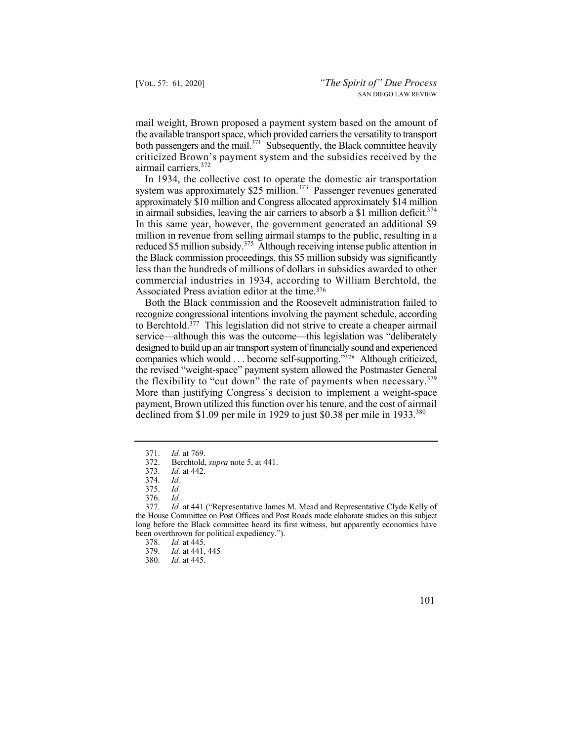mail weight, Brown proposed a payment system based on the amount of the available transport space, which provided carriers the versatility to transport both passengers and the mail.<sup>371</sup> Subsequently, the Black committee heavily criticized Brown's payment system and the subsidies received by the airmail carriers.<sup>372</sup>

in airmail subsidies, leaving the air carriers to absorb a \$1 million deficit.<sup>374</sup> In 1934, the collective cost to operate the domestic air transportation system was approximately  $$25$  million.<sup>373</sup> Passenger revenues generated approximately \$10 million and Congress allocated approximately \$14 million In this same year, however, the government generated an additional \$9 million in revenue from selling airmail stamps to the public, resulting in a reduced \$5 million subsidy.<sup>375</sup> Although receiving intense public attention in the Black commission proceedings, this \$5 million subsidy was significantly less than the hundreds of millions of dollars in subsidies awarded to other commercial industries in 1934, according to William Berchtold, the Associated Press aviation editor at the time.376

the flexibility to "cut down" the rate of payments when necessary. $379$ Both the Black commission and the Roosevelt administration failed to recognize congressional intentions involving the payment schedule, according to Berchtold.377 This legislation did not strive to create a cheaper airmail service—although this was the outcome—this legislation was "deliberately designed to build up an air transport system of financially sound and experienced companies which would . . . become self-supporting."378 Although criticized, the revised "weight-space" payment system allowed the Postmaster General More than justifying Congress's decision to implement a weight-space payment, Brown utilized this function over his tenure, and the cost of airmail declined from \$1.09 per mile in 1929 to just \$0.38 per mile in 1933.<sup>380</sup>

<sup>371.</sup> *Id.* at 769.

 372. Berchtold, *supra* note 5, at 441.

<sup>373.</sup> *Id.* at 442.

<sup>374.</sup> *Id.*

 <sup>375.</sup> *Id.*

 <sup>376.</sup> *Id.* 

<sup>377.</sup> *Id.* at 441 ("Representative James M. Mead and Representative Clyde Kelly of the House Committee on Post Offices and Post Roads made elaborate studies on this subject long before the Black committee heard its first witness, but apparently economics have been overthrown for political expediency.").<br>378. Id. at 445.

*Id.* at 445.

<sup>379.</sup> *Id.* at 441, 445

 <sup>380.</sup> *Id.* at 445.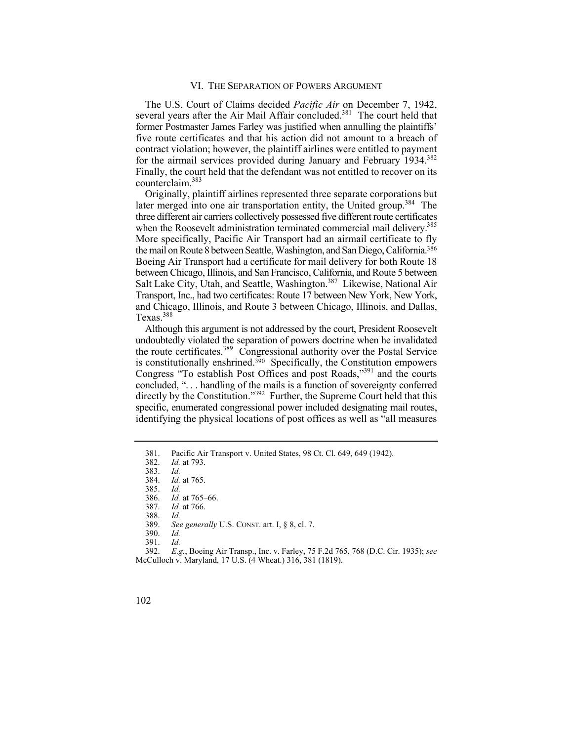## VI. THE SEPARATION OF POWERS ARGUMENT

for the airmail services provided during January and February 1934.<sup>382</sup> The U.S. Court of Claims decided *Pacific Air* on December 7, 1942, several years after the Air Mail Affair concluded.<sup>381</sup> The court held that former Postmaster James Farley was justified when annulling the plaintiffs' five route certificates and that his action did not amount to a breach of contract violation; however, the plaintiff airlines were entitled to payment Finally, the court held that the defendant was not entitled to recover on its counterclaim.<sup>383</sup>

later merged into one air transportation entity, the United group.<sup>384</sup> The when the Roosevelt administration terminated commercial mail delivery.<sup>385</sup> Originally, plaintiff airlines represented three separate corporations but three different air carriers collectively possessed five different route certificates More specifically, Pacific Air Transport had an airmail certificate to fly the mail on Route 8 between Seattle, Washington, and San Diego, California.386 Boeing Air Transport had a certificate for mail delivery for both Route 18 between Chicago, Illinois, and San Francisco, California, and Route 5 between Salt Lake City, Utah, and Seattle, Washington.<sup>387</sup> Likewise, National Air Transport, Inc., had two certificates: Route 17 between New York, New York, and Chicago, Illinois, and Route 3 between Chicago, Illinois, and Dallas, Texas.<sup>388</sup>

Although this argument is not addressed by the court, President Roosevelt undoubtedly violated the separation of powers doctrine when he invalidated the route certificates.389 Congressional authority over the Postal Service is constitutionally enshrined.<sup>390</sup> Specifically, the Constitution empowers Congress "To establish Post Offices and post Roads,"391 and the courts concluded, ". . . handling of the mails is a function of sovereignty conferred directly by the Constitution."<sup>392</sup> Further, the Supreme Court held that this specific, enumerated congressional power included designating mail routes, identifying the physical locations of post offices as well as "all measures

387. *Id.* at 766.

388. *Id.*

391. *Id.*

 392. *E.g.*, Boeing Air Transp., Inc. v. Farley, 75 F.2d 765, 768 (D.C. Cir. 1935); *see*  McCulloch v. Maryland, 17 U.S. (4 Wheat.) 316, 381 (1819).

<sup>381.</sup> Pacific Air Transport v. United States, 98 Ct. Cl. 649, 649 (1942).<br>382. Id. at 793.

*Id.* at 793.

<sup>383.</sup> *Id.*

*Id.* at 765.

<sup>385.</sup> *Id.*

 <sup>386.</sup> *Id.* at 765–66.

 <sup>389.</sup> *See generally* U.S. CONST. art. I, § 8, cl. 7.

<sup>390.</sup> *Id.*

<sup>102</sup>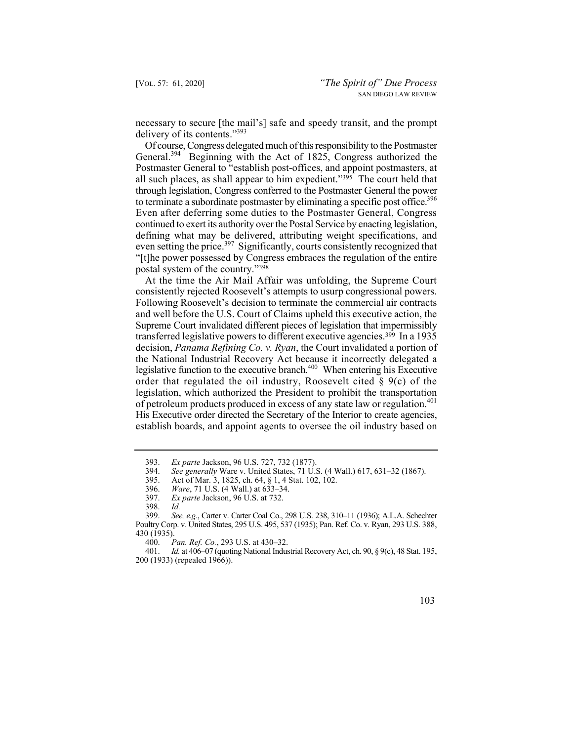necessary to secure [the mail's] safe and speedy transit, and the prompt delivery of its contents."393

to terminate a subordinate postmaster by eliminating a specific post office.<sup>396</sup> Of course, Congress delegated much of this responsibility to the Postmaster General.<sup>394</sup> Beginning with the Act of 1825, Congress authorized the Postmaster General to "establish post-offices, and appoint postmasters, at all such places, as shall appear to him expedient."395 The court held that through legislation, Congress conferred to the Postmaster General the power Even after deferring some duties to the Postmaster General, Congress continued to exert its authority over the Postal Service by enacting legislation, defining what may be delivered, attributing weight specifications, and even setting the price.<sup>397</sup> Significantly, courts consistently recognized that "[t]he power possessed by Congress embraces the regulation of the entire postal system of the country."398

 consistently rejected Roosevelt's attempts to usurp congressional powers. of petroleum products produced in excess of any state law or regulation.<sup>401</sup> At the time the Air Mail Affair was unfolding, the Supreme Court Following Roosevelt's decision to terminate the commercial air contracts and well before the U.S. Court of Claims upheld this executive action, the Supreme Court invalidated different pieces of legislation that impermissibly transferred legislative powers to different executive agencies.<sup>399</sup> In a 1935 decision, *Panama Refining Co. v. Ryan*, the Court invalidated a portion of the National Industrial Recovery Act because it incorrectly delegated a legislative function to the executive branch.<sup>400</sup> When entering his Executive order that regulated the oil industry, Roosevelt cited  $\S$  9(c) of the legislation, which authorized the President to prohibit the transportation His Executive order directed the Secretary of the Interior to create agencies, establish boards, and appoint agents to oversee the oil industry based on

 401. *Id.* at 406–07 (quoting National Industrial Recovery Act, ch. 90, § 9(c), 48 Stat. 195, 200 (1933) (repealed 1966)).



<sup>393.</sup> *Ex parte* Jackson, 96 U.S. 727, 732 (1877).

<sup>394.</sup> *See generally* Ware v. United States, 71 U.S. (4 Wall.) 617, 631–32 (1867).

<sup>395.</sup> Act of Mar. 3, 1825, ch. 64, § 1, 4 Stat. 102, 102.

<sup>396.</sup> *Ware*, 71 U.S. (4 Wall.) at 633–34.

<sup>397.</sup> *Ex parte* Jackson, 96 U.S. at 732.

<sup>398.</sup> *Id.* 399. *See, e.g.*, Carter v. Carter Coal Co., 298 U.S. 238, 310–11 (1936); A.L.A. Schechter Poultry Corp. v. United States, 295 U.S. 495, 537 (1935); Pan. Ref. Co. v. Ryan, 293 U.S. 388, 430 (1935).<br>400. F

<sup>400.</sup> *Pan. Ref. Co.*, 293 U.S. at 430–32.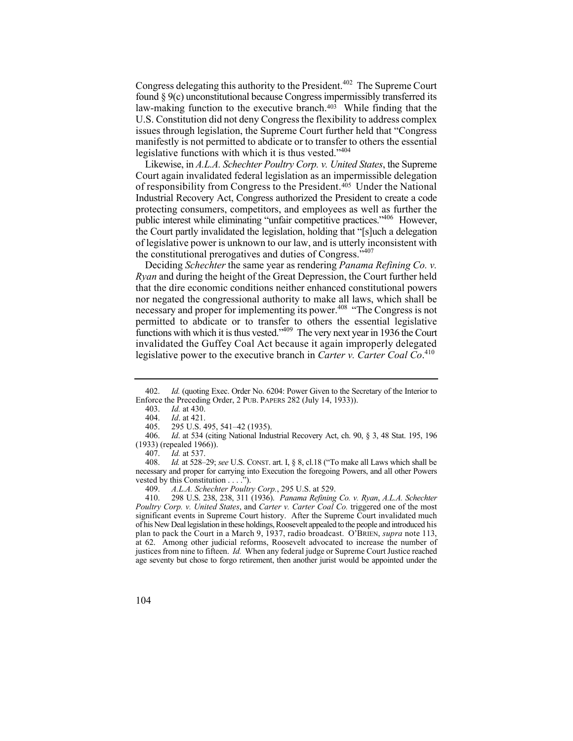Congress delegating this authority to the President.<sup>402</sup> The Supreme Court found § 9(c) unconstitutional because Congress impermissibly transferred its law-making function to the executive branch.<sup>403</sup> While finding that the U.S. Constitution did not deny Congress the flexibility to address complex issues through legislation, the Supreme Court further held that "Congress manifestly is not permitted to abdicate or to transfer to others the essential legislative functions with which it is thus vested."<sup>404</sup>

Likewise, in *A.L.A. Schechter Poultry Corp. v. United States*, the Supreme Court again invalidated federal legislation as an impermissible delegation of responsibility from Congress to the President.<sup>405</sup> Under the National Industrial Recovery Act, Congress authorized the President to create a code protecting consumers, competitors, and employees as well as further the public interest while eliminating "unfair competitive practices."<sup>406</sup> However. the Court partly invalidated the legislation, holding that "[s]uch a delegation of legislative power is unknown to our law, and is utterly inconsistent with the constitutional prerogatives and duties of Congress."<sup>407</sup>

necessary and proper for implementing its power.<sup>408</sup> "The Congress is not Deciding *Schechter* the same year as rendering *Panama Refining Co. v. Ryan* and during the height of the Great Depression, the Court further held that the dire economic conditions neither enhanced constitutional powers nor negated the congressional authority to make all laws, which shall be permitted to abdicate or to transfer to others the essential legislative functions with which it is thus vested." The very next year in 1936 the Court invalidated the Guffey Coal Act because it again improperly delegated legislative power to the executive branch in *Carter v. Carter Coal Co*. 410

403. *Id.* at 430.

407. *Id.* at 537.

*Id.* at 528–29; *see* U.S. CONST. art. I, § 8, cl.18 ("To make all Laws which shall be necessary and proper for carrying into Execution the foregoing Powers, and all other Powers vested by this Constitution . . . .").

409. *A.L.A. Schechter Poultry Corp.*, 295 U.S. at 529.

410. 298 U.S. 238, 238, 311 (1936). *Panama Refining Co. v. Ryan*, *A.L.A. Schechter Poultry Corp. v. United States*, and *Carter v. Carter Coal Co.* triggered one of the most significant events in Supreme Court history. After the Supreme Court invalidated much of his New Deal legislation in these holdings, Roosevelt appealed to the people and introduced his plan to pack the Court in a March 9, 1937, radio broadcast. O'BRIEN, *supra* note 113, at 62. Among other judicial reforms, Roosevelt advocated to increase the number of justices from nine to fifteen. *Id.* When any federal judge or Supreme Court Justice reached age seventy but chose to forgo retirement, then another jurist would be appointed under the



 402. *Id.* (quoting Exec. Order No. 6204: Power Given to the Secretary of the Interior to Enforce the Preceding Order, 2 PUB. PAPERS 282 (July 14, 1933)).<br>403. Id. at 430.

*Id.* at 421.

<sup>405. 295</sup> U.S. 495, 541–42 (1935).

<sup>406.</sup> *Id*. at 534 (citing National Industrial Recovery Act, ch. 90, § 3, 48 Stat. 195, 196 (1933) (repealed 1966)).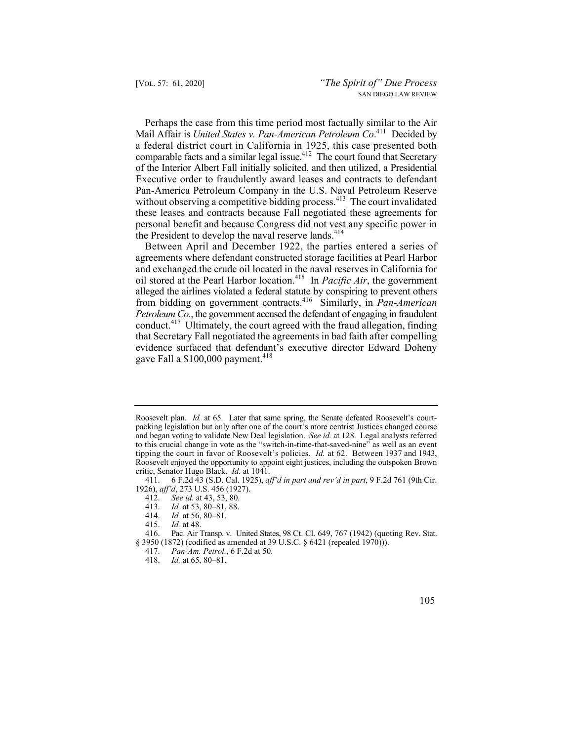Mail Affair is *United States v. Pan-American Petroleum Co*. 411 Decided by Perhaps the case from this time period most factually similar to the Air a federal district court in California in 1925, this case presented both comparable facts and a similar legal issue.<sup>412</sup> The court found that Secretary of the Interior Albert Fall initially solicited, and then utilized, a Presidential Executive order to fraudulently award leases and contracts to defendant Pan-America Petroleum Company in the U.S. Naval Petroleum Reserve without observing a competitive bidding process.<sup>413</sup> The court invalidated these leases and contracts because Fall negotiated these agreements for personal benefit and because Congress did not vest any specific power in the President to develop the naval reserve lands.<sup>414</sup>

Between April and December 1922, the parties entered a series of agreements where defendant constructed storage facilities at Pearl Harbor and exchanged the crude oil located in the naval reserves in California for oil stored at the Pearl Harbor location.415 In *Pacific Air*, the government alleged the airlines violated a federal statute by conspiring to prevent others from bidding on government contracts.416 Similarly, in *Pan-American Petroleum Co.*, the government accused the defendant of engaging in fraudulent conduct.<sup>417</sup> Ultimately, the court agreed with the fraud allegation, finding that Secretary Fall negotiated the agreements in bad faith after compelling evidence surfaced that defendant's executive director Edward Doheny gave Fall a  $$100,000$  payment.<sup>418</sup>

Id. at 56, 80–81.

 Roosevelt plan. *Id.* at 65. Later that same spring, the Senate defeated Roosevelt's court- packing legislation but only after one of the court's more centrist Justices changed course to this crucial change in vote as the "switch-in-time-that-saved-nine" as well as an event and began voting to validate New Deal legislation. *See id.* at 128. Legal analysts referred tipping the court in favor of Roosevelt's policies. *Id.* at 62. Between 1937 and 1943, Roosevelt enjoyed the opportunity to appoint eight justices, including the outspoken Brown critic, Senator Hugo Black. *Id.* at 1041.

<sup>411. 6</sup> F.2d 43 (S.D. Cal. 1925), *aff'd in part and rev'd in part*, 9 F.2d 761 (9th Cir. 1926), *aff'd*, 273 U.S. 456 (1927).

<sup>412.</sup> *See id.* at 43, 53, 80.

<sup>413.</sup> *Id.* at 53, 80–81, 88.

<sup>415.</sup> *Id.* at 48.

<sup>416.</sup> Pac. Air Transp. v. United States, 98 Ct. Cl. 649, 767 (1942) (quoting Rev. Stat. § 3950 (1872) (codified as amended at 39 U.S.C. § 6421 (repealed 1970))).

<sup>417.</sup> *Pan-Am. Petrol.*, 6 F.2d at 50.

<sup>418.</sup> *Id.* at 65, 80–81.

 <sup>105</sup>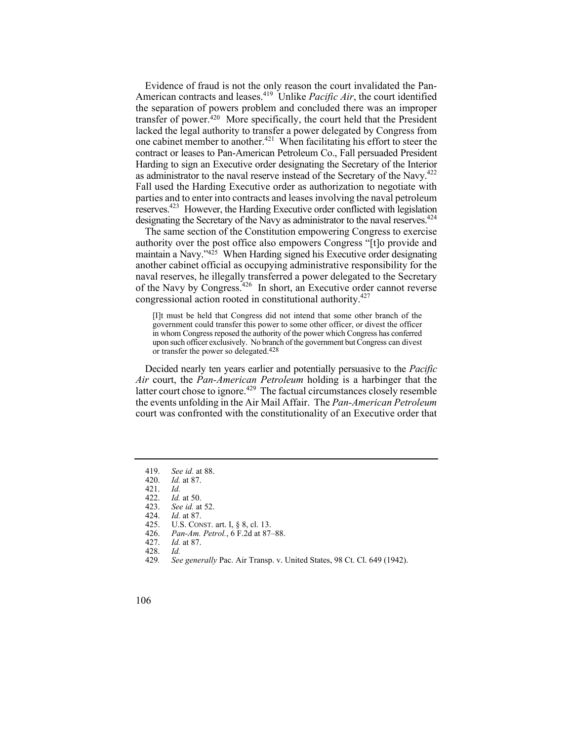as administrator to the naval reserve instead of the Secretary of the Navy. $422$ Evidence of fraud is not the only reason the court invalidated the Pan-American contracts and leases.419 Unlike *Pacific Air*, the court identified the separation of powers problem and concluded there was an improper transfer of power.420 More specifically, the court held that the President lacked the legal authority to transfer a power delegated by Congress from one cabinet member to another.<sup>421</sup> When facilitating his effort to steer the contract or leases to Pan-American Petroleum Co., Fall persuaded President Harding to sign an Executive order designating the Secretary of the Interior Fall used the Harding Executive order as authorization to negotiate with parties and to enter into contracts and leases involving the naval petroleum reserves.423 However, the Harding Executive order conflicted with legislation designating the Secretary of the Navy as administrator to the naval reserves.<sup>424</sup>

of the Navy by Congress.<sup>426</sup> In short, an Executive order cannot reverse The same section of the Constitution empowering Congress to exercise authority over the post office also empowers Congress "[t]o provide and maintain a Navy."<sup>425</sup> When Harding signed his Executive order designating another cabinet official as occupying administrative responsibility for the naval reserves, he illegally transferred a power delegated to the Secretary congressional action rooted in constitutional authority.427

 upon such officer exclusively. No branch of the government but Congress can divest [I]t must be held that Congress did not intend that some other branch of the government could transfer this power to some other officer, or divest the officer in whom Congress reposed the authority of the power which Congress has conferred or transfer the power so delegated.428

Decided nearly ten years earlier and potentially persuasive to the *Pacific Air* court, the *Pan-American Petroleum* holding is a harbinger that the latter court chose to ignore.<sup>429</sup> The factual circumstances closely resemble the events unfolding in the Air Mail Affair. The *Pan-American Petroleum*  court was confronted with the constitutionality of an Executive order that

<sup>419.</sup> *See id.* at 88.

*Id.* at 87.

<sup>421.</sup> *Id.*

 <sup>422.</sup> *Id.* at 50.

<sup>423.</sup> *See id.* at 52.

*Id.* at 87.

<sup>425.</sup> U.S. CONST. art. I, § 8, cl. 13.<br>426. *Pan-Am. Petrol.*, 6 F.2d at 87-

<sup>426.</sup> *Pan-Am. Petrol.*, 6 F.2d at 87–88.

*Id.* at 87.

<sup>428.</sup> *Id.* 

<sup>429</sup>*. See generally* Pac. Air Transp. v. United States, 98 Ct. Cl. 649 (1942).

<sup>106</sup>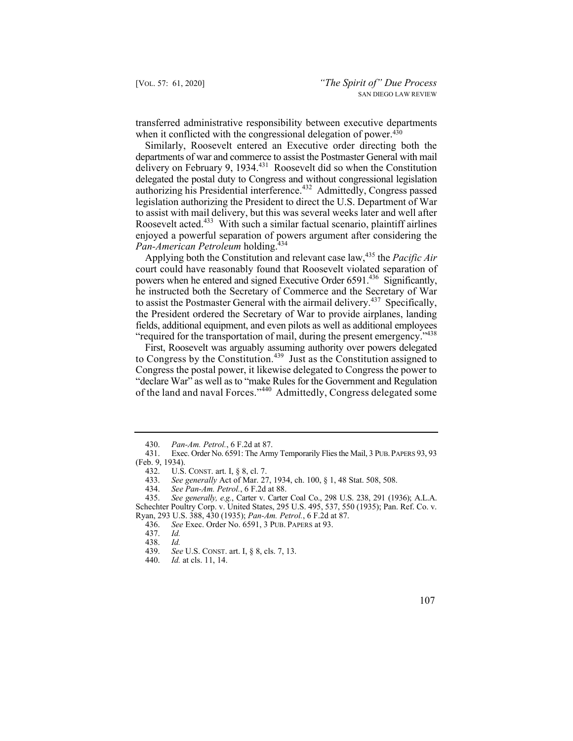transferred administrative responsibility between executive departments when it conflicted with the congressional delegation of power.<sup>430</sup>

Similarly, Roosevelt entered an Executive order directing both the departments of war and commerce to assist the Postmaster General with mail delivery on February 9, 1934.431 Roosevelt did so when the Constitution delegated the postal duty to Congress and without congressional legislation authorizing his Presidential interference.<sup>432</sup> Admittedly, Congress passed legislation authorizing the President to direct the U.S. Department of War to assist with mail delivery, but this was several weeks later and well after Roosevelt acted.<sup>433</sup> With such a similar factual scenario, plaintiff airlines enjoyed a powerful separation of powers argument after considering the *Pan-American Petroleum* holding.<sup>434</sup>

Applying both the Constitution and relevant case law,<sup>435</sup> the *Pacific Air* court could have reasonably found that Roosevelt violated separation of powers when he entered and signed Executive Order 6591.<sup>436</sup> Significantly, he instructed both the Secretary of Commerce and the Secretary of War to assist the Postmaster General with the airmail delivery.<sup>437</sup> Specifically, the President ordered the Secretary of War to provide airplanes, landing fields, additional equipment, and even pilots as well as additional employees "required for the transportation of mail, during the present emergency."<sup>438</sup>

to Congress by the Constitution.<sup>439</sup> Just as the Constitution assigned to First, Roosevelt was arguably assuming authority over powers delegated Congress the postal power, it likewise delegated to Congress the power to "declare War" as well as to "make Rules for the Government and Regulation of the land and naval Forces."440 Admittedly, Congress delegated some

<sup>430.</sup> *Pan-Am. Petrol.*, 6 F.2d at 87.

Exec. Order No. 6591: The Army Temporarily Flies the Mail, 3 PUB. PAPERS 93, 93 (Feb. 9, 1934).

<sup>432.</sup> U.S. CONST. art. I, § 8, cl. 7.

<sup>433.</sup> *See generally* Act of Mar. 27, 1934, ch. 100, § 1, 48 Stat. 508, 508.

<sup>434.</sup> *See Pan-Am. Petrol.*, 6 F.2d at 88.

<sup>435.</sup> *See generally, e.g.*, Carter v. Carter Coal Co., 298 U.S. 238, 291 (1936); A.L.A. Schechter Poultry Corp. v. United States, 295 U.S. 495, 537, 550 (1935); Pan. Ref. Co. v.

Ryan, 293 U.S. 388, 430 (1935); *Pan-Am. Petrol.*, 6 F.2d at 87. See Exec. Order No. 6591, 3 PUB. PAPERS at 93.

<sup>437.</sup> *Id.*

 <sup>438.</sup> *Id.*

 439. *See* U.S. CONST. art. I, § 8, cls. 7, 13.

 <sup>440.</sup> *Id.* at cls. 11, 14.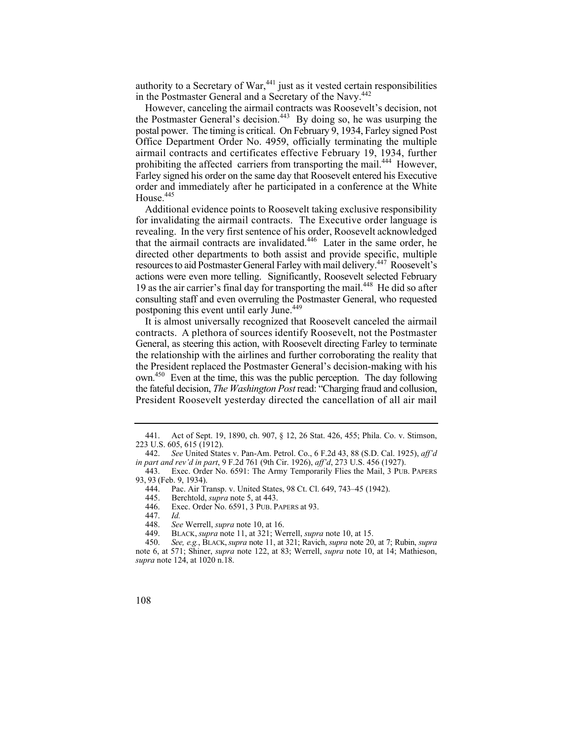authority to a Secretary of War, $441$  just as it vested certain responsibilities in the Postmaster General and a Secretary of the Navy.<sup>442</sup>

However, canceling the airmail contracts was Roosevelt's decision, not the Postmaster General's decision.<sup>443</sup> By doing so, he was usurping the postal power. The timing is critical. On February 9, 1934, Farley signed Post Office Department Order No. 4959, officially terminating the multiple airmail contracts and certificates effective February 19, 1934, further prohibiting the affected carriers from transporting the mail.<sup>444</sup> However, Farley signed his order on the same day that Roosevelt entered his Executive order and immediately after he participated in a conference at the White House.<sup>445</sup>

 for invalidating the airmail contracts. The Executive order language is Additional evidence points to Roosevelt taking exclusive responsibility revealing. In the very first sentence of his order, Roosevelt acknowledged that the airmail contracts are invalidated.<sup>446</sup> Later in the same order, he directed other departments to both assist and provide specific, multiple resources to aid Postmaster General Farley with mail delivery.447 Roosevelt's actions were even more telling. Significantly, Roosevelt selected February 19 as the air carrier's final day for transporting the mail.<sup>448</sup> He did so after consulting staff and even overruling the Postmaster General, who requested postponing this event until early June.<sup>449</sup>

It is almost universally recognized that Roosevelt canceled the airmail contracts. A plethora of sources identify Roosevelt, not the Postmaster General, as steering this action, with Roosevelt directing Farley to terminate the relationship with the airlines and further corroborating the reality that the President replaced the Postmaster General's decision-making with his own.450 Even at the time, this was the public perception. The day following the fateful decision, *The Washington Post* read: "Charging fraud and collusion, President Roosevelt yesterday directed the cancellation of all air mail

447. *Id.*

<sup>450.</sup> *See, e.g.*, BLACK, *supra* note 11, at 321; Ravich, *supra* note 20, at 7; Rubin, *supra* note 6, at 571; Shiner, *supra* note 122, at 83; Werrell, *supra* note 10, at 14; Mathieson, *supra* note 124, at 1020 n.18.



<sup>441.</sup> Act of Sept. 19, 1890, ch. 907, § 12, 26 Stat. 426, 455; Phila. Co. v. Stimson, 223 U.S. 605, 615 (1912).

<sup>442.</sup> *See* United States v. Pan-Am. Petrol. Co., 6 F.2d 43, 88 (S.D. Cal. 1925), *aff'd in part and rev'd in part*, 9 F.2d 761 (9th Cir. 1926), *aff'd*, 273 U.S. 456 (1927).

<sup>443.</sup> Exec. Order No. 6591: The Army Temporarily Flies the Mail, 3 PUB. PAPERS 93, 93 (Feb. 9, 1934).

<sup>444.</sup> Pac. Air Transp. v. United States, 98 Ct. Cl. 649, 743–45 (1942).

<sup>445.</sup> Berchtold, *supra* note 5, at 443.

<sup>446.</sup> Exec. Order No. 6591, 3 PUB. PAPERS at 93.<br>447. Id.

 <sup>448.</sup> *See* Werrell, *supra* note 10, at 16.

<sup>449.</sup> BLACK, *supra* note 11, at 321; Werrell, *supra* note 10, at 15.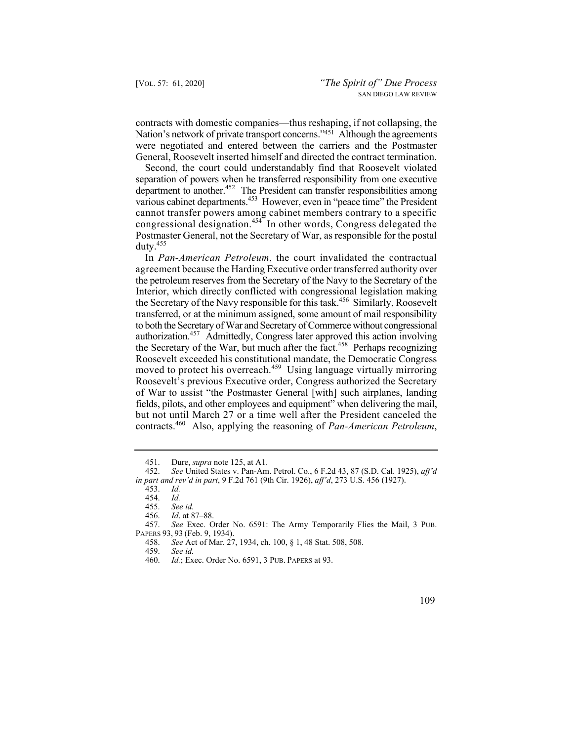contracts with domestic companies—thus reshaping, if not collapsing, the Nation's network of private transport concerns."<sup>451</sup> Although the agreements were negotiated and entered between the carriers and the Postmaster General, Roosevelt inserted himself and directed the contract termination.

Second, the court could understandably find that Roosevelt violated separation of powers when he transferred responsibility from one executive department to another.452 The President can transfer responsibilities among various cabinet departments.<sup>453</sup> However, even in "peace time" the President cannot transfer powers among cabinet members contrary to a specific congressional designation.<sup>454</sup> In other words, Congress delegated the Postmaster General, not the Secretary of War, as responsible for the postal duty.455

 the petroleum reserves from the Secretary of the Navy to the Secretary of the authorization.<sup>457</sup> Admittedly, Congress later approved this action involving In *Pan-American Petroleum*, the court invalidated the contractual agreement because the Harding Executive order transferred authority over Interior, which directly conflicted with congressional legislation making the Secretary of the Navy responsible for this task.<sup>456</sup> Similarly, Roosevelt transferred, or at the minimum assigned, some amount of mail responsibility to both the Secretary of War and Secretary of Commerce without congressional the Secretary of the War, but much after the fact.<sup>458</sup> Perhaps recognizing Roosevelt exceeded his constitutional mandate, the Democratic Congress moved to protect his overreach.<sup>459</sup> Using language virtually mirroring Roosevelt's previous Executive order, Congress authorized the Secretary of War to assist "the Postmaster General [with] such airplanes, landing fields, pilots, and other employees and equipment" when delivering the mail, but not until March 27 or a time well after the President canceled the contracts.460 Also, applying the reasoning of *Pan-American Petroleum*,

<sup>451.</sup> Dure, *supra* note 125, at A1.

<sup>452.</sup> *See* United States v. Pan-Am. Petrol. Co., 6 F.2d 43, 87 (S.D. Cal. 1925), *aff'd in part and rev'd in part*, 9 F.2d 761 (9th Cir. 1926), *aff'd*, 273 U.S. 456 (1927).

<sup>453.</sup> *Id.*

 <sup>454.</sup> *Id.*

 <sup>455.</sup> *See id.* 456. *Id*. at 87–88.

<sup>457.</sup> *See* Exec. Order No. 6591: The Army Temporarily Flies the Mail, 3 PUB. PAPERS 93, 93 (Feb. 9, 1934).<br>458. See Act of Mar. 27

<sup>458.</sup> *See* Act of Mar. 27, 1934, ch. 100, § 1, 48 Stat. 508, 508.

<sup>459.</sup> *See id.*

 <sup>460.</sup> *Id.*; Exec. Order No. 6591, 3 PUB. PAPERS at 93.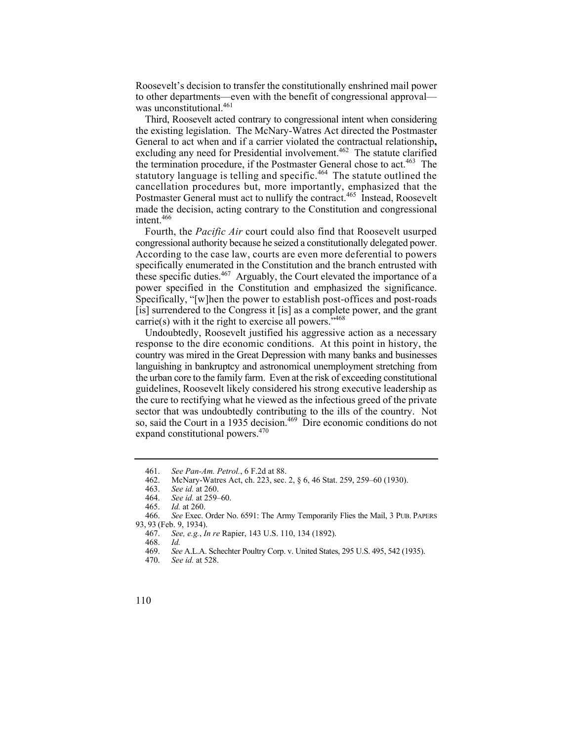Roosevelt's decision to transfer the constitutionally enshrined mail power to other departments—even with the benefit of congressional approval was unconstitutional.<sup>461</sup>

the termination procedure, if the Postmaster General chose to act.<sup>463</sup> The Third, Roosevelt acted contrary to congressional intent when considering the existing legislation. The McNary-Watres Act directed the Postmaster General to act when and if a carrier violated the contractual relationship**,**  excluding any need for Presidential involvement.<sup>462</sup> The statute clarified statutory language is telling and specific.<sup>464</sup> The statute outlined the cancellation procedures but, more importantly, emphasized that the Postmaster General must act to nullify the contract.<sup>465</sup> Instead, Roosevelt made the decision, acting contrary to the Constitution and congressional intent.<sup>466</sup>

Fourth, the *Pacific Air* court could also find that Roosevelt usurped congressional authority because he seized a constitutionally delegated power. According to the case law, courts are even more deferential to powers specifically enumerated in the Constitution and the branch entrusted with these specific duties.<sup>467</sup> Arguably, the Court elevated the importance of a power specified in the Constitution and emphasized the significance. Specifically, "[w]hen the power to establish post-offices and post-roads [is] surrendered to the Congress it [is] as a complete power, and the grant carrie(s) with it the right to exercise all powers." $468$ 

 the urban core to the family farm. Even at the risk of exceeding constitutional Undoubtedly, Roosevelt justified his aggressive action as a necessary response to the dire economic conditions. At this point in history, the country was mired in the Great Depression with many banks and businesses languishing in bankruptcy and astronomical unemployment stretching from guidelines, Roosevelt likely considered his strong executive leadership as the cure to rectifying what he viewed as the infectious greed of the private sector that was undoubtedly contributing to the ills of the country. Not so, said the Court in a 1935 decision.<sup>469</sup> Dire economic conditions do not expand constitutional powers.<sup>470</sup>

<sup>461.</sup> *See Pan-Am. Petrol.*, 6 F.2d at 88.

<sup>462.</sup> McNary-Watres Act, ch. 223, sec. 2, § 6, 46 Stat. 259, 259–60 (1930).

<sup>463.</sup> *See id.* at 260.

<sup>464.</sup> *See id.* at 259–60.

<sup>465.</sup> *Id.* at 260. 466. *See* Exec. Order No. 6591: The Army Temporarily Flies the Mail, 3 PUB. PAPERS 93, 93 (Feb. 9, 1934).

<sup>467.</sup> *See, e.g.*, *In re* Rapier, 143 U.S. 110, 134 (1892).

<sup>468.</sup> *Id.*

 <sup>469.</sup> *See* A.L.A. Schechter Poultry Corp. v. United States, 295 U.S. 495, 542 (1935).

<sup>470.</sup> *See id.* at 528.

<sup>110</sup>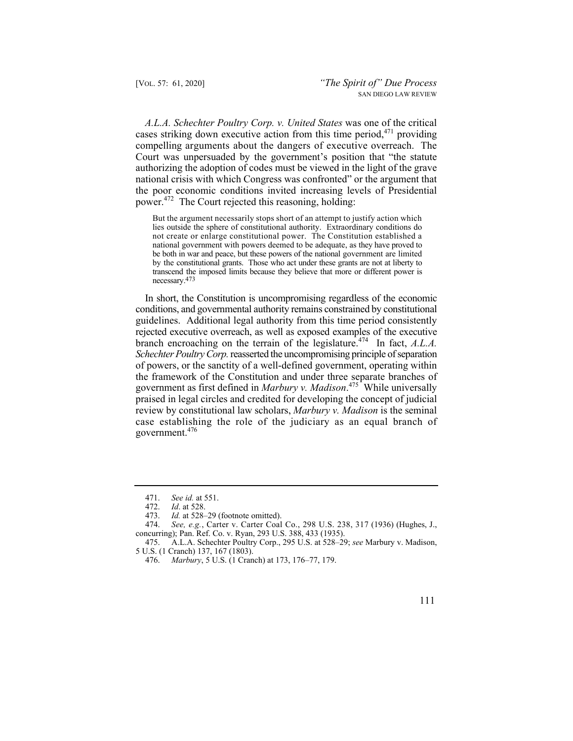*A.L.A. Schechter Poultry Corp. v. United States* was one of the critical cases striking down executive action from this time period,  $471$  providing compelling arguments about the dangers of executive overreach. The Court was unpersuaded by the government's position that "the statute authorizing the adoption of codes must be viewed in the light of the grave national crisis with which Congress was confronted" or the argument that the poor economic conditions invited increasing levels of Presidential power.472 The Court rejected this reasoning, holding:

 lies outside the sphere of constitutional authority. Extraordinary conditions do not create or enlarge constitutional power. The Constitution established a national government with powers deemed to be adequate, as they have proved to be both in war and peace, but these powers of the national government are limited by the constitutional grants. Those who act under these grants are not at liberty to transcend the imposed limits because they believe that more or different power is But the argument necessarily stops short of an attempt to justify action which necessary.473

 In short, the Constitution is uncompromising regardless of the economic government as first defined in *Marbury v. Madison*. 475 While universally conditions, and governmental authority remains constrained by constitutional guidelines. Additional legal authority from this time period consistently rejected executive overreach, as well as exposed examples of the executive branch encroaching on the terrain of the legislature.<sup>474</sup> In fact, *A.L.A. Schechter Poultry Corp.* reasserted the uncompromising principle of separation of powers, or the sanctity of a well-defined government, operating within the framework of the Constitution and under three separate branches of praised in legal circles and credited for developing the concept of judicial review by constitutional law scholars, *Marbury v. Madison* is the seminal case establishing the role of the judiciary as an equal branch of government.476

<sup>476.</sup> *Marbury*, 5 U.S. (1 Cranch) at 173, 176–77, 179.



<sup>471.</sup> *See id.* at 551.

<sup>472.</sup> *Id*. at 528.

Id. at 528–29 (footnote omitted).

<sup>474.</sup> *See, e.g.*, Carter v. Carter Coal Co., 298 U.S. 238, 317 (1936) (Hughes, J., concurring); Pan. Ref. Co. v. Ryan, 293 U.S. 388, 433 (1935).

<sup>475.</sup> A.L.A. Schechter Poultry Corp., 295 U.S. at 528–29; *see* Marbury v. Madison, 5 U.S. (1 Cranch) 137, 167 (1803).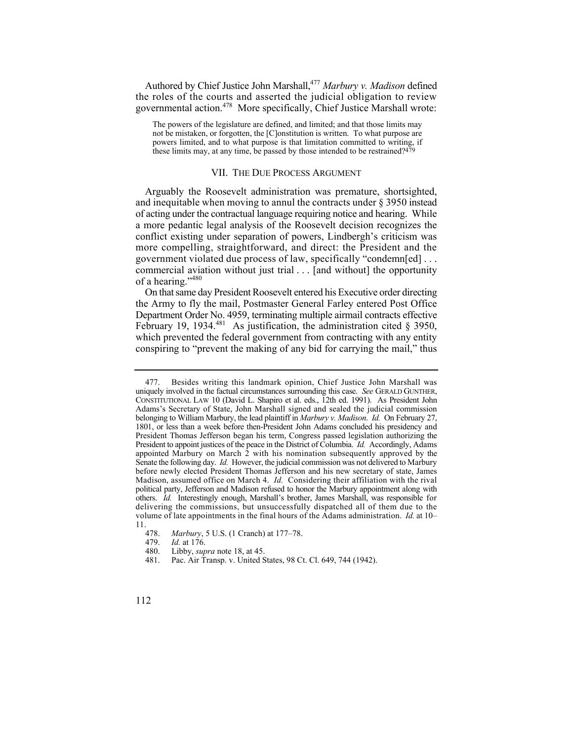Authored by Chief Justice John Marshall,<sup>477</sup> Marbury v. Madison defined the roles of the courts and asserted the judicial obligation to review governmental action.478 More specifically, Chief Justice Marshall wrote:

 not be mistaken, or forgotten, the [C]onstitution is written. To what purpose are The powers of the legislature are defined, and limited; and that those limits may powers limited, and to what purpose is that limitation committed to writing, if these limits may, at any time, be passed by those intended to be restrained?<sup>479</sup>

## VII. THE DUE PROCESS ARGUMENT

 and inequitable when moving to annul the contracts under § 3950 instead of acting under the contractual language requiring notice and hearing. While Arguably the Roosevelt administration was premature, shortsighted, a more pedantic legal analysis of the Roosevelt decision recognizes the conflict existing under separation of powers, Lindbergh's criticism was more compelling, straightforward, and direct: the President and the government violated due process of law, specifically "condemn[ed] . . . commercial aviation without just trial . . . [and without] the opportunity of a hearing."<sup>480</sup>

On that same day President Roosevelt entered his Executive order directing the Army to fly the mail, Postmaster General Farley entered Post Office Department Order No. 4959, terminating multiple airmail contracts effective February 19, 1934. $^{481}$  As justification, the administration cited  $\frac{8}{3}$  3950, which prevented the federal government from contracting with any entity conspiring to "prevent the making of any bid for carrying the mail," thus

 477. Besides writing this landmark opinion, Chief Justice John Marshall was uniquely involved in the factual circumstances surrounding this case. *See* GERALD GUNTHER, CONSTITUTIONAL LAW 10 (David L. Shapiro et al. eds., 12th ed. 1991). As President John Adams's Secretary of State, John Marshall signed and sealed the judicial commission belonging to William Marbury, the lead plaintiff in *Marbury v. Madison*. *Id.* On February 27, 1801, or less than a week before then-President John Adams concluded his presidency and President Thomas Jefferson began his term, Congress passed legislation authorizing the President to appoint justices of the peace in the District of Columbia. *Id.* Accordingly, Adams appointed Marbury on March 2 with his nomination subsequently approved by the Senate the following day. *Id.* However, the judicial commission was not delivered to Marbury before newly elected President Thomas Jefferson and his new secretary of state, James Madison, assumed office on March 4. *Id.* Considering their affiliation with the rival political party, Jefferson and Madison refused to honor the Marbury appointment along with others. *Id.* Interestingly enough, Marshall's brother, James Marshall, was responsible for delivering the commissions, but unsuccessfully dispatched all of them due to the volume of late appointments in the final hours of the Adams administration. *Id.* at 10–  $\frac{11.478}{.}$ 

<sup>478.</sup> *Marbury*, 5 U.S. (1 Cranch) at 177–78.

*Id.* at 176.

<sup>480.</sup> Libby, *supra* note 18, at 45.

<sup>481.</sup> Pac. Air Transp. v. United States, 98 Ct. Cl. 649, 744 (1942).

<sup>112</sup>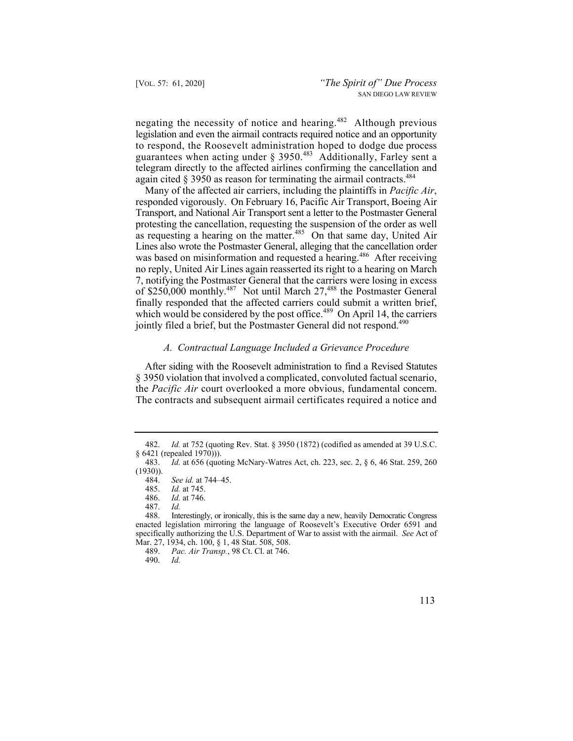negating the necessity of notice and hearing.<sup>482</sup> Although previous legislation and even the airmail contracts required notice and an opportunity to respond, the Roosevelt administration hoped to dodge due process guarantees when acting under § 3950.<sup>483</sup> Additionally, Farley sent a telegram directly to the affected airlines confirming the cancellation and again cited  $\S 3950$  as reason for terminating the airmail contracts.<sup>484</sup>

Many of the affected air carriers, including the plaintiffs in *Pacific Air*, responded vigorously. On February 16, Pacific Air Transport, Boeing Air Transport, and National Air Transport sent a letter to the Postmaster General protesting the cancellation, requesting the suspension of the order as well as requesting a hearing on the matter.<sup>485</sup> On that same day, United Air Lines also wrote the Postmaster General, alleging that the cancellation order was based on misinformation and requested a hearing.<sup>486</sup> After receiving no reply, United Air Lines again reasserted its right to a hearing on March 7, notifying the Postmaster General that the carriers were losing in excess of \$250,000 monthly.<sup>487</sup> Not until March 27,<sup>488</sup> the Postmaster General finally responded that the affected carriers could submit a written brief, which would be considered by the post office.<sup>489</sup> On April 14, the carriers jointly filed a brief, but the Postmaster General did not respond.<sup>490</sup>

#### *A. Contractual Language Included a Grievance Procedure*

 After siding with the Roosevelt administration to find a Revised Statutes the *Pacific Air* court overlooked a more obvious, fundamental concern. § 3950 violation that involved a complicated, convoluted factual scenario, The contracts and subsequent airmail certificates required a notice and

<sup>490.</sup> *Id.* 



<sup>482.</sup> *Id.* at 752 (quoting Rev. Stat. § 3950 (1872) (codified as amended at 39 U.S.C. § 6421 (repealed 1970))).

<sup>483.</sup> *Id.* at 656 (quoting McNary-Watres Act, ch. 223, sec. 2, § 6, 46 Stat. 259, 260 (1930)).

<sup>484.</sup> *See id.* at 744–45.

<sup>485.</sup> *Id.* at 745.

<sup>486.</sup> *Id.* at 746.

<sup>487.</sup> *Id.*  Interestingly, or ironically, this is the same day a new, heavily Democratic Congress enacted legislation mirroring the language of Roosevelt's Executive Order 6591 and specifically authorizing the U.S. Department of War to assist with the airmail. *See* Act of Mar. 27, 1934, ch. 100, § 1, 48 Stat. 508, 508.

<sup>489.</sup> *Pac. Air Transp.*, 98 Ct. Cl. at 746.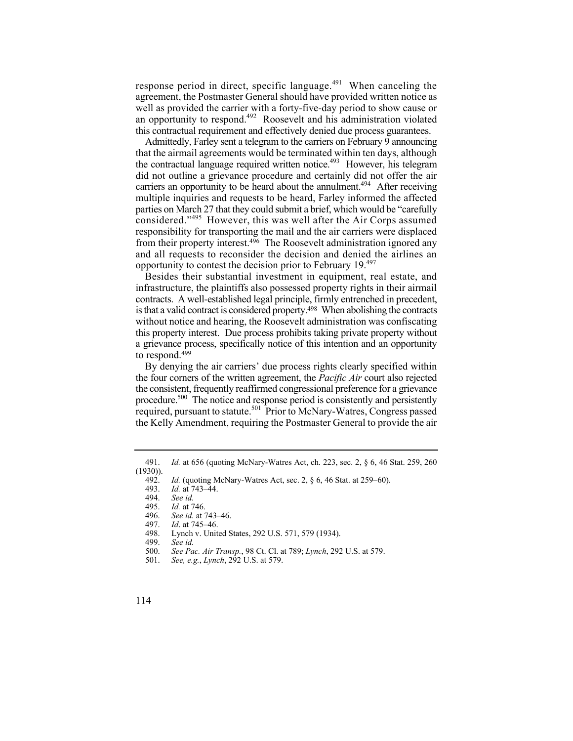response period in direct, specific language. $491$  When canceling the agreement, the Postmaster General should have provided written notice as well as provided the carrier with a forty-five-day period to show cause or an opportunity to respond.<sup>492</sup> Roosevelt and his administration violated this contractual requirement and effectively denied due process guarantees.

the contractual language required written notice.<sup>493</sup> However, his telegram from their property interest.<sup>496</sup> The Roosevelt administration ignored any Admittedly, Farley sent a telegram to the carriers on February 9 announcing that the airmail agreements would be terminated within ten days, although did not outline a grievance procedure and certainly did not offer the air carriers an opportunity to be heard about the annulment.<sup>494</sup> After receiving multiple inquiries and requests to be heard, Farley informed the affected parties on March 27 that they could submit a brief, which would be "carefully considered."495 However, this was well after the Air Corps assumed responsibility for transporting the mail and the air carriers were displaced and all requests to reconsider the decision and denied the airlines an opportunity to contest the decision prior to February 19.497

 contracts. A well-established legal principle, firmly entrenched in precedent, Besides their substantial investment in equipment, real estate, and infrastructure, the plaintiffs also possessed property rights in their airmail is that a valid contract is considered property.498 When abolishing the contracts without notice and hearing, the Roosevelt administration was confiscating this property interest. Due process prohibits taking private property without a grievance process, specifically notice of this intention and an opportunity to respond.499

By denying the air carriers' due process rights clearly specified within the four corners of the written agreement, the *Pacific Air* court also rejected the consistent, frequently reaffirmed congressional preference for a grievance procedure.<sup>500</sup> The notice and response period is consistently and persistently required, pursuant to statute.<sup>501</sup> Prior to McNary-Watres, Congress passed the Kelly Amendment, requiring the Postmaster General to provide the air

- 497. *Id*. at 745–46.
- 498. Lynch v. United States, 292 U.S. 571, 579 (1934).<br>499. See id.

- 500. *See Pac. Air Transp.*, 98 Ct. Cl. at 789; *Lynch*, 292 U.S. at 579.
- 501. *See, e.g.*, *Lynch*, 292 U.S. at 579.

<sup>491.</sup> *Id.* at 656 (quoting McNary-Watres Act, ch. 223, sec. 2, § 6, 46 Stat. 259, 260  $(1930)$ ).<br>492.

<sup>492.</sup> *Id.* (quoting McNary-Watres Act, sec. 2, § 6, 46 Stat. at 259–60).

<sup>493.</sup> *Id.* at 743–44.

<sup>494.</sup> *See id.*

 <sup>495.</sup> *Id.* at 746.

See id. at 743-46.

See *id.*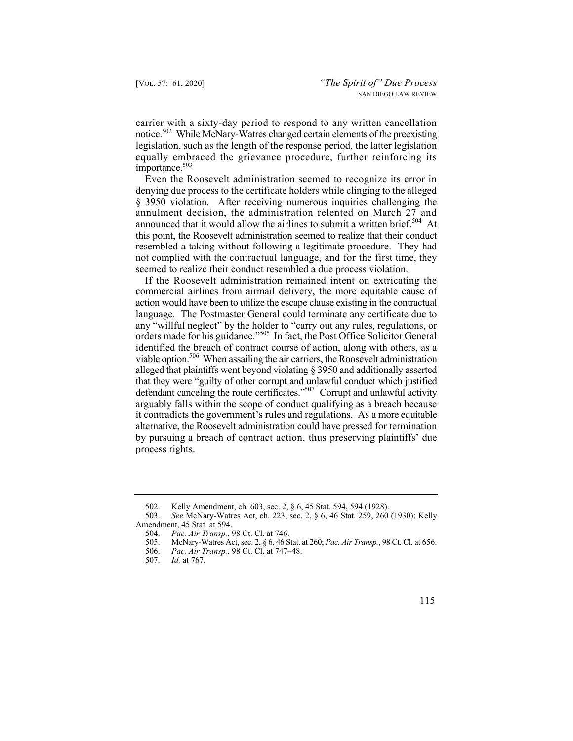notice.<sup>502</sup> While McNary-Watres changed certain elements of the preexisting carrier with a sixty-day period to respond to any written cancellation legislation, such as the length of the response period, the latter legislation equally embraced the grievance procedure, further reinforcing its importance.<sup>503</sup>

Even the Roosevelt administration seemed to recognize its error in denying due process to the certificate holders while clinging to the alleged § 3950 violation. After receiving numerous inquiries challenging the annulment decision, the administration relented on March 27 and announced that it would allow the airlines to submit a written brief.<sup>504</sup> At this point, the Roosevelt administration seemed to realize that their conduct resembled a taking without following a legitimate procedure. They had not complied with the contractual language, and for the first time, they seemed to realize their conduct resembled a due process violation.

viable option.<sup>506</sup> When assailing the air carriers, the Roosevelt administration If the Roosevelt administration remained intent on extricating the commercial airlines from airmail delivery, the more equitable cause of action would have been to utilize the escape clause existing in the contractual language. The Postmaster General could terminate any certificate due to any "willful neglect" by the holder to "carry out any rules, regulations, or orders made for his guidance."505 In fact, the Post Office Solicitor General identified the breach of contract course of action, along with others, as a alleged that plaintiffs went beyond violating § 3950 and additionally asserted that they were "guilty of other corrupt and unlawful conduct which justified defendant canceling the route certificates."507 Corrupt and unlawful activity arguably falls within the scope of conduct qualifying as a breach because it contradicts the government's rules and regulations. As a more equitable alternative, the Roosevelt administration could have pressed for termination by pursuing a breach of contract action, thus preserving plaintiffs' due process rights.

<sup>502.</sup> Kelly Amendment, ch. 603, sec. 2, § 6, 45 Stat. 594, 594 (1928).<br>503. See McNary-Watres Act, ch. 223, sec. 2, § 6, 46 Stat. 259, 260

See McNary-Watres Act, ch. 223, sec. 2, § 6, 46 Stat. 259, 260 (1930); Kelly Amendment, 45 Stat. at 594.

<sup>504.</sup> *Pac. Air Transp.*, 98 Ct. Cl. at 746.

<sup>505.</sup> McNary-Watres Act, sec. 2, § 6, 46 Stat. at 260; *Pac. Air Transp.*, 98 Ct. Cl. at 656.

<sup>506.</sup> *Pac. Air Transp.*, 98 Ct. Cl. at 747–48.

<sup>507.</sup> *Id.* at 767.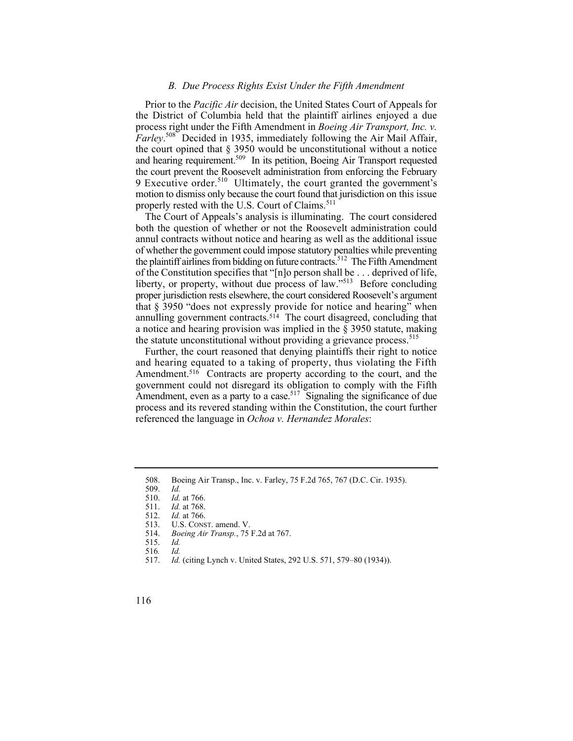## *B. Due Process Rights Exist Under the Fifth Amendment*

and hearing requirement.<sup>509</sup> In its petition, Boeing Air Transport requested Prior to the *Pacific Air* decision, the United States Court of Appeals for the District of Columbia held that the plaintiff airlines enjoyed a due process right under the Fifth Amendment in *Boeing Air Transport, Inc. v. Farley*. 508 Decided in 1935, immediately following the Air Mail Affair, the court opined that § 3950 would be unconstitutional without a notice the court prevent the Roosevelt administration from enforcing the February 9 Executive order.<sup>510</sup> Ultimately, the court granted the government's motion to dismiss only because the court found that jurisdiction on this issue properly rested with the U.S. Court of Claims.<sup>511</sup>

The Court of Appeals's analysis is illuminating. The court considered both the question of whether or not the Roosevelt administration could annul contracts without notice and hearing as well as the additional issue of whether the government could impose statutory penalties while preventing the plaintiff airlines from bidding on future contracts.<sup>512</sup> The Fifth Amendment of the Constitution specifies that "[n]o person shall be . . . deprived of life, liberty, or property, without due process of law."<sup>513</sup> Before concluding proper jurisdiction rests elsewhere, the court considered Roosevelt's argument that § 3950 "does not expressly provide for notice and hearing" when annulling government contracts.<sup>514</sup> The court disagreed, concluding that a notice and hearing provision was implied in the § 3950 statute, making the statute unconstitutional without providing a grievance process.<sup>515</sup>

Further, the court reasoned that denying plaintiffs their right to notice and hearing equated to a taking of property, thus violating the Fifth Amendment.<sup>516</sup> Contracts are property according to the court, and the government could not disregard its obligation to comply with the Fifth Amendment, even as a party to a case.<sup>517</sup> Signaling the significance of due process and its revered standing within the Constitution, the court further referenced the language in *Ochoa v. Hernandez Morales*:

<sup>508.</sup> Boeing Air Transp., Inc. v. Farley, 75 F.2d 765, 767 (D.C. Cir. 1935).

<sup>509.</sup> *Id.*

 <sup>510.</sup> *Id.* at 766.

<sup>511.</sup> *Id.* at 768.

<sup>512.</sup> *Id.* at 766.

<sup>513.</sup> U.S. CONST. amend. V.

 <sup>514.</sup> *Boeing Air Transp.*, 75 F.2d at 767. 515. *Id.* 

<sup>516</sup>*. Id.*

 <sup>517.</sup> *Id.* (citing Lynch v. United States, 292 U.S. 571, 579–80 (1934)).

<sup>116</sup>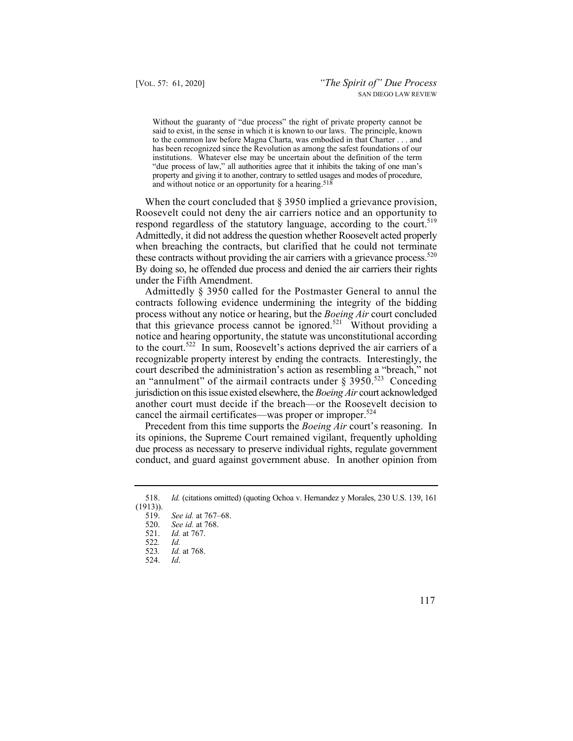said to exist, in the sense in which it is known to our laws. The principle, known Without the guaranty of "due process" the right of private property cannot be to the common law before Magna Charta, was embodied in that Charter . . . and has been recognized since the Revolution as among the safest foundations of our institutions. Whatever else may be uncertain about the definition of the term "due process of law," all authorities agree that it inhibits the taking of one man's property and giving it to another, contrary to settled usages and modes of procedure, and without notice or an opportunity for a hearing.518

respond regardless of the statutory language, according to the court.<sup>519</sup> these contracts without providing the air carriers with a grievance process.<sup>520</sup> When the court concluded that § 3950 implied a grievance provision, Roosevelt could not deny the air carriers notice and an opportunity to Admittedly, it did not address the question whether Roosevelt acted properly when breaching the contracts, but clarified that he could not terminate By doing so, he offended due process and denied the air carriers their rights under the Fifth Amendment.

that this grievance process cannot be ignored.<sup>521</sup> Without providing a Admittedly § 3950 called for the Postmaster General to annul the contracts following evidence undermining the integrity of the bidding process without any notice or hearing, but the *Boeing Air* court concluded notice and hearing opportunity, the statute was unconstitutional according to the court.<sup>522</sup> In sum, Roosevelt's actions deprived the air carriers of a recognizable property interest by ending the contracts. Interestingly, the court described the administration's action as resembling a "breach," not an "annulment" of the airmail contracts under  $\S 3950$ .<sup>523</sup> Conceding jurisdiction on this issue existed elsewhere, the *Boeing Air* court acknowledged another court must decide if the breach—or the Roosevelt decision to cancel the airmail certificates—was proper or improper.<sup>524</sup>

Precedent from this time supports the *Boeing Air* court's reasoning. In its opinions, the Supreme Court remained vigilant, frequently upholding due process as necessary to preserve individual rights, regulate government conduct, and guard against government abuse. In another opinion from

- 522*. Id.*
- 523*. Id.* at 768.
- 524. *Id*.

<sup>518.</sup> *Id.* (citations omitted) (quoting Ochoa v. Hernandez y Morales, 230 U.S. 139, 161  $(1913)$ ).<br>519.

See id. at 767–68.

<sup>520.</sup> *See id.* at 768.

<sup>521.</sup> *Id.* at 767.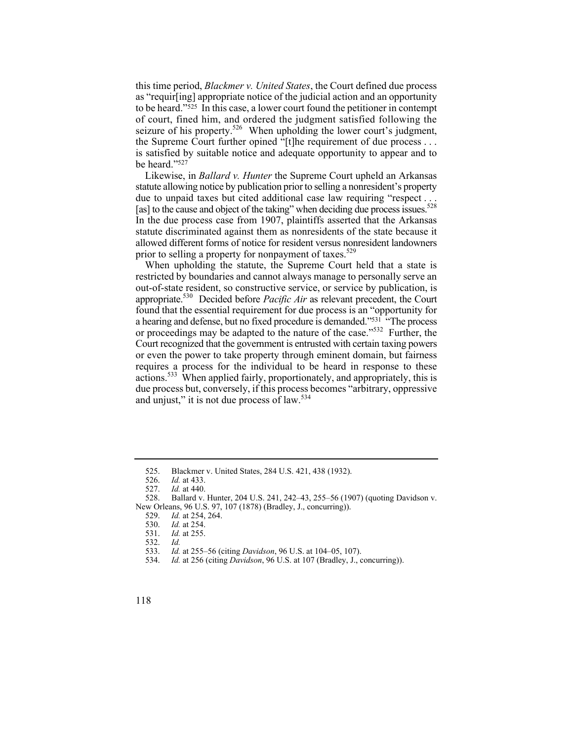this time period, *Blackmer v. United States*, the Court defined due process as "requir[ing] appropriate notice of the judicial action and an opportunity to be heard."525 In this case, a lower court found the petitioner in contempt of court, fined him, and ordered the judgment satisfied following the seizure of his property.<sup>526</sup> When upholding the lower court's judgment, the Supreme Court further opined "[t]he requirement of due process . . . is satisfied by suitable notice and adequate opportunity to appear and to be heard."527

[as] to the cause and object of the taking" when deciding due process issues.<sup>528</sup> Likewise, in *Ballard v. Hunter* the Supreme Court upheld an Arkansas statute allowing notice by publication prior to selling a nonresident's property due to unpaid taxes but cited additional case law requiring "respect . . . In the due process case from 1907, plaintiffs asserted that the Arkansas statute discriminated against them as nonresidents of the state because it allowed different forms of notice for resident versus nonresident landowners prior to selling a property for nonpayment of taxes.<sup>529</sup>

a hearing and defense, but no fixed procedure is demanded."<sup>531</sup> "The process When upholding the statute, the Supreme Court held that a state is restricted by boundaries and cannot always manage to personally serve an out-of-state resident, so constructive service, or service by publication, is appropriate.530 Decided before *Pacific Air* as relevant precedent, the Court found that the essential requirement for due process is an "opportunity for or proceedings may be adapted to the nature of the case."532 Further, the Court recognized that the government is entrusted with certain taxing powers or even the power to take property through eminent domain, but fairness requires a process for the individual to be heard in response to these actions.533 When applied fairly, proportionately, and appropriately, this is due process but, conversely, if this process becomes "arbitrary, oppressive and unjust," it is not due process of law.<sup>534</sup>

<sup>525.</sup> Blackmer v. United States, 284 U.S. 421, 438 (1932).

<sup>526.</sup> *Id.* at 433.

<sup>527.</sup> *Id.* at 440.

<sup>528.</sup> Ballard v. Hunter, 204 U.S. 241, 242–43, 255–56 (1907) (quoting Davidson v. New Orleans, 96 U.S. 97, 107 (1878) (Bradley, J., concurring)).<br>529. Id. at 254, 264.

<sup>529.</sup> *Id.* at 254, 264.

<sup>530.</sup> *Id.* at 254.

<sup>531.</sup> *Id.* at 255.

<sup>532.</sup> *Id.*

 <sup>533.</sup> *Id.* at 255–56 (citing *Davidson*, 96 U.S. at 104–05, 107).

<sup>534.</sup> *Id.* at 256 (citing *Davidson*, 96 U.S. at 107 (Bradley, J., concurring)).

<sup>118</sup>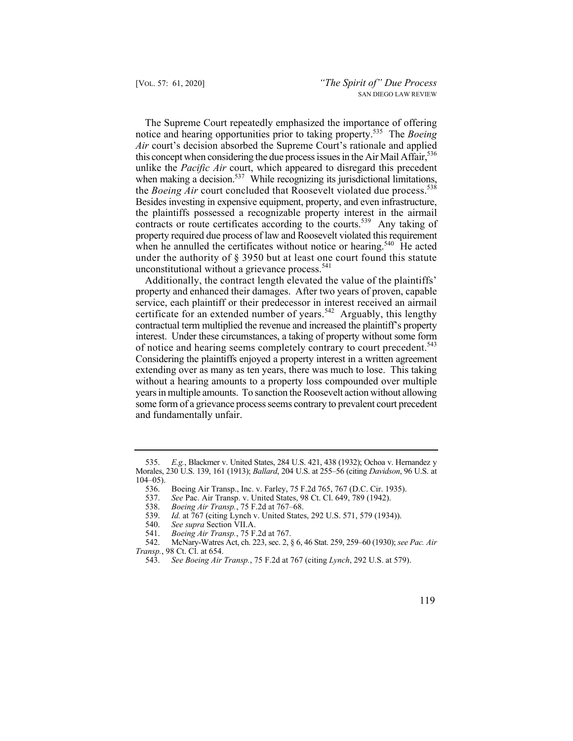notice and hearing opportunities prior to taking property.535 The *Boeing*  the *Boeing Air* court concluded that Roosevelt violated due process.<sup>538</sup> The Supreme Court repeatedly emphasized the importance of offering *Air* court's decision absorbed the Supreme Court's rationale and applied this concept when considering the due process issues in the Air Mail Affair,  $536$ unlike the *Pacific Air* court, which appeared to disregard this precedent when making a decision.<sup>537</sup> While recognizing its jurisdictional limitations, Besides investing in expensive equipment, property, and even infrastructure, the plaintiffs possessed a recognizable property interest in the airmail contracts or route certificates according to the courts.<sup>539</sup> Any taking of property required due process of law and Roosevelt violated this requirement when he annulled the certificates without notice or hearing.<sup>540</sup> He acted under the authority of § 3950 but at least one court found this statute unconstitutional without a grievance process.<sup>541</sup>

 years in multiple amounts. To sanction the Roosevelt action without allowing Additionally, the contract length elevated the value of the plaintiffs' property and enhanced their damages. After two years of proven, capable service, each plaintiff or their predecessor in interest received an airmail certificate for an extended number of years.<sup>542</sup> Arguably, this lengthy contractual term multiplied the revenue and increased the plaintiff's property interest. Under these circumstances, a taking of property without some form of notice and hearing seems completely contrary to court precedent.<sup>543</sup> Considering the plaintiffs enjoyed a property interest in a written agreement extending over as many as ten years, there was much to lose. This taking without a hearing amounts to a property loss compounded over multiple some form of a grievance process seems contrary to prevalent court precedent and fundamentally unfair.

 535. *E.g.*, Blackmer v. United States, 284 U.S. 421, 438 (1932); Ochoa v. Hernandez y Morales, 230 U.S. 139, 161 (1913); *Ballard*, 204 U.S. at 255–56 (citing *Davidson*, 96 U.S. at 104–05).

<sup>536.</sup> Boeing Air Transp., Inc. v. Farley, 75 F.2d 765, 767 (D.C. Cir. 1935).

<sup>537.</sup> *See* Pac. Air Transp. v. United States, 98 Ct. Cl. 649, 789 (1942).

<sup>538.</sup> *Boeing Air Transp.*, 75 F.2d at 767–68.

*Id.* at 767 (citing Lynch v. United States, 292 U.S. 571, 579 (1934)).

<sup>540.</sup> *See supra* Section VII.A.

<sup>541.</sup> *Boeing Air Transp.*, 75 F.2d at 767.

<sup>542.</sup> McNary-Watres Act, ch. 223, sec. 2, § 6, 46 Stat. 259, 259–60 (1930); *see Pac. Air Transp.*, 98 Ct. Cl. at 654.

<sup>543.</sup> *See Boeing Air Transp.*, 75 F.2d at 767 (citing *Lynch*, 292 U.S. at 579).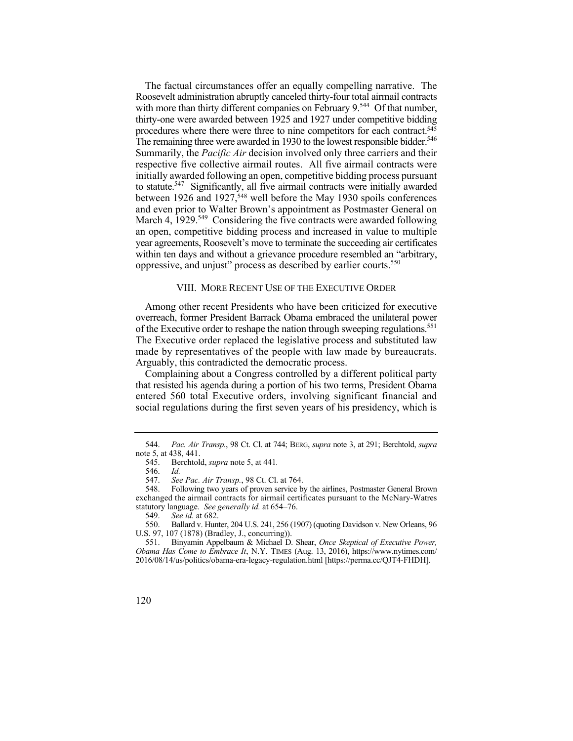Roosevelt administration abruptly canceled thirty-four total airmail contracts with more than thirty different companies on February 9.<sup>544</sup> Of that number, The remaining three were awarded in 1930 to the lowest responsible bidder.<sup>546</sup> The factual circumstances offer an equally compelling narrative. The thirty-one were awarded between 1925 and 1927 under competitive bidding procedures where there were three to nine competitors for each contract.545 Summarily, the *Pacific Air* decision involved only three carriers and their respective five collective airmail routes. All five airmail contracts were initially awarded following an open, competitive bidding process pursuant to statute.<sup>547</sup> Significantly, all five airmail contracts were initially awarded between 1926 and 1927,<sup>548</sup> well before the May 1930 spoils conferences and even prior to Walter Brown's appointment as Postmaster General on March 4,  $1929$ <sup>549</sup> Considering the five contracts were awarded following an open, competitive bidding process and increased in value to multiple year agreements, Roosevelt's move to terminate the succeeding air certificates within ten days and without a grievance procedure resembled an "arbitrary, oppressive, and unjust" process as described by earlier courts.<sup>550</sup>

## VIII. MORE RECENT USE OF THE EXECUTIVE ORDER

of the Executive order to reshape the nation through sweeping regulations.<sup>551</sup> made by representatives of the people with law made by bureaucrats. Among other recent Presidents who have been criticized for executive overreach, former President Barrack Obama embraced the unilateral power The Executive order replaced the legislative process and substituted law Arguably, this contradicted the democratic process.

 that resisted his agenda during a portion of his two terms, President Obama Complaining about a Congress controlled by a different political party entered 560 total Executive orders, involving significant financial and social regulations during the first seven years of his presidency, which is

<sup>544.</sup> *Pac. Air Transp.*, 98 Ct. Cl. at 744; BERG, *supra* note 3, at 291; Berchtold, *supra* note 5, at 438, 441.

 545. Berchtold, *supra* note 5, at 441*.*

 <sup>546.</sup> *Id.*

 <sup>547.</sup> *See Pac. Air Transp.*, 98 Ct. Cl. at 764.

<sup>548.</sup> Following two years of proven service by the airlines, Postmaster General Brown exchanged the airmail contracts for airmail certificates pursuant to the McNary-Watres statutory language. *See generally id.* at 654–76.

See id. at 682.

<sup>550.</sup> Ballard v. Hunter, 204 U.S. 241, 256 (1907) (quoting Davidson v. New Orleans, 96 U.S. 97, 107 (1878) (Bradley, J., concurring)).

<sup>551.</sup> Binyamin Appelbaum & Michael D. Shear, *Once Skeptical of Executive Power, Obama Has Come to Embrace It*, N.Y. TIMES (Aug. 13, 2016), [https://www.nytimes.com/](https://www.nytimes.com) 2016/08/14/us/politics/obama-era-legacy-regulation.html [\[https://perma.cc/QJT4-FHDH](https://perma.cc/QJT4-FHDH)].

<sup>120</sup>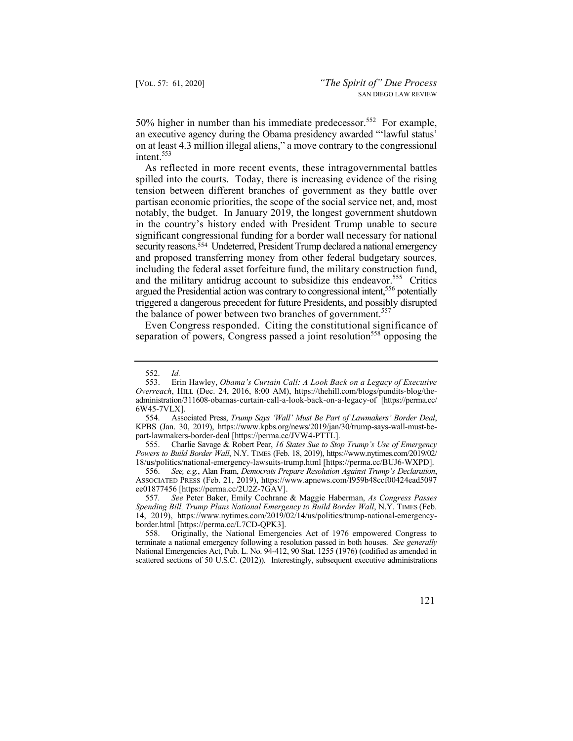50% higher in number than his immediate predecessor.<sup>552</sup> For example, an executive agency during the Obama presidency awarded "'lawful status' on at least 4.3 million illegal aliens," a move contrary to the congressional intent.<sup>553</sup>

spilled into the courts. Today, there is increasing evidence of the rising As reflected in more recent events, these intragovernmental battles tension between different branches of government as they battle over partisan economic priorities, the scope of the social service net, and, most notably, the budget. In January 2019, the longest government shutdown in the country's history ended with President Trump unable to secure significant congressional funding for a border wall necessary for national security reasons.<sup>554</sup> Undeterred, President Trump declared a national emergency and proposed transferring money from other federal budgetary sources, including the federal asset forfeiture fund, the military construction fund, and the military antidrug account to subsidize this endeavor.<sup>555</sup> Critics argued the Presidential action was contrary to congressional intent,<sup>556</sup> potentially triggered a dangerous precedent for future Presidents, and possibly disrupted the balance of power between two branches of government.<sup>557</sup>

Even Congress responded. Citing the constitutional significance of separation of powers, Congress passed a joint resolution<sup>558</sup> opposing the

555. Charlie Savage & Robert Pear, *16 States Sue to Stop Trump's Use of Emergency Powers to Build Border Wall*, N.Y. TIMES (Feb. 18, 2019), [https://www.nytimes.com/2019/02/](https://www.nytimes.com/2019/02) 18/us/politics/national-emergency-lawsuits-trump.html [[https://perma.cc/BUJ6-WXPD\]](https://perma.cc/BUJ6-WXPD).

556. *See, e.g.*, Alan Fram, *Democrats Prepare Resolution Against Trump's Declaration*, ASSOCIATED PRESS (Feb. 21, 2019), <https://www.apnews.com/f959b48ccf00424ead5097> ee01877456 [\[https://perma.cc/2U2Z-7GAV\]](https://perma.cc/2U2Z-7GAV).

557*. See* Peter Baker, Emily Cochrane & Maggie Haberman, *As Congress Passes Spending Bill, Trump Plans National Emergency to Build Border Wall*, N.Y. TIMES (Feb. 14, 2019), <https://www.nytimes.com/2019/02/14/us/politics/trump-national-emergency>-border.html [\[https://perma.cc/L7CD-QPK3\]](https://perma.cc/L7CD-QPK3).<br>558. Originally, the National Emergen

558. Originally, the National Emergencies Act of 1976 empowered Congress to terminate a national emergency following a resolution passed in both houses. *See generally* National Emergencies Act, Pub. L. No. 94-412, 90 Stat. 1255 (1976) (codified as amended in scattered sections of 50 U.S.C. (2012)). Interestingly, subsequent executive administrations

<sup>552.</sup> *Id.*

 553. Erin Ha wley, *Obama's Curtain Call: A Look Back on a Legacy of Executive*  - *Overreach*, HILL (Dec. 24, 2016, 8:00 AM), <https://thehill.com/blogs/pundits-blog/the> administration/311608-obamas-curtain-call-a-look-back-on-a-legacy-of [\[https://perma.cc/](https://perma.cc) 6W45-7VLX].

 554. Associated Press, *Trump Says 'Wall' Must Be Part of Lawmakers' Border Deal*, KPBS (Jan. 30, 2019), <https://www.kpbs.org/news/2019/jan/30/trump-says-wall-must-be>part-lawmakers-border-deal [[https://perma.cc/JVW4-PTTL\]](https://perma.cc/JVW4-PTTL).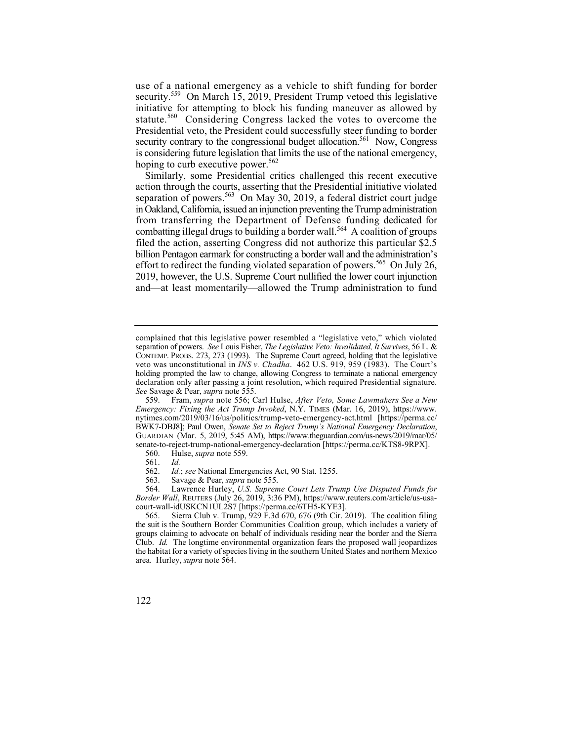use of a national emergency as a vehicle to shift funding for border security.<sup>559</sup> On March 15, 2019, President Trump vetoed this legislative initiative for attempting to block his funding maneuver as allowed by statute.<sup>560</sup> Considering Congress lacked the votes to overcome the Presidential veto, the President could successfully steer funding to border security contrary to the congressional budget allocation.<sup>561</sup> Now, Congress is considering future legislation that limits the use of the national emergency, hoping to curb executive power.<sup>562</sup>

Similarly, some Presidential critics challenged this recent executive action through the courts, asserting that the Presidential initiative violated separation of powers.<sup>563</sup> On May 30, 2019, a federal district court judge in Oakland, California, issued an injunction preventing the Trump administration from transferring the Department of Defense funding dedicated for combatting illegal drugs to building a border wall.<sup>564</sup> A coalition of groups filed the action, asserting Congress did not authorize this particular \$2.5 billion Pentagon earmark for constructing a border wall and the administration's effort to redirect the funding violated separation of powers.<sup>565</sup> On July 26, 2019, however, the U.S. Supreme Court nullified the lower court injunction and—at least momentarily—allowed the Trump administration to fund

- 560. Hulse, *supra* note 559.
- 561. *Id.*
- 562. *Id.*; *see* National Emergencies Act, 90 Stat. 1255.
- 563. Savage & Pear, *supra* note 555.

 564. Lawrence Hurley, *U.S. Supreme Court Lets Trump Use Disputed Funds for Border Wall*, REUTERS (July 26, 2019, 3:36 PM), <https://www.reuters.com/article/us-usa>court-wall-idUSKCN1UL2S7 [\[https://perma.cc/6TH5-KYE3\]](https://perma.cc/6TH5-KYE3).

 complained that this legislative power resembled a "legislative veto," which violated separation of powers. *See* Louis Fisher, *The Legislative Veto: Invalidated, It Survives*, 56 L. & CONTEMP. PROBS. 273, 273 (1993). The Supreme Court agreed, holding that the legislative veto was unconstitutional in *INS v. Chadha*. 462 U.S. 919, 959 (1983). The Court's holding prompted the law to change, allowing Congress to terminate a national emergency declaration only after passing a joint resolution, which required Presidential signature. *See* Savage & Pear, *supra* note 555.

<sup>559.</sup> Fram, *supra* note 556; Carl Hulse, *After Veto, Some Lawmakers See a New Emergency: Fixing the Act Trump Invoked*, N.Y. TIMES (Mar. 16, 2019), [https://www.](https://www) [nytimes.com/2019/03/16/us/politics/trump-veto-emergency-act.html](https://nytimes.com/2019/03/16/us/politics/trump-veto-emergency-act.html) [[https://perma.cc/](https://perma.cc) BWK7-DBJ8]; Paul Owen, *Senate Set to Reject Trump's National Emergency Declaration*, GUARDIAN (Mar. 5, 2019, 5:45 AM), [https://www.theguardian.com/us-news/2019/mar/05/](https://www.theguardian.com/us-news/2019/mar/05) senate-to-reject-trump-national-emergency-declaration [<https://perma.cc/KTS8-9RPX>].

<sup>565.</sup> Sierra Club v. Trump, 929 F.3d 670, 676 (9th Cir. 2019). The coalition filing the suit is the Southern Border Communities Coalition group, which includes a variety of groups claiming to advocate on behalf of individuals residing near the border and the Sierra Club. *Id.* The longtime environmental organization fears the proposed wall jeopardizes the habitat for a variety of species living in the southern United States and northern Mexico area. Hurley, *supra* note 564.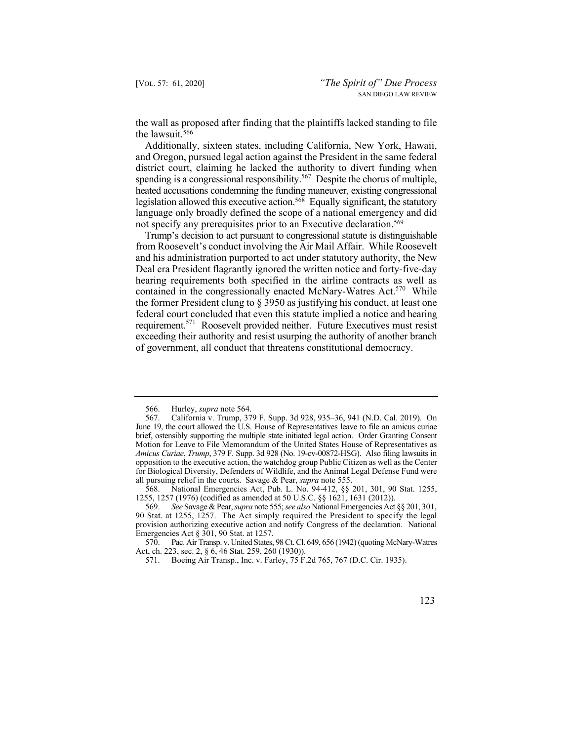the wall as proposed after finding that the plaintiffs lacked standing to file the lawsuit.566

Additionally, sixteen states, including California, New York, Hawaii, and Oregon, pursued legal action against the President in the same federal district court, claiming he lacked the authority to divert funding when spending is a congressional responsibility.<sup>567</sup> Despite the chorus of multiple, heated accusations condemning the funding maneuver, existing congressional legislation allowed this executive action.568 Equally significant, the statutory language only broadly defined the scope of a national emergency and did not specify any prerequisites prior to an Executive declaration.<sup>569</sup>

requirement.<sup>571</sup> Roosevelt provided neither. Future Executives must resist Trump's decision to act pursuant to congressional statute is distinguishable from Roosevelt's conduct involving the Air Mail Affair. While Roosevelt and his administration purported to act under statutory authority, the New Deal era President flagrantly ignored the written notice and forty-five-day hearing requirements both specified in the airline contracts as well as contained in the congressionally enacted McNary-Watres Act.<sup>570</sup> While the former President clung to § 3950 as justifying his conduct, at least one federal court concluded that even this statute implied a notice and hearing exceeding their authority and resist usurping the authority of another branch of government, all conduct that threatens constitutional democracy.

<sup>571.</sup> Boeing Air Transp., Inc. v. Farley, 75 F.2d 765, 767 (D.C. Cir. 1935).



<sup>566.</sup> Hurley, *supra* note 564.

<sup>567.</sup> California v. Trump, 379 F. Supp. 3d 928, 935–36, 941 (N.D. Cal. 2019). On June 19, the court allowed the U.S. House of Representatives leave to file an amicus curiae brief, ostensibly supporting the multiple state initiated legal action. Order Granting Consent Motion for Leave to File Memorandum of the United States House of Representatives as *Amicus Curiae*, *Trump*, 379 F. Supp. 3d 928 (No. 19-cv-00872-HSG). Also filing lawsuits in opposition to the executive action, the watchdog group Public Citizen as well as the Center for Biological Diversity, Defenders of Wildlife, and the Animal Legal Defense Fund were all pursuing relief in the courts. Savage & Pear, *supra* note 555.

<sup>568.</sup> National Emergencies Act, Pub. L. No. 94-412, §§ 201, 301, 90 Stat. 1255, 1255, 1257 (1976) (codified as amended at 50 U.S.C. §§ 1621, 1631 (2012)).

<sup>569.</sup> *See* Savage & Pear, *supra* note 555; *see also* National Emergencies Act §§ 201, 301, 90 Stat. at 1255, 1257. The Act simply required the President to specify the legal provision authorizing executive action and notify Congress of the declaration. National Emergencies Act  $\S$  301, 90 Stat. at 1257.

<sup>570.</sup> Pac. Air Transp. v. United States, 98 Ct. Cl. 649, 656 (1942) (quoting McNary-Watres Act, ch. 223, sec. 2, § 6, 46 Stat. 259, 260 (1930)).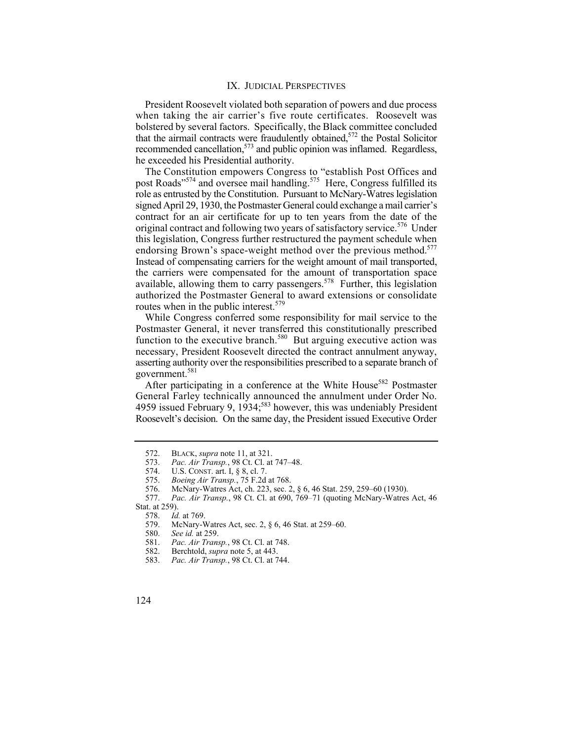## IX. JUDICIAL PERSPECTIVES

 when taking the air carrier's five route certificates. Roosevelt was President Roosevelt violated both separation of powers and due process bolstered by several factors. Specifically, the Black committee concluded that the airmail contracts were fraudulently obtained, $572$  the Postal Solicitor recommended cancellation,<sup>573</sup> and public opinion was inflamed. Regardless, he exceeded his Presidential authority.

original contract and following two years of satisfactory service.<sup>576</sup> Under endorsing Brown's space-weight method over the previous method.<sup>577</sup> The Constitution empowers Congress to "establish Post Offices and post Roads"<sup>574</sup> and oversee mail handling.<sup>575</sup> Here, Congress fulfilled its role as entrusted by the Constitution. Pursuant to McNary-Watres legislation signed April 29, 1930, the Postmaster General could exchange a mail carrier's contract for an air certificate for up to ten years from the date of the this legislation, Congress further restructured the payment schedule when Instead of compensating carriers for the weight amount of mail transported, the carriers were compensated for the amount of transportation space available, allowing them to carry passengers.578 Further, this legislation authorized the Postmaster General to award extensions or consolidate routes when in the public interest.<sup>579</sup>

While Congress conferred some responsibility for mail service to the Postmaster General, it never transferred this constitutionally prescribed function to the executive branch.<sup>580</sup> But arguing executive action was necessary, President Roosevelt directed the contract annulment anyway, asserting authority over the responsibilities prescribed to a separate branch of government.581

After participating in a conference at the White House<sup>582</sup> Postmaster General Farley technically announced the annulment under Order No. 4959 issued February 9,  $1934$ ;<sup>583</sup> however, this was undeniably President Roosevelt's decision. On the same day, the President issued Executive Order

- 582. Berchtold, *supra* note 5, at 443.
- 583. *Pac. Air Transp.*, 98 Ct. Cl. at 744.
- 124

<sup>572.</sup> BLACK, *supra* note 11, at 321.<br>573. Pac. Air Transp., 98 Ct. Cl. at

<sup>573.</sup> *Pac. Air Transp.*, 98 Ct. Cl. at 747–48.

<sup>574.</sup> U.S. CONST. art. I, § 8, cl. 7.

<sup>575.</sup> *Boeing Air Transp.*, 75 F.2d at 768.

<sup>576.</sup> McNary-Watres Act, ch. 223, sec. 2, § 6, 46 Stat. 259, 259–60 (1930).

<sup>577.</sup> *Pac. Air Transp.*, 98 Ct. Cl. at 690, 769–71 (quoting McNary-Watres Act, 46

Stat. at 259).<br>578. Id. 578. *Id.* at 769.

<sup>579.</sup> McNary-Watres Act, sec. 2, § 6, 46 Stat. at 259–60.

<sup>580.</sup> *See id.* at 259.

<sup>581.</sup> *Pac. Air Transp.*, 98 Ct. Cl. at 748.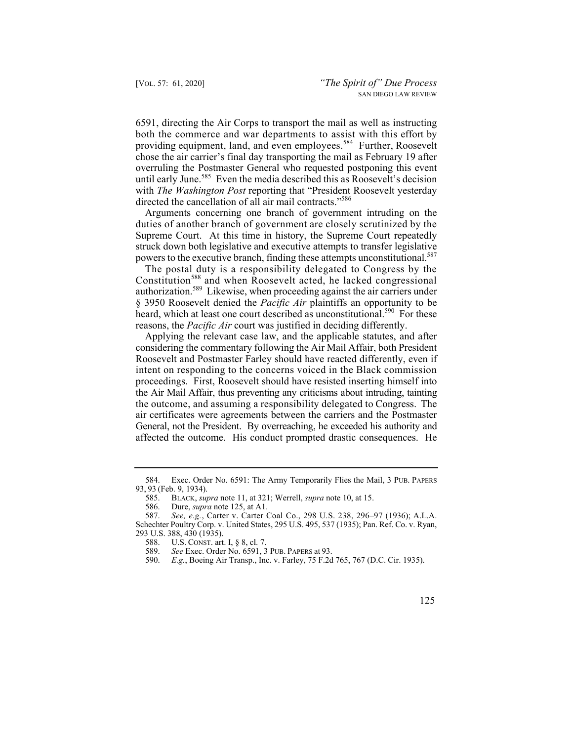both the commerce and war departments to assist with this effort by providing equipment, land, and even employees.<sup>584</sup> Further, Roosevelt 6591, directing the Air Corps to transport the mail as well as instructing chose the air carrier's final day transporting the mail as February 19 after overruling the Postmaster General who requested postponing this event until early June.<sup>585</sup> Even the media described this as Roosevelt's decision with *The Washington Post* reporting that "President Roosevelt yesterday directed the cancellation of all air mail contracts."<sup>586</sup>

 Arguments concerning one branch of government intruding on the duties of another branch of government are closely scrutinized by the Supreme Court. At this time in history, the Supreme Court repeatedly struck down both legislative and executive attempts to transfer legislative powers to the executive branch, finding these attempts unconstitutional.<sup>587</sup>

 The postal duty is a responsibility delegated to Congress by the Constitution<sup>588</sup> and when Roosevelt acted, he lacked congressional authorization.589 Likewise, when proceeding against the air carriers under § 3950 Roosevelt denied the *Pacific Air* plaintiffs an opportunity to be heard, which at least one court described as unconstitutional.<sup>590</sup> For these reasons, the *Pacific Air* court was justified in deciding differently.

 the outcome, and assuming a responsibility delegated to Congress. The Applying the relevant case law, and the applicable statutes, and after considering the commentary following the Air Mail Affair, both President Roosevelt and Postmaster Farley should have reacted differently, even if intent on responding to the concerns voiced in the Black commission proceedings. First, Roosevelt should have resisted inserting himself into the Air Mail Affair, thus preventing any criticisms about intruding, tainting air certificates were agreements between the carriers and the Postmaster General, not the President. By overreaching, he exceeded his authority and affected the outcome. His conduct prompted drastic consequences. He

<sup>584.</sup> Exec. Order No. 6591: The Army Temporarily Flies the Mail, 3 PUB. PAPERS 93, 93 (Feb. 9, 1934).

<sup>585.</sup> BLACK, *supra* note 11, at 321; Werrell, *supra* note 10, at 15.

<sup>586.</sup> Dure, *supra* note 125, at A1.

<sup>587.</sup> *See, e.g.*, Carter v. Carter Coal Co., 298 U.S. 238, 296–97 (1936); A.L.A. Schechter Poultry Corp. v. United States, 295 U.S. 495, 537 (1935); Pan. Ref. Co. v. Ryan, 293 U.S. 388, 430 (1935).<br>588. U.S. CONST. art.

U.S. CONST. art. I, § 8, cl. 7.

 589. *See* Exec. Order No. 6591, 3 PUB. PAPERS at 93.

<sup>590.</sup> *E.g.*, Boeing Air Transp., Inc. v. Farley, 75 F.2d 765, 767 (D.C. Cir. 1935).

 <sup>125</sup>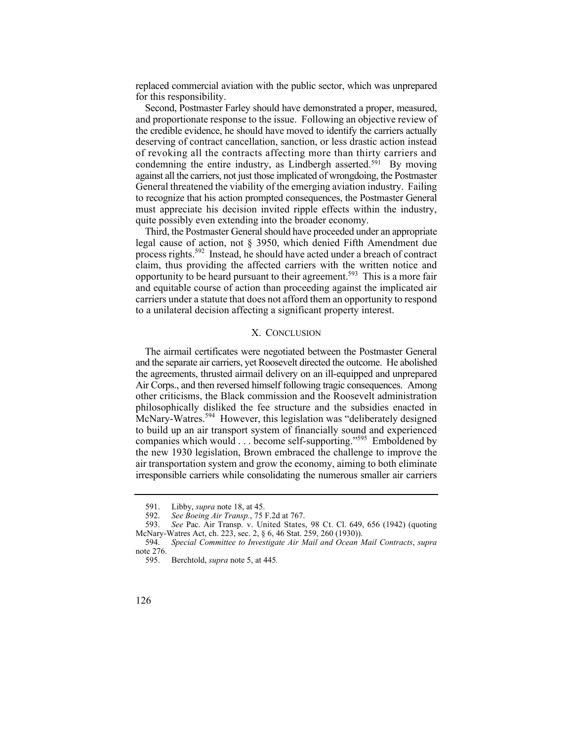replaced commercial aviation with the public sector, which was unprepared for this responsibility.

Second, Postmaster Farley should have demonstrated a proper, measured, and proportionate response to the issue. Following an objective review of the credible evidence, he should have moved to identify the carriers actually deserving of contract cancellation, sanction, or less drastic action instead of revoking all the contracts affecting more than thirty carriers and condemning the entire industry, as Lindbergh asserted.<sup>591</sup> By moving against all the carriers, not just those implicated of wrongdoing, the Postmaster General threatened the viability of the emerging aviation industry. Failing to recognize that his action prompted consequences, the Postmaster General must appreciate his decision invited ripple effects within the industry, quite possibly even extending into the broader economy.

Third, the Postmaster General should have proceeded under an appropriate legal cause of action, not § 3950, which denied Fifth Amendment due process rights.592 Instead, he should have acted under a breach of contract claim, thus providing the affected carriers with the written notice and opportunity to be heard pursuant to their agreement.<sup>593</sup> This is a more fair and equitable course of action than proceeding against the implicated air carriers under a statute that does not afford them an opportunity to respond to a unilateral decision affecting a significant property interest.

## X. CONCLUSION

companies which would . . . become self-supporting."<sup>595</sup> Emboldened by The airmail certificates were negotiated between the Postmaster General and the separate air carriers, yet Roosevelt directed the outcome. He abolished the agreements, thrusted airmail delivery on an ill-equipped and unprepared Air Corps., and then reversed himself following tragic consequences. Among other criticisms, the Black commission and the Roosevelt administration philosophically disliked the fee structure and the subsidies enacted in McNary-Watres.<sup>594</sup> However, this legislation was "deliberately designed to build up an air transport system of financially sound and experienced the new 1930 legislation, Brown embraced the challenge to improve the air transportation system and grow the economy, aiming to both eliminate irresponsible carriers while consolidating the numerous smaller air carriers

<sup>591.</sup> Libby, *supra* note 18, at 45.

<sup>592.</sup> *See Boeing Air Transp.*, 75 F.2d at 767.

<sup>593.</sup> *See* Pac. Air Transp. v. United States, 98 Ct. Cl. 649, 656 (1942) (quoting McNary-Watres Act, ch. 223, sec. 2, § 6, 46 Stat. 259, 260 (1930)).<br>594. Special Committee to Investigate Air Mail and Ocean N

<sup>594.</sup> *Special Committee to Investigate Air Mail and Ocean Mail Contracts*, *supra* note 276.

 595. Berchtold, *supra* note 5, at 445*.* 

<sup>126</sup>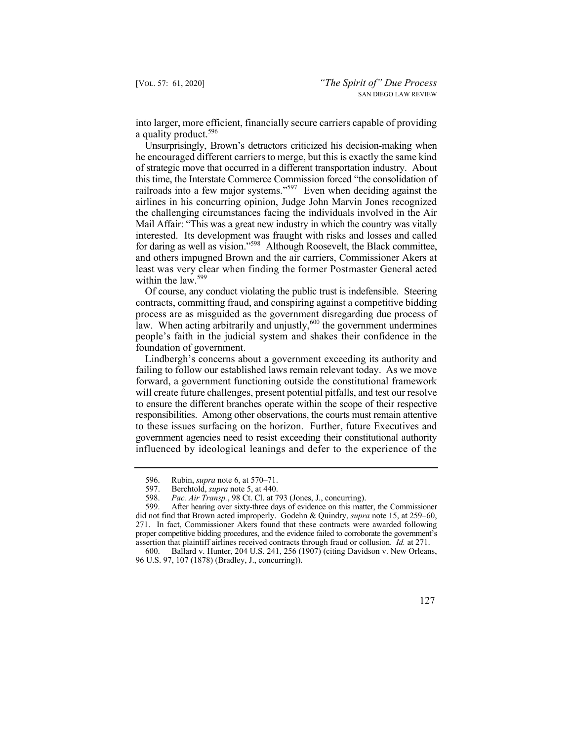into larger, more efficient, financially secure carriers capable of providing a quality product.<sup>596</sup>

for daring as well as vision."<sup>598</sup> Although Roosevelt, the Black committee, Unsurprisingly, Brown's detractors criticized his decision-making when he encouraged different carriers to merge, but this is exactly the same kind of strategic move that occurred in a different transportation industry. About this time, the Interstate Commerce Commission forced "the consolidation of railroads into a few major systems."<sup>597</sup> Even when deciding against the airlines in his concurring opinion, Judge John Marvin Jones recognized the challenging circumstances facing the individuals involved in the Air Mail Affair: "This was a great new industry in which the country was vitally interested. Its development was fraught with risks and losses and called and others impugned Brown and the air carriers, Commissioner Akers at least was very clear when finding the former Postmaster General acted within the law.<sup>599</sup>

Of course, any conduct violating the public trust is indefensible. Steering contracts, committing fraud, and conspiring against a competitive bidding process are as misguided as the government disregarding due process of law. When acting arbitrarily and unjustly,<sup>600</sup> the government undermines people's faith in the judicial system and shakes their confidence in the foundation of government.

Lindbergh's concerns about a government exceeding its authority and failing to follow our established laws remain relevant today. As we move forward, a government functioning outside the constitutional framework will create future challenges, present potential pitfalls, and test our resolve to ensure the different branches operate within the scope of their respective responsibilities. Among other observations, the courts must remain attentive to these issues surfacing on the horizon. Further, future Executives and government agencies need to resist exceeding their constitutional authority influenced by ideological leanings and defer to the experience of the

<sup>600.</sup> Ballard v. Hunter, 204 U.S. 241, 256 (1907) (citing Davidson v. New Orleans, 96 U.S. 97, 107 (1878) (Bradley, J., concurring)).



<sup>596.</sup> Rubin, *supra* note 6, at 570–71.

 597. Berchtold, *supra* note 5, at 440.

<sup>598.</sup> *Pac. Air Transp.*, 98 Ct. Cl. at 793 (Jones, J., concurring).

 271. In fact, Commissioner Akers found that these contracts were awarded following 599. After hearing over sixty-three days of evidence on this matter, the Commissioner did not find that Brown acted improperly. Godehn & Quindry, *supra* note 15, at 259–60, proper competitive bidding procedures, and the evidence failed to corroborate the government's assertion that plaintiff airlines received contracts through fraud or collusion. *Id.* at 271.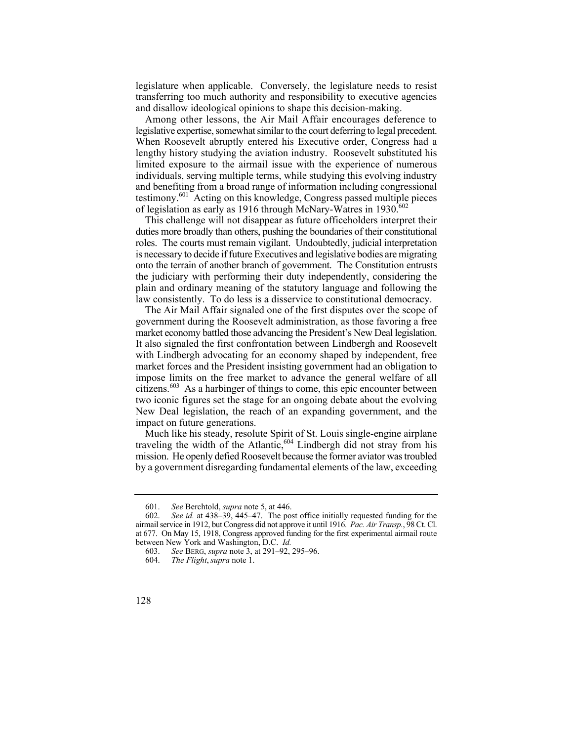legislature when applicable. Conversely, the legislature needs to resist transferring too much authority and responsibility to executive agencies and disallow ideological opinions to shape this decision-making.

Among other lessons, the Air Mail Affair encourages deference to legislative expertise, somewhat similar to the court deferring to legal precedent. When Roosevelt abruptly entered his Executive order, Congress had a lengthy history studying the aviation industry. Roosevelt substituted his limited exposure to the airmail issue with the experience of numerous individuals, serving multiple terms, while studying this evolving industry and benefiting from a broad range of information including congressional testimony.601 Acting on this knowledge, Congress passed multiple pieces of legislation as early as 1916 through McNary-Watres in  $1930$ .<sup>602</sup>

 onto the terrain of another branch of government. The Constitution entrusts This challenge will not disappear as future officeholders interpret their duties more broadly than others, pushing the boundaries of their constitutional roles. The courts must remain vigilant. Undoubtedly, judicial interpretation is necessary to decide if future Executives and legislative bodies are migrating the judiciary with performing their duty independently, considering the plain and ordinary meaning of the statutory language and following the law consistently. To do less is a disservice to constitutional democracy.

The Air Mail Affair signaled one of the first disputes over the scope of government during the Roosevelt administration, as those favoring a free market economy battled those advancing the President's New Deal legislation. It also signaled the first confrontation between Lindbergh and Roosevelt with Lindbergh advocating for an economy shaped by independent, free market forces and the President insisting government had an obligation to impose limits on the free market to advance the general welfare of all citizens.<sup>603</sup> As a harbinger of things to come, this epic encounter between two iconic figures set the stage for an ongoing debate about the evolving New Deal legislation, the reach of an expanding government, and the impact on future generations.

Much like his steady, resolute Spirit of St. Louis single-engine airplane traveling the width of the Atlantic,<sup>604</sup> Lindbergh did not stray from his mission. He openly defied Roosevelt because the former aviator was troubled by a government disregarding fundamental elements of the law, exceeding

<sup>601.</sup> *See* Berchtold, *supra* note 5, at 446.

See id. at 438–39, 445–47. The post office initially requested funding for the airmail service in 1912, but Congress did not approve it until 1916. *Pac. Air Transp.*, 98 Ct. Cl. at 677. On May 15, 1918, Congress approved funding for the first experimental airmail route between New York and Washington, D.C. *Id.*

 <sup>603.</sup> *See* BERG, *supra* note 3, at 291–92, 295–96.

<sup>604.</sup> *The Flight*, *supra* note 1.

<sup>128</sup>